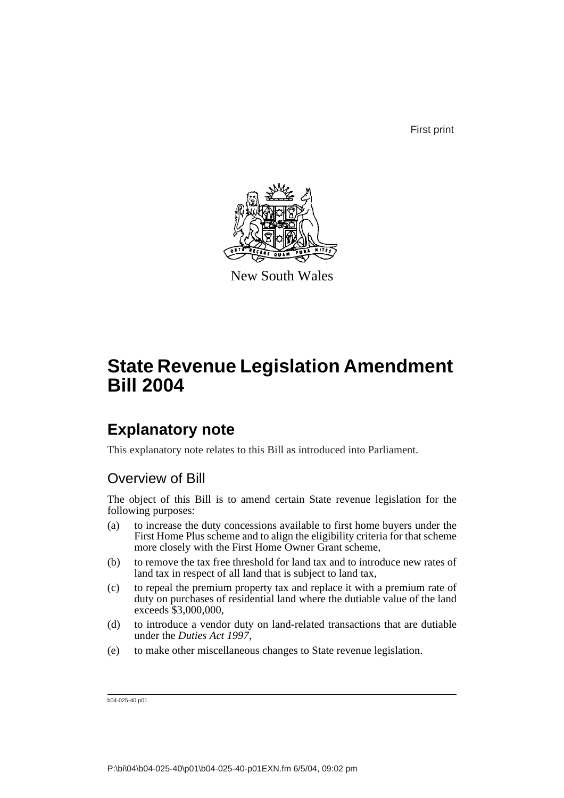First print



New South Wales

# **State Revenue Legislation Amendment Bill 2004**

# **Explanatory note**

This explanatory note relates to this Bill as introduced into Parliament.

# Overview of Bill

The object of this Bill is to amend certain State revenue legislation for the following purposes:

- (a) to increase the duty concessions available to first home buyers under the First Home Plus scheme and to align the eligibility criteria for that scheme more closely with the First Home Owner Grant scheme,
- (b) to remove the tax free threshold for land tax and to introduce new rates of land tax in respect of all land that is subject to land tax,
- (c) to repeal the premium property tax and replace it with a premium rate of duty on purchases of residential land where the dutiable value of the land exceeds \$3,000,000,
- (d) to introduce a vendor duty on land-related transactions that are dutiable under the *Duties Act 1997*,
- (e) to make other miscellaneous changes to State revenue legislation.

b04-025-40.p01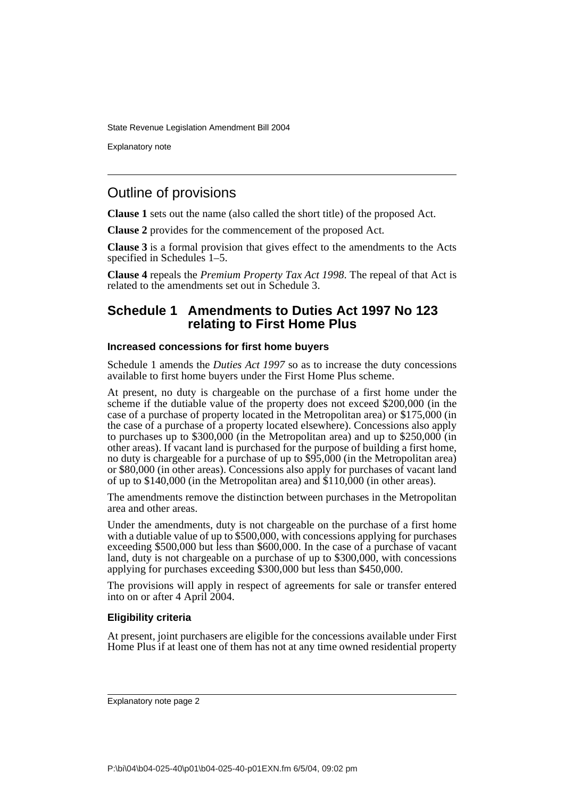Explanatory note

# Outline of provisions

**Clause 1** sets out the name (also called the short title) of the proposed Act.

**Clause 2** provides for the commencement of the proposed Act.

**Clause 3** is a formal provision that gives effect to the amendments to the Acts specified in Schedules 1–5.

**Clause 4** repeals the *Premium Property Tax Act 1998*. The repeal of that Act is related to the amendments set out in Schedule 3.

# **Schedule 1 Amendments to Duties Act 1997 No 123 relating to First Home Plus**

### **Increased concessions for first home buyers**

Schedule 1 amends the *Duties Act 1997* so as to increase the duty concessions available to first home buyers under the First Home Plus scheme.

At present, no duty is chargeable on the purchase of a first home under the scheme if the dutiable value of the property does not exceed \$200,000 (in the case of a purchase of property located in the Metropolitan area) or \$175,000 (in the case of a purchase of a property located elsewhere). Concessions also apply to purchases up to \$300,000 (in the Metropolitan area) and up to \$250,000 (in other areas). If vacant land is purchased for the purpose of building a first home, no duty is chargeable for a purchase of up to \$95,000 (in the Metropolitan area) or \$80,000 (in other areas). Concessions also apply for purchases of vacant land of up to  $$140,000$  (in the Metropolitan area) and  $$110,000$  (in other areas).

The amendments remove the distinction between purchases in the Metropolitan area and other areas.

Under the amendments, duty is not chargeable on the purchase of a first home with a dutiable value of up to \$500,000, with concessions applying for purchases exceeding \$500,000 but less than \$600,000. In the case of a purchase of vacant land, duty is not chargeable on a purchase of up to \$300,000, with concessions applying for purchases exceeding \$300,000 but less than \$450,000.

The provisions will apply in respect of agreements for sale or transfer entered into on or after 4 April 2004.

### **Eligibility criteria**

At present, joint purchasers are eligible for the concessions available under First Home Plus if at least one of them has not at any time owned residential property

Explanatory note page 2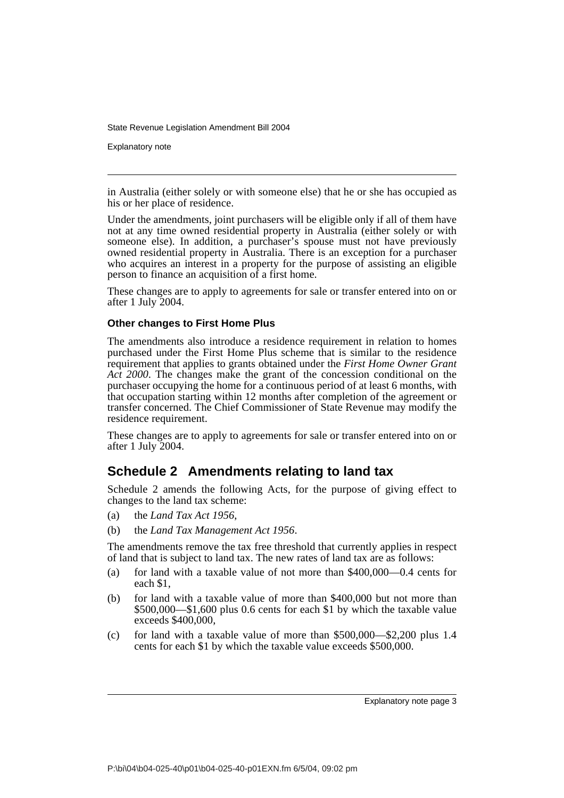Explanatory note

in Australia (either solely or with someone else) that he or she has occupied as his or her place of residence.

Under the amendments, joint purchasers will be eligible only if all of them have not at any time owned residential property in Australia (either solely or with someone else). In addition, a purchaser's spouse must not have previously owned residential property in Australia. There is an exception for a purchaser who acquires an interest in a property for the purpose of assisting an eligible person to finance an acquisition of a first home.

These changes are to apply to agreements for sale or transfer entered into on or after 1 July 2004.

#### **Other changes to First Home Plus**

The amendments also introduce a residence requirement in relation to homes purchased under the First Home Plus scheme that is similar to the residence requirement that applies to grants obtained under the *First Home Owner Grant Act 2000*. The changes make the grant of the concession conditional on the purchaser occupying the home for a continuous period of at least 6 months, with that occupation starting within 12 months after completion of the agreement or transfer concerned. The Chief Commissioner of State Revenue may modify the residence requirement.

These changes are to apply to agreements for sale or transfer entered into on or after 1 July 2004.

# **Schedule 2 Amendments relating to land tax**

Schedule 2 amends the following Acts, for the purpose of giving effect to changes to the land tax scheme:

- (a) the *Land Tax Act 1956*,
- (b) the *Land Tax Management Act 1956*.

The amendments remove the tax free threshold that currently applies in respect of land that is subject to land tax. The new rates of land tax are as follows:

- (a) for land with a taxable value of not more than \$400,000—0.4 cents for each \$1,
- (b) for land with a taxable value of more than \$400,000 but not more than \$500,000—\$1,600 plus 0.6 cents for each \$1 by which the taxable value exceeds \$400,000,
- (c) for land with a taxable value of more than \$500,000—\$2,200 plus 1.4 cents for each \$1 by which the taxable value exceeds \$500,000.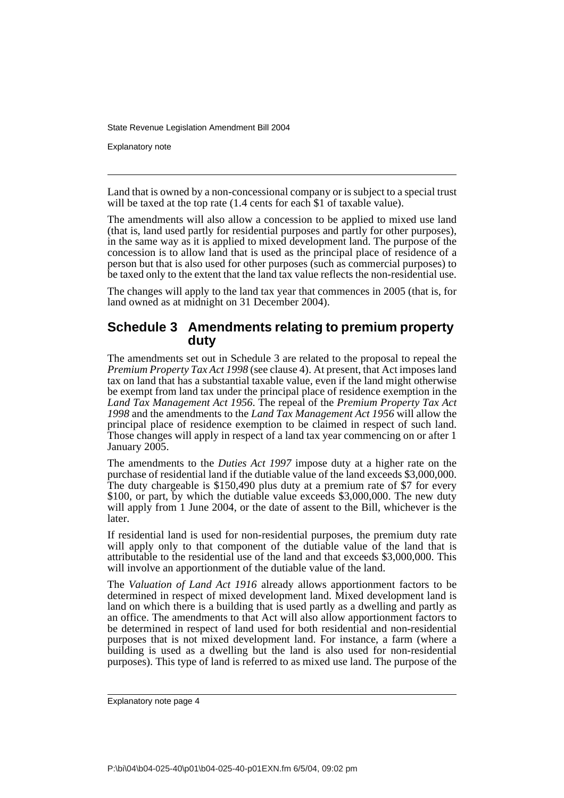Explanatory note

Land that is owned by a non-concessional company or is subject to a special trust will be taxed at the top rate  $(1.4 \text{ cents}$  for each \$1 of taxable value).

The amendments will also allow a concession to be applied to mixed use land (that is, land used partly for residential purposes and partly for other purposes), in the same way as it is applied to mixed development land. The purpose of the concession is to allow land that is used as the principal place of residence of a person but that is also used for other purposes (such as commercial purposes) to be taxed only to the extent that the land tax value reflects the non-residential use.

The changes will apply to the land tax year that commences in 2005 (that is, for land owned as at midnight on 31 December 2004).

# **Schedule 3 Amendments relating to premium property duty**

The amendments set out in Schedule 3 are related to the proposal to repeal the *Premium Property Tax Act 1998* (see clause 4). At present, that Act imposes land tax on land that has a substantial taxable value, even if the land might otherwise be exempt from land tax under the principal place of residence exemption in the *Land Tax Management Act 1956*. The repeal of the *Premium Property Tax Act 1998* and the amendments to the *Land Tax Management Act 1956* will allow the principal place of residence exemption to be claimed in respect of such land. Those changes will apply in respect of a land tax year commencing on or after 1 January 2005.

The amendments to the *Duties Act 1997* impose duty at a higher rate on the purchase of residential land if the dutiable value of the land exceeds \$3,000,000. The duty chargeable is \$150,490 plus duty at a premium rate of \$7 for every \$100, or part, by which the dutiable value exceeds \$3,000,000. The new duty will apply from 1 June 2004, or the date of assent to the Bill, whichever is the later.

If residential land is used for non-residential purposes, the premium duty rate will apply only to that component of the dutiable value of the land that is attributable to the residential use of the land and that exceeds \$3,000,000. This will involve an apportionment of the dutiable value of the land.

The *Valuation of Land Act 1916* already allows apportionment factors to be determined in respect of mixed development land. Mixed development land is land on which there is a building that is used partly as a dwelling and partly as an office. The amendments to that Act will also allow apportionment factors to be determined in respect of land used for both residential and non-residential purposes that is not mixed development land. For instance, a farm (where a building is used as a dwelling but the land is also used for non-residential purposes). This type of land is referred to as mixed use land. The purpose of the

Explanatory note page 4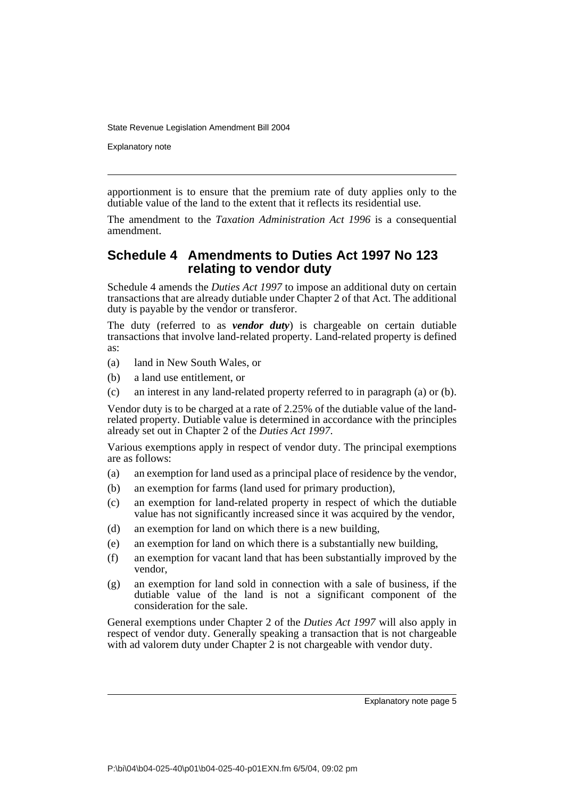Explanatory note

apportionment is to ensure that the premium rate of duty applies only to the dutiable value of the land to the extent that it reflects its residential use.

The amendment to the *Taxation Administration Act 1996* is a consequential amendment.

## **Schedule 4 Amendments to Duties Act 1997 No 123 relating to vendor duty**

Schedule 4 amends the *Duties Act 1997* to impose an additional duty on certain transactions that are already dutiable under Chapter 2 of that Act. The additional duty is payable by the vendor or transferor.

The duty (referred to as *vendor duty*) is chargeable on certain dutiable transactions that involve land-related property. Land-related property is defined as:

- (a) land in New South Wales, or
- (b) a land use entitlement, or
- (c) an interest in any land-related property referred to in paragraph (a) or (b).

Vendor duty is to be charged at a rate of 2.25% of the dutiable value of the landrelated property. Dutiable value is determined in accordance with the principles already set out in Chapter 2 of the *Duties Act 1997*.

Various exemptions apply in respect of vendor duty. The principal exemptions are as follows:

- (a) an exemption for land used as a principal place of residence by the vendor,
- (b) an exemption for farms (land used for primary production),
- (c) an exemption for land-related property in respect of which the dutiable value has not significantly increased since it was acquired by the vendor,
- (d) an exemption for land on which there is a new building,
- (e) an exemption for land on which there is a substantially new building,
- (f) an exemption for vacant land that has been substantially improved by the vendor,
- (g) an exemption for land sold in connection with a sale of business, if the dutiable value of the land is not a significant component of the consideration for the sale.

General exemptions under Chapter 2 of the *Duties Act 1997* will also apply in respect of vendor duty. Generally speaking a transaction that is not chargeable with ad valorem duty under Chapter 2 is not chargeable with vendor duty.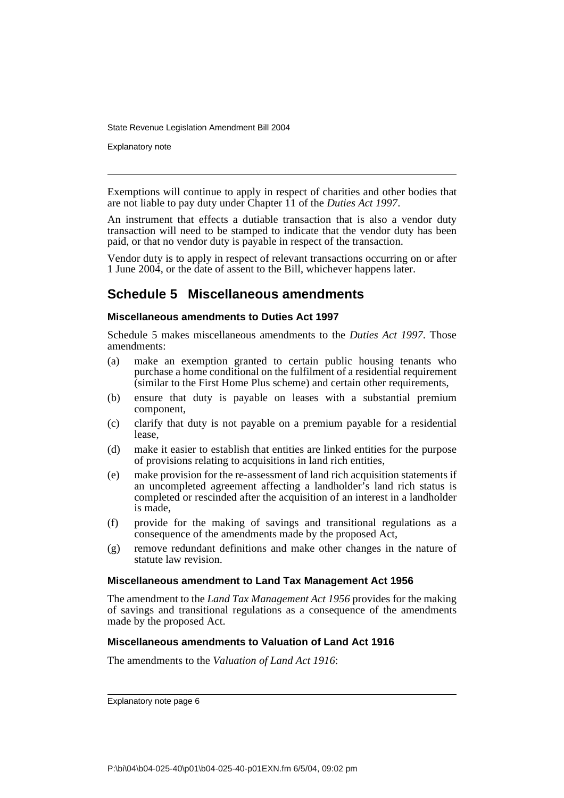Explanatory note

Exemptions will continue to apply in respect of charities and other bodies that are not liable to pay duty under Chapter 11 of the *Duties Act 1997*.

An instrument that effects a dutiable transaction that is also a vendor duty transaction will need to be stamped to indicate that the vendor duty has been paid, or that no vendor duty is payable in respect of the transaction.

Vendor duty is to apply in respect of relevant transactions occurring on or after 1 June 2004, or the date of assent to the Bill, whichever happens later.

# **Schedule 5 Miscellaneous amendments**

### **Miscellaneous amendments to Duties Act 1997**

Schedule 5 makes miscellaneous amendments to the *Duties Act 1997*. Those amendments:

- (a) make an exemption granted to certain public housing tenants who purchase a home conditional on the fulfilment of a residential requirement (similar to the First Home Plus scheme) and certain other requirements,
- (b) ensure that duty is payable on leases with a substantial premium component,
- (c) clarify that duty is not payable on a premium payable for a residential lease,
- (d) make it easier to establish that entities are linked entities for the purpose of provisions relating to acquisitions in land rich entities,
- (e) make provision for the re-assessment of land rich acquisition statements if an uncompleted agreement affecting a landholder's land rich status is completed or rescinded after the acquisition of an interest in a landholder is made,
- (f) provide for the making of savings and transitional regulations as a consequence of the amendments made by the proposed Act,
- (g) remove redundant definitions and make other changes in the nature of statute law revision.

### **Miscellaneous amendment to Land Tax Management Act 1956**

The amendment to the *Land Tax Management Act 1956* provides for the making of savings and transitional regulations as a consequence of the amendments made by the proposed Act.

### **Miscellaneous amendments to Valuation of Land Act 1916**

The amendments to the *Valuation of Land Act 1916*: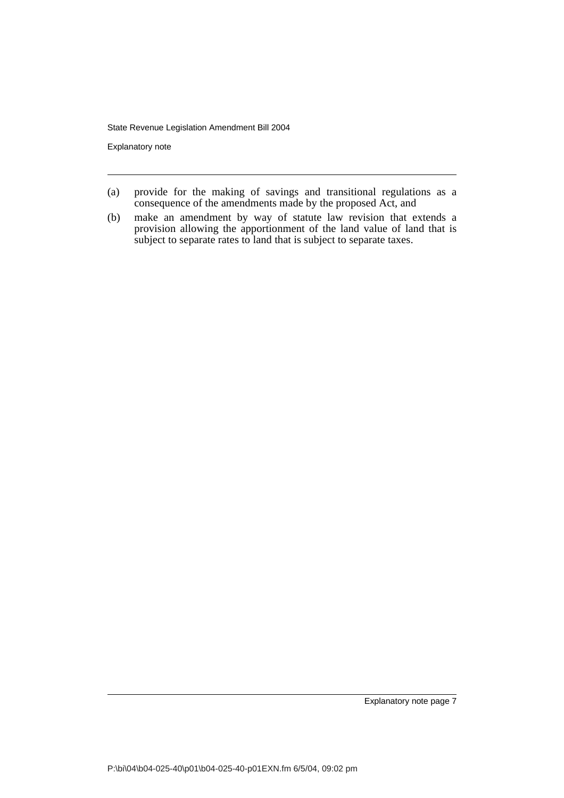Explanatory note

- (a) provide for the making of savings and transitional regulations as a consequence of the amendments made by the proposed Act, and
- (b) make an amendment by way of statute law revision that extends a provision allowing the apportionment of the land value of land that is subject to separate rates to land that is subject to separate taxes.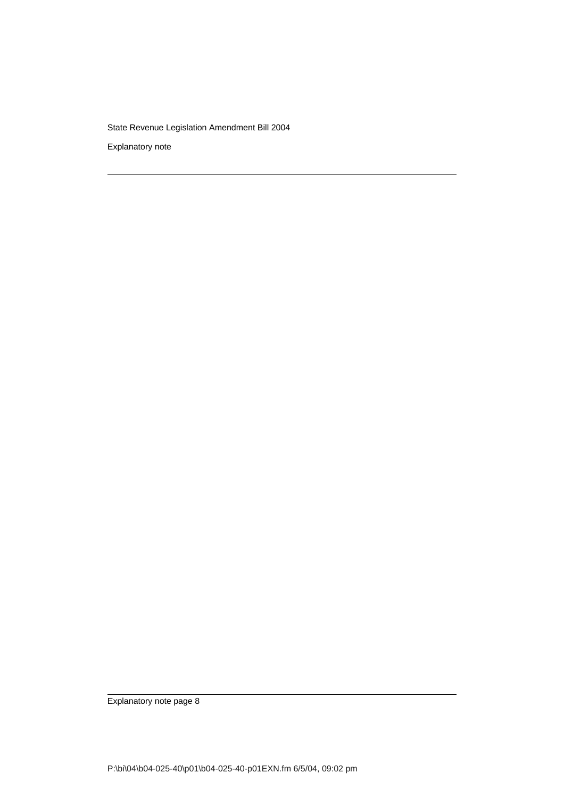Explanatory note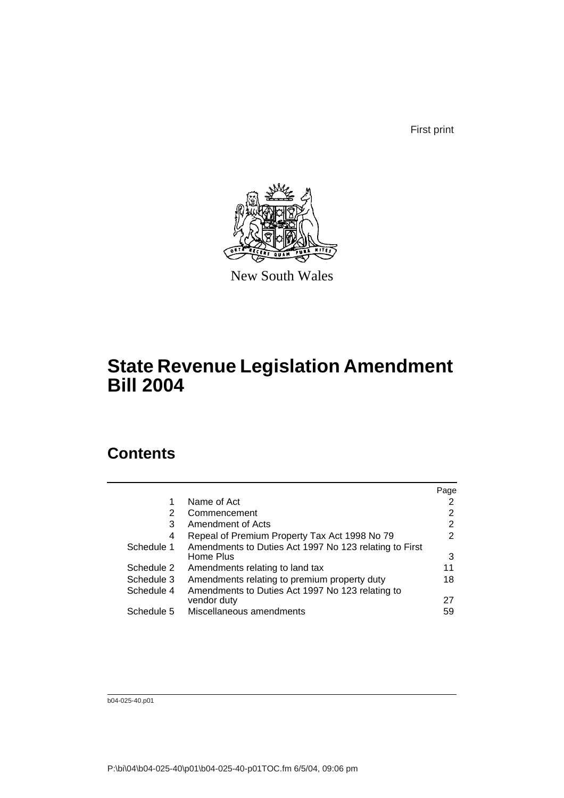First print



New South Wales

# **State Revenue Legislation Amendment Bill 2004**

# **Contents**

|                          |                                                                                                  | Page |
|--------------------------|--------------------------------------------------------------------------------------------------|------|
| 1                        | Name of Act                                                                                      | 2    |
| 2                        | Commencement                                                                                     | 2    |
| 3                        | Amendment of Acts                                                                                | 2    |
| 4                        | Repeal of Premium Property Tax Act 1998 No 79                                                    | 2    |
| Schedule 1               | Amendments to Duties Act 1997 No 123 relating to First<br>Home Plus                              | 3    |
| Schedule 2               | Amendments relating to land tax                                                                  | 11   |
| Schedule 3<br>Schedule 4 | Amendments relating to premium property duty<br>Amendments to Duties Act 1997 No 123 relating to | 18   |
|                          | vendor duty                                                                                      | 27   |
| Schedule 5               | Miscellaneous amendments                                                                         | 59   |

b04-025-40.p01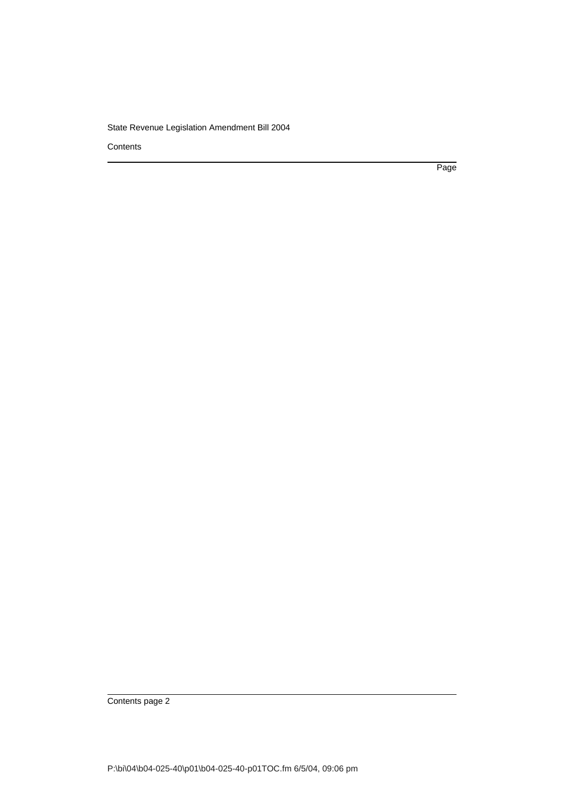**Contents** 

Page

Contents page 2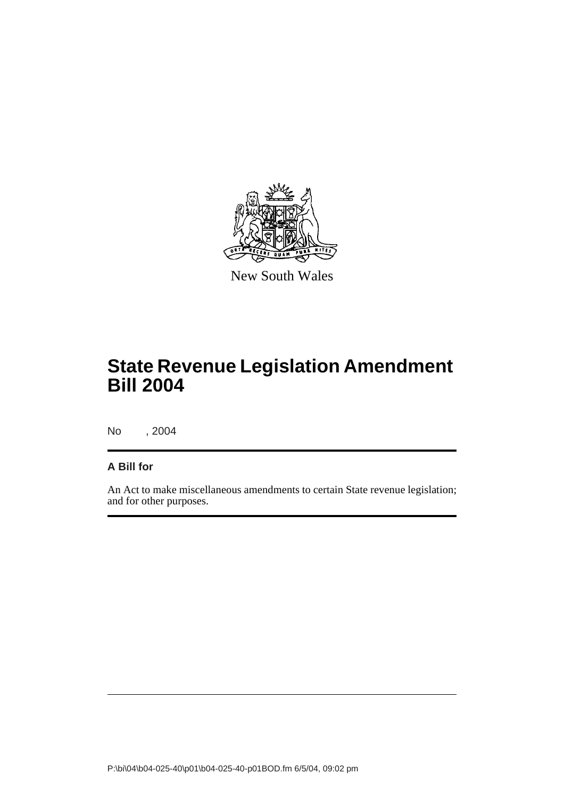

New South Wales

# **State Revenue Legislation Amendment Bill 2004**

No , 2004

# **A Bill for**

An Act to make miscellaneous amendments to certain State revenue legislation; and for other purposes.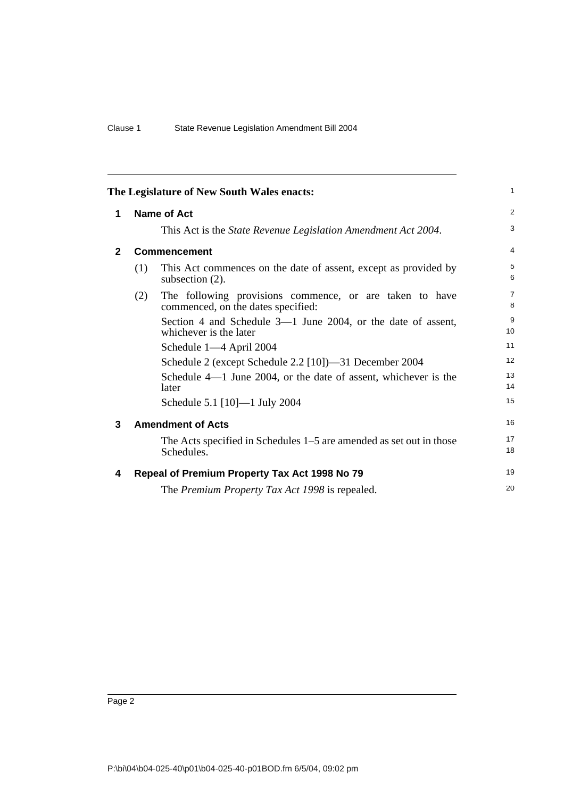<span id="page-11-3"></span><span id="page-11-2"></span><span id="page-11-1"></span><span id="page-11-0"></span>

|              | The Legislature of New South Wales enacts: |                                                                                               |          |  |  |
|--------------|--------------------------------------------|-----------------------------------------------------------------------------------------------|----------|--|--|
| 1            | <b>Name of Act</b>                         |                                                                                               |          |  |  |
|              |                                            | This Act is the <i>State Revenue Legislation Amendment Act 2004</i> .                         | 3        |  |  |
| $\mathbf{2}$ |                                            | <b>Commencement</b>                                                                           | 4        |  |  |
|              | (1)                                        | This Act commences on the date of assent, except as provided by<br>subsection $(2)$ .         | 5<br>6   |  |  |
|              | (2)                                        | The following provisions commence, or are taken to have<br>commenced, on the dates specified: | 7<br>8   |  |  |
|              |                                            | Section 4 and Schedule 3-1 June 2004, or the date of assent,<br>whichever is the later        | 9<br>10  |  |  |
|              |                                            | Schedule 1-4 April 2004                                                                       | 11       |  |  |
|              |                                            | Schedule 2 (except Schedule 2.2 [10])—31 December 2004                                        | 12       |  |  |
|              |                                            | Schedule 4—1 June 2004, or the date of assent, whichever is the<br>later                      | 13<br>14 |  |  |
|              |                                            | Schedule 5.1 [10]—1 July 2004                                                                 | 15       |  |  |
| 3            |                                            | <b>Amendment of Acts</b>                                                                      | 16       |  |  |
|              |                                            | The Acts specified in Schedules 1–5 are amended as set out in those<br>Schedules.             | 17<br>18 |  |  |
| 4            |                                            | Repeal of Premium Property Tax Act 1998 No 79                                                 | 19       |  |  |
|              |                                            | The <i>Premium Property Tax Act 1998</i> is repealed.                                         | 20       |  |  |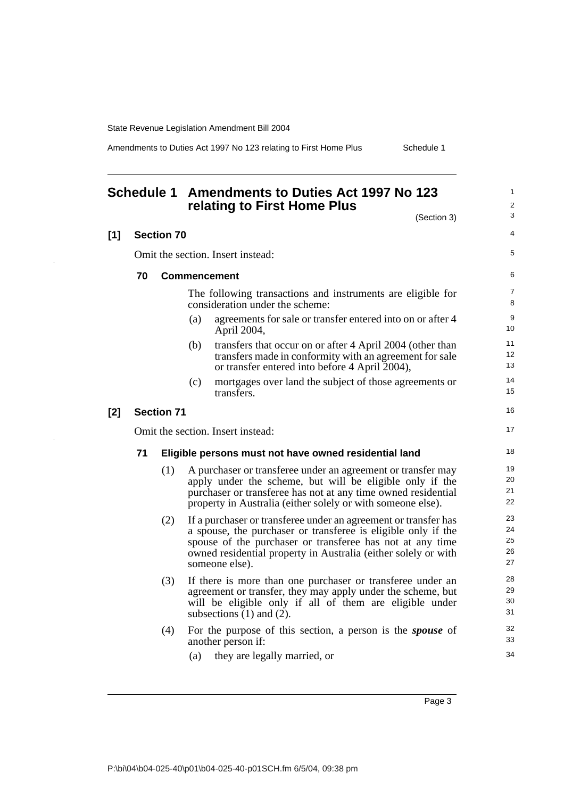Amendments to Duties Act 1997 No 123 relating to First Home Plus Schedule 1

<span id="page-12-0"></span>

| <b>Schedule 1</b> |    |                   | <b>Amendments to Duties Act 1997 No 123</b><br>relating to First Home Plus<br>(Section 3) | 1<br>2<br>3                                                                                                                                                                                                                                                                       |                            |
|-------------------|----|-------------------|-------------------------------------------------------------------------------------------|-----------------------------------------------------------------------------------------------------------------------------------------------------------------------------------------------------------------------------------------------------------------------------------|----------------------------|
| $[1]$             |    | <b>Section 70</b> |                                                                                           |                                                                                                                                                                                                                                                                                   | 4                          |
|                   |    |                   |                                                                                           | Omit the section. Insert instead:                                                                                                                                                                                                                                                 | 5                          |
|                   | 70 |                   |                                                                                           | <b>Commencement</b>                                                                                                                                                                                                                                                               | 6                          |
|                   |    |                   |                                                                                           | The following transactions and instruments are eligible for<br>consideration under the scheme:                                                                                                                                                                                    | 7<br>8                     |
|                   |    |                   | (a)                                                                                       | agreements for sale or transfer entered into on or after 4<br>April 2004,                                                                                                                                                                                                         | 9<br>10                    |
|                   |    |                   | (b)                                                                                       | transfers that occur on or after 4 April 2004 (other than<br>transfers made in conformity with an agreement for sale<br>or transfer entered into before 4 April 2004),                                                                                                            | 11<br>12<br>13             |
|                   |    |                   | (c)                                                                                       | mortgages over land the subject of those agreements or<br>transfers.                                                                                                                                                                                                              | 14<br>15                   |
| [2]               |    | <b>Section 71</b> |                                                                                           |                                                                                                                                                                                                                                                                                   | 16                         |
|                   |    |                   |                                                                                           | Omit the section. Insert instead:                                                                                                                                                                                                                                                 | 17                         |
|                   | 71 |                   |                                                                                           | Eligible persons must not have owned residential land                                                                                                                                                                                                                             | 18                         |
|                   |    | (1)               |                                                                                           | A purchaser or transferee under an agreement or transfer may<br>apply under the scheme, but will be eligible only if the<br>purchaser or transferee has not at any time owned residential<br>property in Australia (either solely or with someone else).                          | 19<br>20<br>21<br>22       |
|                   |    | (2)               |                                                                                           | If a purchaser or transferee under an agreement or transfer has<br>a spouse, the purchaser or transferee is eligible only if the<br>spouse of the purchaser or transferee has not at any time<br>owned residential property in Australia (either solely or with<br>someone else). | 23<br>24<br>25<br>26<br>27 |
|                   |    | (3)               |                                                                                           | If there is more than one purchaser or transferee under an<br>agreement or transfer, they may apply under the scheme, but<br>will be eligible only if all of them are eligible under<br>subsections $(1)$ and $(2)$ .                                                             | 28<br>29<br>30<br>31       |
|                   |    | (4)               | (a)                                                                                       | For the purpose of this section, a person is the <i>spouse</i> of<br>another person if:<br>they are legally married, or                                                                                                                                                           | 32<br>33<br>34             |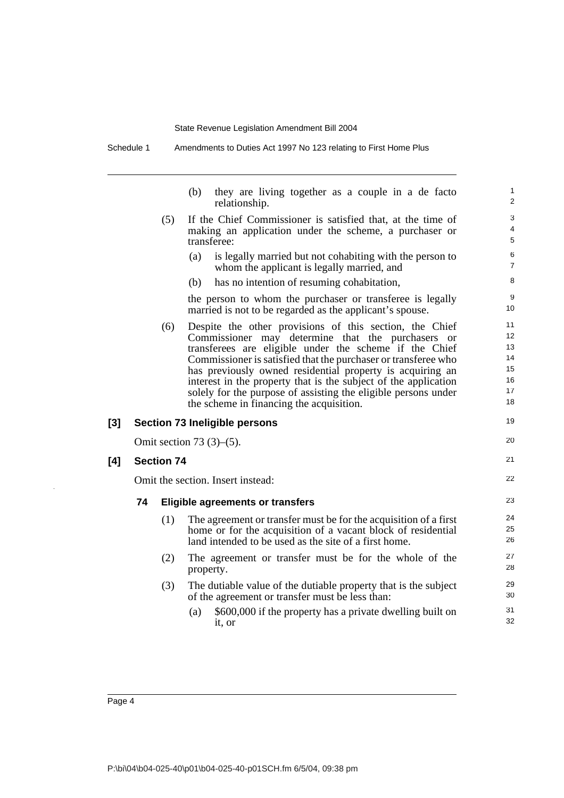Schedule 1 Amendments to Duties Act 1997 No 123 relating to First Home Plus

|     |    |                   | they are living together as a couple in a de facto<br>(b)<br>relationship.                                                           | $\mathbf{1}$<br>2   |
|-----|----|-------------------|--------------------------------------------------------------------------------------------------------------------------------------|---------------------|
|     |    | (5)               | If the Chief Commissioner is satisfied that, at the time of<br>making an application under the scheme, a purchaser or<br>transferee: | 3<br>4<br>5         |
|     |    |                   | is legally married but not cohabiting with the person to<br>(a)<br>whom the applicant is legally married, and                        | 6<br>$\overline{7}$ |
|     |    |                   | has no intention of resuming cohabitation,<br>(b)                                                                                    | 8                   |
|     |    |                   | the person to whom the purchaser or transferee is legally<br>married is not to be regarded as the applicant's spouse.                | 9<br>10             |
|     |    | (6)               | Despite the other provisions of this section, the Chief                                                                              | 11                  |
|     |    |                   | Commissioner may determine that the purchasers<br><b>or</b>                                                                          | 12<br>13            |
|     |    |                   | transferees are eligible under the scheme if the Chief<br>Commissioner is satisfied that the purchaser or transferee who             | 14                  |
|     |    |                   | has previously owned residential property is acquiring an                                                                            | 15                  |
|     |    |                   | interest in the property that is the subject of the application                                                                      | 16                  |
|     |    |                   | solely for the purpose of assisting the eligible persons under<br>the scheme in financing the acquisition.                           | 17<br>18            |
| [3] |    |                   | <b>Section 73 Ineligible persons</b>                                                                                                 | 19                  |
|     |    |                   | Omit section 73 $(3)$ – $(5)$ .                                                                                                      | 20                  |
| [4] |    | <b>Section 74</b> |                                                                                                                                      | 21                  |
|     |    |                   | Omit the section. Insert instead:                                                                                                    | 22                  |
|     | 74 |                   | <b>Eligible agreements or transfers</b>                                                                                              | 23                  |
|     |    | (1)               | The agreement or transfer must be for the acquisition of a first                                                                     | 24                  |
|     |    |                   | home or for the acquisition of a vacant block of residential<br>land intended to be used as the site of a first home.                | 25<br>26            |
|     |    | (2)               | The agreement or transfer must be for the whole of the<br>property.                                                                  | 27<br>28            |
|     |    | (3)               | The dutiable value of the dutiable property that is the subject<br>of the agreement or transfer must be less than:                   | 29<br>30            |
|     |    |                   | \$600,000 if the property has a private dwelling built on<br>(a)<br>it, or                                                           | 31<br>32            |

 $[4]$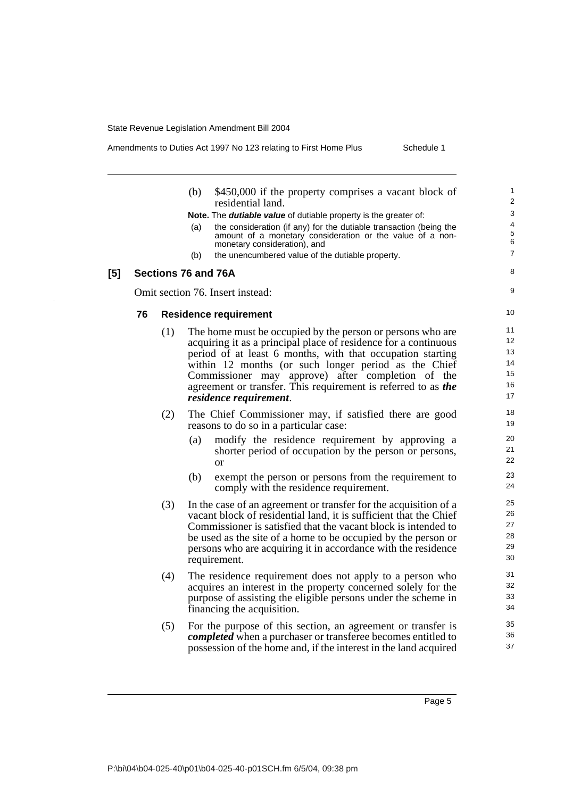Amendments to Duties Act 1997 No 123 relating to First Home Plus Schedule 1

(b) \$450,000 if the property comprises a vacant block of residential land. **Note.** The *dutiable value* of dutiable property is the greater of: (a) the consideration (if any) for the dutiable transaction (being the amount of a monetary consideration or the value of a nonmonetary consideration), and (b) the unencumbered value of the dutiable property. **[5] Sections 76 and 76A** Omit section 76. Insert instead: **76 Residence requirement** (1) The home must be occupied by the person or persons who are acquiring it as a principal place of residence for a continuous period of at least 6 months, with that occupation starting within 12 months (or such longer period as the Chief Commissioner may approve) after completion of the agreement or transfer. This requirement is referred to as *the residence requirement*. (2) The Chief Commissioner may, if satisfied there are good reasons to do so in a particular case: (a) modify the residence requirement by approving a shorter period of occupation by the person or persons, or (b) exempt the person or persons from the requirement to comply with the residence requirement. (3) In the case of an agreement or transfer for the acquisition of a vacant block of residential land, it is sufficient that the Chief Commissioner is satisfied that the vacant block is intended to be used as the site of a home to be occupied by the person or persons who are acquiring it in accordance with the residence requirement. (4) The residence requirement does not apply to a person who acquires an interest in the property concerned solely for the purpose of assisting the eligible persons under the scheme in financing the acquisition. (5) For the purpose of this section, an agreement or transfer is 1  $\overline{2}$ 3 5 6 7 8 9 10 11 12 13 14 15 16 17 18 19  $20$ 21 22 23 24 25 26 27 28 29 30 31 32 33 34 35

*completed* when a purchaser or transferee becomes entitled to possession of the home and, if the interest in the land acquired

Page 5

 $\overline{A}$ 

36 37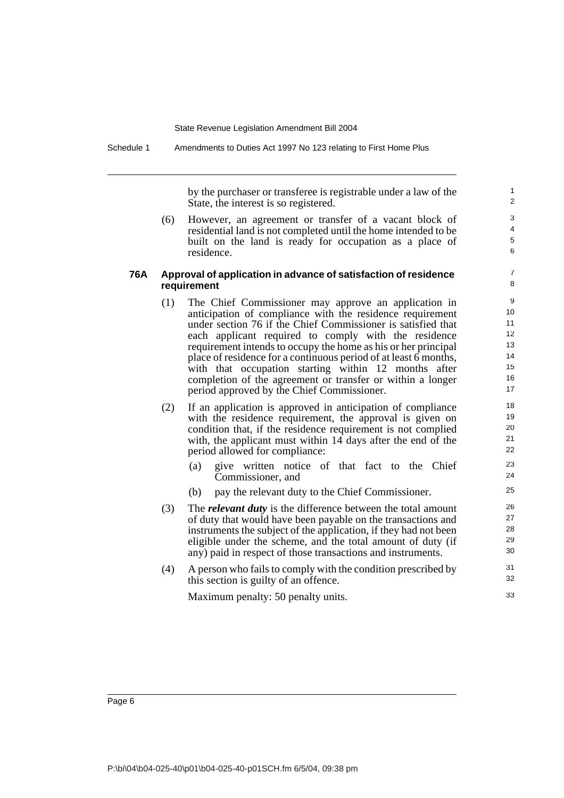Schedule 1 Amendments to Duties Act 1997 No 123 relating to First Home Plus

by the purchaser or transferee is registrable under a law of the State, the interest is so registered.

(6) However, an agreement or transfer of a vacant block of residential land is not completed until the home intended to be built on the land is ready for occupation as a place of residence.

#### **76A Approval of application in advance of satisfaction of residence requirement**

- (1) The Chief Commissioner may approve an application in anticipation of compliance with the residence requirement under section 76 if the Chief Commissioner is satisfied that each applicant required to comply with the residence requirement intends to occupy the home as his or her principal place of residence for a continuous period of at least 6 months, with that occupation starting within 12 months after completion of the agreement or transfer or within a longer period approved by the Chief Commissioner.
- (2) If an application is approved in anticipation of compliance with the residence requirement, the approval is given on condition that, if the residence requirement is not complied with, the applicant must within 14 days after the end of the period allowed for compliance:
	- (a) give written notice of that fact to the Chief Commissioner, and
	- (b) pay the relevant duty to the Chief Commissioner.
- (3) The *relevant duty* is the difference between the total amount of duty that would have been payable on the transactions and instruments the subject of the application, if they had not been eligible under the scheme, and the total amount of duty (if any) paid in respect of those transactions and instruments.
- (4) A person who fails to comply with the condition prescribed by this section is guilty of an offence.

Maximum penalty: 50 penalty units.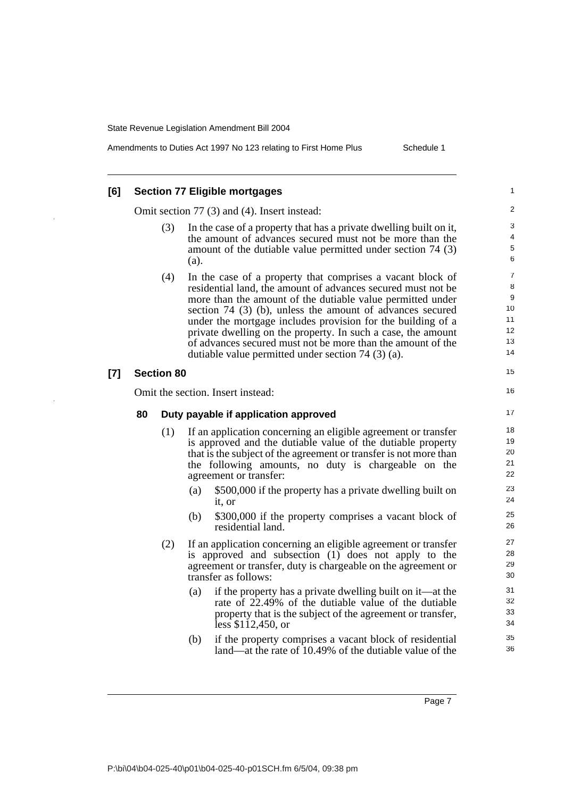Amendments to Duties Act 1997 No 123 relating to First Home Plus Schedule 1

#### **[6] Section 77 Eligible mortgages** Omit section 77 (3) and (4). Insert instead: (3) In the case of a property that has a private dwelling built on it, the amount of advances secured must not be more than the amount of the dutiable value permitted under section 74 (3) (a). (4) In the case of a property that comprises a vacant block of residential land, the amount of advances secured must not be more than the amount of the dutiable value permitted under section 74 (3) (b), unless the amount of advances secured under the mortgage includes provision for the building of a private dwelling on the property. In such a case, the amount of advances secured must not be more than the amount of the dutiable value permitted under section 74 (3) (a). **[7] Section 80** Omit the section. Insert instead: **80 Duty payable if application approved** (1) If an application concerning an eligible agreement or transfer is approved and the dutiable value of the dutiable property that is the subject of the agreement or transfer is not more than the following amounts, no duty is chargeable on the agreement or transfer: (a) \$500,000 if the property has a private dwelling built on it, or (b) \$300,000 if the property comprises a vacant block of residential land. (2) If an application concerning an eligible agreement or transfer is approved and subsection (1) does not apply to the agreement or transfer, duty is chargeable on the agreement or transfer as follows: (a) if the property has a private dwelling built on it—at the rate of 22.49% of the dutiable value of the dutiable property that is the subject of the agreement or transfer, less \$112,450, or (b) if the property comprises a vacant block of residential land—at the rate of 10.49% of the dutiable value of the 1  $\overline{2}$ 3 4 5 6 7 8  $\alpha$ 10 11 12 13 14 15 16 17 18 19 20 21 22 23 24 25 26 27 28 29 30 31 32 33 34 35 36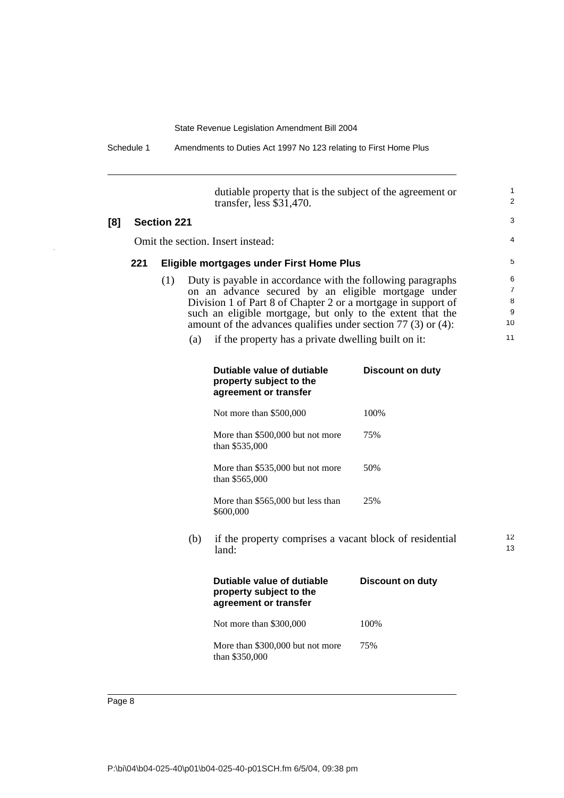Schedule 1 Amendments to Duties Act 1997 No 123 relating to First Home Plus

|     |     |                    |     | dutiable property that is the subject of the agreement or<br>transfer, $\overline{less}$ \$31,470.                                                                                                                                                                                                                                                                                                                                                                                                                                                                               |                                               | 1<br>$\overline{2}$                       |
|-----|-----|--------------------|-----|----------------------------------------------------------------------------------------------------------------------------------------------------------------------------------------------------------------------------------------------------------------------------------------------------------------------------------------------------------------------------------------------------------------------------------------------------------------------------------------------------------------------------------------------------------------------------------|-----------------------------------------------|-------------------------------------------|
| [8] |     | <b>Section 221</b> |     |                                                                                                                                                                                                                                                                                                                                                                                                                                                                                                                                                                                  |                                               | 3                                         |
|     |     |                    |     | Omit the section. Insert instead:                                                                                                                                                                                                                                                                                                                                                                                                                                                                                                                                                |                                               | 4                                         |
|     | 221 |                    |     | <b>Eligible mortgages under First Home Plus</b>                                                                                                                                                                                                                                                                                                                                                                                                                                                                                                                                  |                                               | 5                                         |
|     |     | (1)                | (a) | Duty is payable in accordance with the following paragraphs<br>on an advance secured by an eligible mortgage under<br>Division 1 of Part 8 of Chapter 2 or a mortgage in support of<br>such an eligible mortgage, but only to the extent that the<br>amount of the advances qualifies under section 77 (3) or (4):<br>if the property has a private dwelling built on it:<br>Dutiable value of dutiable<br>property subject to the<br>agreement or transfer<br>Not more than \$500,000<br>More than \$500,000 but not more<br>than \$535,000<br>More than \$535,000 but not more | <b>Discount on duty</b><br>100%<br>75%<br>50% | 6<br>$\overline{7}$<br>8<br>9<br>10<br>11 |
|     |     |                    |     | than \$565,000<br>More than \$565,000 but less than<br>\$600,000                                                                                                                                                                                                                                                                                                                                                                                                                                                                                                                 | 25%                                           |                                           |
|     |     |                    |     |                                                                                                                                                                                                                                                                                                                                                                                                                                                                                                                                                                                  |                                               |                                           |

(b) if the property comprises a vacant block of residential land:

12 13

| Dutiable value of dutiable<br>property subject to the<br>agreement or transfer | <b>Discount on duty</b> |
|--------------------------------------------------------------------------------|-------------------------|
| Not more than \$300,000                                                        | 100\%                   |
| More than \$300,000 but not more                                               | 75%                     |

More than \$300,000 but not more than \$350,000

l,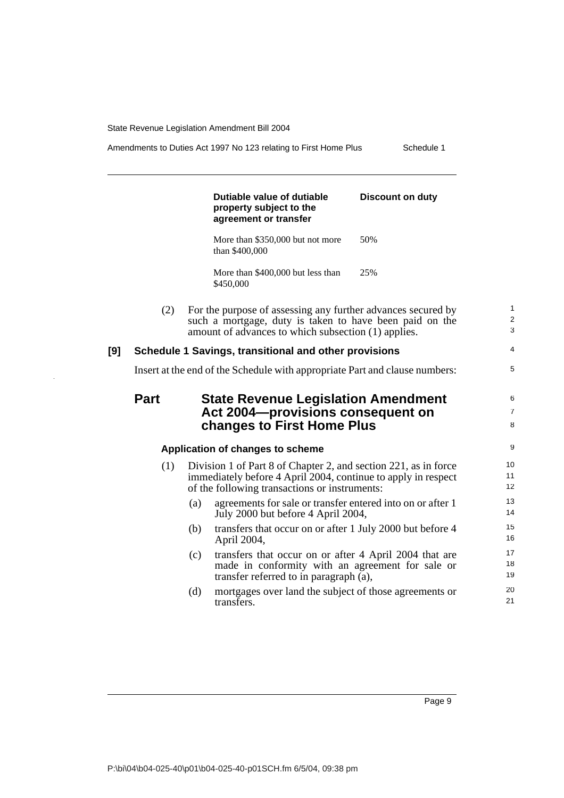$\overline{a}$ 

Amendments to Duties Act 1997 No 123 relating to First Home Plus Schedule 1

|     |             | Dutiable value of dutiable<br><b>Discount on duty</b><br>property subject to the<br>agreement or transfer                                                                         |                                     |
|-----|-------------|-----------------------------------------------------------------------------------------------------------------------------------------------------------------------------------|-------------------------------------|
|     |             | More than \$350,000 but not more<br>50%<br>than \$400,000                                                                                                                         |                                     |
|     |             | 25%<br>More than \$400,000 but less than<br>\$450,000                                                                                                                             |                                     |
|     | (2)         | For the purpose of assessing any further advances secured by<br>such a mortgage, duty is taken to have been paid on the<br>amount of advances to which subsection (1) applies.    | $\mathbf{1}$<br>$\overline{2}$<br>3 |
| [9] |             | Schedule 1 Savings, transitional and other provisions                                                                                                                             | 4                                   |
|     |             | Insert at the end of the Schedule with appropriate Part and clause numbers:                                                                                                       | 5                                   |
|     | <b>Part</b> | <b>State Revenue Legislation Amendment</b><br>Act 2004-provisions consequent on<br>changes to First Home Plus                                                                     | 6<br>$\overline{7}$<br>8            |
|     |             | Application of changes to scheme                                                                                                                                                  | 9                                   |
|     | (1)         | Division 1 of Part 8 of Chapter 2, and section 221, as in force<br>immediately before 4 April 2004, continue to apply in respect<br>of the following transactions or instruments: | 10<br>11<br>12                      |
|     |             | (a)<br>agreements for sale or transfer entered into on or after 1<br>July 2000 but before 4 April 2004,                                                                           | 13<br>14                            |
|     |             | (b)<br>transfers that occur on or after 1 July 2000 but before 4<br>April 2004,                                                                                                   | 15<br>16                            |
|     |             | transfers that occur on or after 4 April 2004 that are<br>(c)<br>made in conformity with an agreement for sale or<br>transfer referred to in paragraph (a),                       | 17<br>18<br>19                      |
|     |             | (d)<br>mortgages over land the subject of those agreements or<br>transfers.                                                                                                       | 20<br>21                            |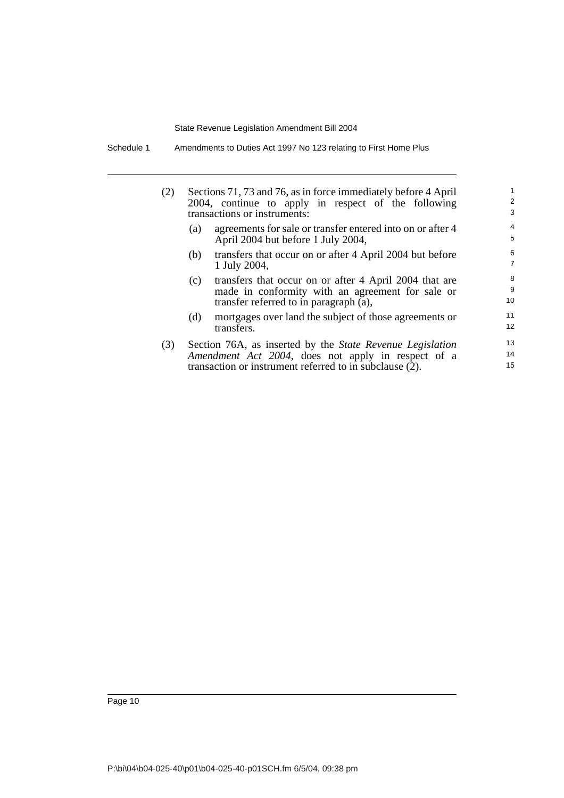Schedule 1 Amendments to Duties Act 1997 No 123 relating to First Home Plus

| (2) | Sections 71, 73 and 76, as in force immediately before 4 April<br>2004, continue to apply in respect of the following<br>transactions or instruments: |                                                                                                                                                                                   |                               |  |  |
|-----|-------------------------------------------------------------------------------------------------------------------------------------------------------|-----------------------------------------------------------------------------------------------------------------------------------------------------------------------------------|-------------------------------|--|--|
|     | (a)                                                                                                                                                   | agreements for sale or transfer entered into on or after 4<br>April 2004 but before 1 July 2004,                                                                                  | $\overline{\mathcal{L}}$<br>5 |  |  |
|     | (b)                                                                                                                                                   | transfers that occur on or after 4 April 2004 but before<br>1 July 2004,                                                                                                          | 6<br>$\overline{7}$           |  |  |
|     | (c)                                                                                                                                                   | transfers that occur on or after 4 April 2004 that are<br>made in conformity with an agreement for sale or<br>transfer referred to in paragraph (a),                              | 8<br>9<br>10                  |  |  |
|     | (d)                                                                                                                                                   | mortgages over land the subject of those agreements or<br>transfers.                                                                                                              | 11<br>12                      |  |  |
| (3) |                                                                                                                                                       | Section 76A, as inserted by the <i>State Revenue Legislation</i><br>Amendment Act 2004, does not apply in respect of a<br>transaction or instrument referred to in subclause (2). | 13<br>14<br>15                |  |  |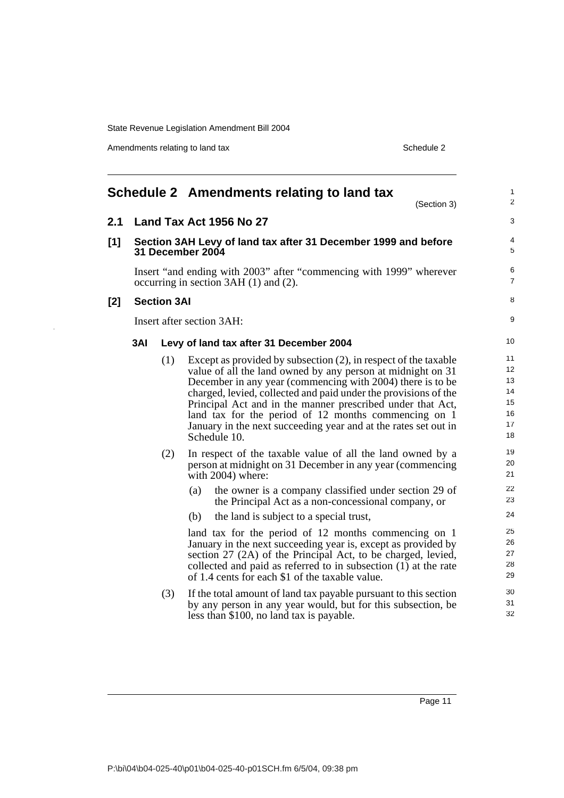Amendments relating to land tax Schedule 2

<span id="page-20-0"></span>

|       |     |                    | Schedule 2 Amendments relating to land tax<br>(Section 3)                                                                                                                                                                                                                                                                                                                                                                                                                                                                                                                                                                             | $\mathbf{1}$<br>2                                              |
|-------|-----|--------------------|---------------------------------------------------------------------------------------------------------------------------------------------------------------------------------------------------------------------------------------------------------------------------------------------------------------------------------------------------------------------------------------------------------------------------------------------------------------------------------------------------------------------------------------------------------------------------------------------------------------------------------------|----------------------------------------------------------------|
| 2.1   |     |                    | Land Tax Act 1956 No 27                                                                                                                                                                                                                                                                                                                                                                                                                                                                                                                                                                                                               | $\ensuremath{\mathsf{3}}$                                      |
| [1]   |     |                    | Section 3AH Levy of land tax after 31 December 1999 and before<br><b>31 December 2004</b>                                                                                                                                                                                                                                                                                                                                                                                                                                                                                                                                             | 4<br>5                                                         |
|       |     |                    | Insert "and ending with 2003" after "commencing with 1999" wherever<br>occurring in section 3AH (1) and (2).                                                                                                                                                                                                                                                                                                                                                                                                                                                                                                                          | 6<br>$\overline{7}$                                            |
| $[2]$ |     | <b>Section 3AI</b> |                                                                                                                                                                                                                                                                                                                                                                                                                                                                                                                                                                                                                                       | 8                                                              |
|       |     |                    | Insert after section 3AH:                                                                                                                                                                                                                                                                                                                                                                                                                                                                                                                                                                                                             | 9                                                              |
|       | 3AI |                    | Levy of land tax after 31 December 2004                                                                                                                                                                                                                                                                                                                                                                                                                                                                                                                                                                                               | 10                                                             |
|       |     | (1)                | Except as provided by subsection (2), in respect of the taxable<br>value of all the land owned by any person at midnight on 31<br>December in any year (commencing with 2004) there is to be<br>charged, levied, collected and paid under the provisions of the<br>Principal Act and in the manner prescribed under that Act,<br>land tax for the period of 12 months commencing on 1<br>January in the next succeeding year and at the rates set out in<br>Schedule 10.                                                                                                                                                              | 11<br>12<br>13<br>14<br>15<br>16<br>17<br>18                   |
|       |     | (2)                | In respect of the taxable value of all the land owned by a<br>person at midnight on 31 December in any year (commencing)<br>with 2004) where:<br>the owner is a company classified under section 29 of<br>(a)<br>the Principal Act as a non-concessional company, or<br>the land is subject to a special trust,<br>(b)<br>land tax for the period of 12 months commencing on 1<br>January in the next succeeding year is, except as provided by<br>section 27 (2A) of the Principal Act, to be charged, levied,<br>collected and paid as referred to in subsection (1) at the rate<br>of 1.4 cents for each \$1 of the taxable value. | 19<br>20<br>21<br>22<br>23<br>24<br>25<br>26<br>27<br>28<br>29 |
|       |     | (3)                | If the total amount of land tax payable pursuant to this section<br>by any person in any year would, but for this subsection, be<br>less than \$100, no land tax is payable.                                                                                                                                                                                                                                                                                                                                                                                                                                                          | 30<br>31<br>32                                                 |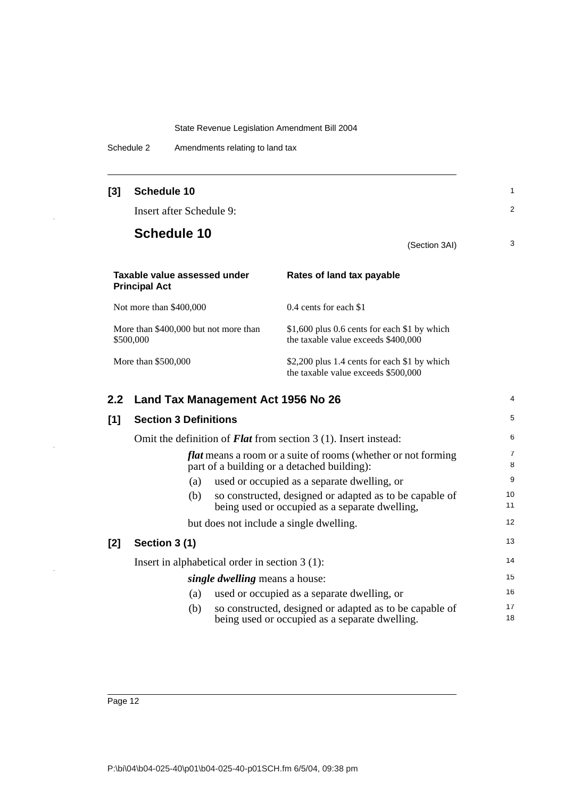Schedule 2 Amendments relating to land tax

| [3] | <b>Schedule 10</b>                                   |                                                  |                                                                                                                            |          |
|-----|------------------------------------------------------|--------------------------------------------------|----------------------------------------------------------------------------------------------------------------------------|----------|
|     | Insert after Schedule 9:                             |                                                  |                                                                                                                            |          |
|     | <b>Schedule 10</b>                                   |                                                  | (Section 3AI)                                                                                                              |          |
|     | Taxable value assessed under<br><b>Principal Act</b> |                                                  | Rates of land tax payable                                                                                                  |          |
|     | Not more than \$400,000                              |                                                  | 0.4 cents for each \$1                                                                                                     |          |
|     | More than \$400,000 but not more than<br>\$500,000   |                                                  | \$1,600 plus 0.6 cents for each \$1 by which<br>the taxable value exceeds \$400,000                                        |          |
|     | More than \$500,000                                  |                                                  | \$2,200 plus 1.4 cents for each \$1 by which<br>the taxable value exceeds \$500,000                                        |          |
| 2.2 |                                                      | Land Tax Management Act 1956 No 26               |                                                                                                                            |          |
| [1] | <b>Section 3 Definitions</b>                         |                                                  |                                                                                                                            |          |
|     |                                                      |                                                  | Omit the definition of <b>Flat</b> from section $3(1)$ . Insert instead:                                                   |          |
|     |                                                      |                                                  | <b><i>flat</i></b> means a room or a suite of rooms (whether or not forming<br>part of a building or a detached building): |          |
|     | (a)                                                  |                                                  | used or occupied as a separate dwelling, or                                                                                |          |
|     | (b)                                                  |                                                  | so constructed, designed or adapted as to be capable of<br>being used or occupied as a separate dwelling,                  | 10<br>11 |
|     |                                                      |                                                  | but does not include a single dwelling.                                                                                    | 12       |
| [2] | Section 3 (1)                                        |                                                  |                                                                                                                            | 13       |
|     |                                                      | Insert in alphabetical order in section $3(1)$ : |                                                                                                                            | 14       |
|     |                                                      | <i>single dwelling</i> means a house:            |                                                                                                                            | 15       |
|     | (a)                                                  |                                                  | used or occupied as a separate dwelling, or                                                                                | 16       |
|     | (b)                                                  |                                                  | so constructed, designed or adapted as to be capable of<br>being used or occupied as a separate dwelling.                  | 17<br>18 |
|     |                                                      |                                                  |                                                                                                                            |          |

 $\ddot{\phantom{a}}$ 

 $\ddot{\phantom{a}}$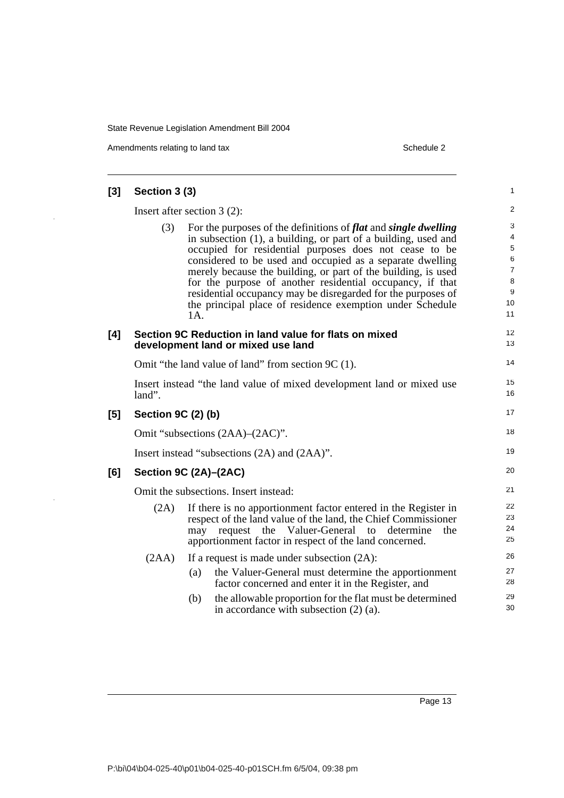Amendments relating to land tax Schedule 2

 $\bar{z}$ 

| $[3]$ | Section 3 (3)                                      |                                                                                                                                                                                                                                                                                                                                                                                                                                                                                                                            | $\mathbf{1}$                                                                     |  |  |  |
|-------|----------------------------------------------------|----------------------------------------------------------------------------------------------------------------------------------------------------------------------------------------------------------------------------------------------------------------------------------------------------------------------------------------------------------------------------------------------------------------------------------------------------------------------------------------------------------------------------|----------------------------------------------------------------------------------|--|--|--|
|       |                                                    | Insert after section $3(2)$ :                                                                                                                                                                                                                                                                                                                                                                                                                                                                                              | 2                                                                                |  |  |  |
|       | (3)                                                | For the purposes of the definitions of flat and single dwelling<br>in subsection (1), a building, or part of a building, used and<br>occupied for residential purposes does not cease to be<br>considered to be used and occupied as a separate dwelling<br>merely because the building, or part of the building, is used<br>for the purpose of another residential occupancy, if that<br>residential occupancy may be disregarded for the purposes of<br>the principal place of residence exemption under Schedule<br>1A. | $\ensuremath{\mathsf{3}}$<br>4<br>5<br>6<br>$\overline{7}$<br>8<br>9<br>10<br>11 |  |  |  |
| [4]   |                                                    | Section 9C Reduction in land value for flats on mixed<br>development land or mixed use land                                                                                                                                                                                                                                                                                                                                                                                                                                | 12<br>13                                                                         |  |  |  |
|       | Omit "the land value of land" from section 9C (1). |                                                                                                                                                                                                                                                                                                                                                                                                                                                                                                                            |                                                                                  |  |  |  |
|       | land".                                             | Insert instead "the land value of mixed development land or mixed use                                                                                                                                                                                                                                                                                                                                                                                                                                                      | 15<br>16                                                                         |  |  |  |
| [5]   | Section 9C (2) (b)                                 |                                                                                                                                                                                                                                                                                                                                                                                                                                                                                                                            | 17                                                                               |  |  |  |
|       |                                                    | Omit "subsections (2AA)–(2AC)".                                                                                                                                                                                                                                                                                                                                                                                                                                                                                            | 18                                                                               |  |  |  |
|       |                                                    | Insert instead "subsections (2A) and (2AA)".                                                                                                                                                                                                                                                                                                                                                                                                                                                                               | 19                                                                               |  |  |  |
| [6]   |                                                    | Section 9C (2A)-(2AC)                                                                                                                                                                                                                                                                                                                                                                                                                                                                                                      | 20                                                                               |  |  |  |
|       |                                                    | Omit the subsections. Insert instead:                                                                                                                                                                                                                                                                                                                                                                                                                                                                                      | 21                                                                               |  |  |  |
|       | (2A)                                               | If there is no apportionment factor entered in the Register in<br>respect of the land value of the land, the Chief Commissioner<br>request the Valuer-General to determine<br>the<br>may<br>apportionment factor in respect of the land concerned.                                                                                                                                                                                                                                                                         | 22<br>23<br>24<br>25                                                             |  |  |  |
|       | (2AA)                                              | If a request is made under subsection $(2A)$ :                                                                                                                                                                                                                                                                                                                                                                                                                                                                             | 26                                                                               |  |  |  |
|       |                                                    | the Valuer-General must determine the apportionment<br>(a)<br>factor concerned and enter it in the Register, and                                                                                                                                                                                                                                                                                                                                                                                                           | 27<br>28                                                                         |  |  |  |
|       |                                                    | the allowable proportion for the flat must be determined<br>(b)<br>in accordance with subsection $(2)$ $(a)$ .                                                                                                                                                                                                                                                                                                                                                                                                             | 29<br>30                                                                         |  |  |  |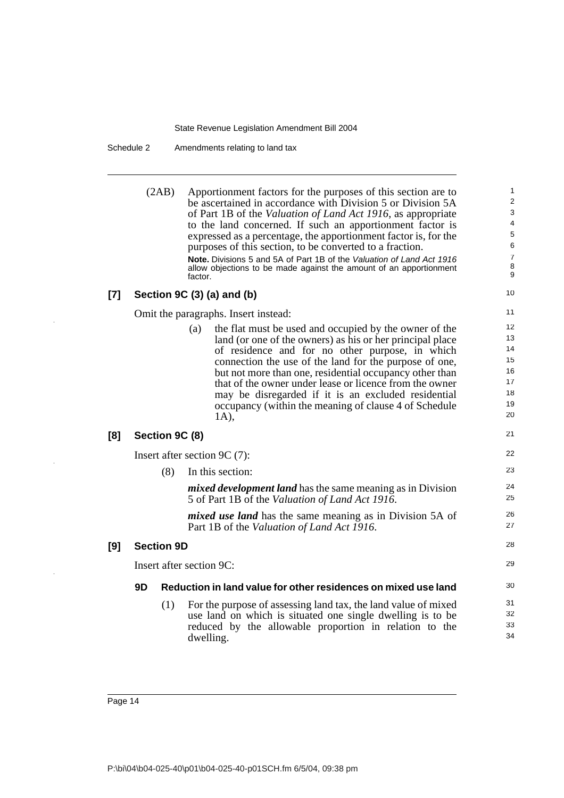Schedule 2 Amendments relating to land tax

(2AB) Apportionment factors for the purposes of this section are to be ascertained in accordance with Division 5 or Division 5A of Part 1B of the *Valuation of Land Act 1916*, as appropriate to the land concerned. If such an apportionment factor is expressed as a percentage, the apportionment factor is, for the purposes of this section, to be converted to a fraction. **Note.** Divisions 5 and 5A of Part 1B of the *Valuation of Land Act 1916* allow objections to be made against the amount of an apportionment factor. **[7] Section 9C (3) (a) and (b)** Omit the paragraphs. Insert instead: (a) the flat must be used and occupied by the owner of the land (or one of the owners) as his or her principal place of residence and for no other purpose, in which connection the use of the land for the purpose of one, but not more than one, residential occupancy other than that of the owner under lease or licence from the owner may be disregarded if it is an excluded residential occupancy (within the meaning of clause 4 of Schedule 1A), **[8] Section 9C (8)** Insert after section 9C (7): (8) In this section: *mixed development land* has the same meaning as in Division 5 of Part 1B of the *Valuation of Land Act 1916*. *mixed use land* has the same meaning as in Division 5A of Part 1B of the *Valuation of Land Act 1916*. **[9] Section 9D** Insert after section 9C: **9D Reduction in land value for other residences on mixed use land** (1) For the purpose of assessing land tax, the land value of mixed use land on which is situated one single dwelling is to be reduced by the allowable proportion in relation to the dwelling. 10 11 12 13 14 15 16 17 18 19 20 21 22 23 24 25 26 27 28 29 30 31 32 33 34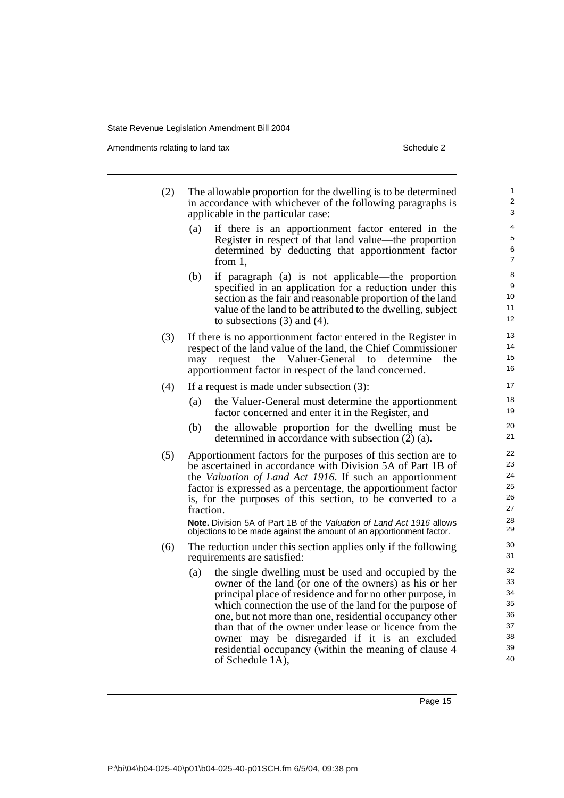Amendments relating to land tax Schedule 2

| (2) | The allowable proportion for the dwelling is to be determined<br>in accordance with whichever of the following paragraphs is<br>applicable in the particular case:                                                                                                                                                                                                                                                                                                                               | 1<br>2<br>3                                        |
|-----|--------------------------------------------------------------------------------------------------------------------------------------------------------------------------------------------------------------------------------------------------------------------------------------------------------------------------------------------------------------------------------------------------------------------------------------------------------------------------------------------------|----------------------------------------------------|
|     | if there is an apportionment factor entered in the<br>(a)<br>Register in respect of that land value—the proportion<br>determined by deducting that apportionment factor<br>from 1,                                                                                                                                                                                                                                                                                                               | 4<br>5<br>6<br>7                                   |
|     | (b)<br>if paragraph (a) is not applicable—the proportion<br>specified in an application for a reduction under this<br>section as the fair and reasonable proportion of the land<br>value of the land to be attributed to the dwelling, subject<br>to subsections $(3)$ and $(4)$ .                                                                                                                                                                                                               | 8<br>9<br>10<br>11<br>12 <sup>2</sup>              |
| (3) | If there is no apportionment factor entered in the Register in<br>respect of the land value of the land, the Chief Commissioner<br>request the Valuer-General<br>determine<br>the<br>to<br>may<br>apportionment factor in respect of the land concerned.                                                                                                                                                                                                                                         | 13<br>14<br>15<br>16                               |
| (4) | If a request is made under subsection $(3)$ :                                                                                                                                                                                                                                                                                                                                                                                                                                                    | 17                                                 |
|     | the Valuer-General must determine the apportionment<br>(a)<br>factor concerned and enter it in the Register, and                                                                                                                                                                                                                                                                                                                                                                                 | 18<br>19                                           |
|     | the allowable proportion for the dwelling must be<br>(b)<br>determined in accordance with subsection (2) (a).                                                                                                                                                                                                                                                                                                                                                                                    | 20<br>21                                           |
| (5) | Apportionment factors for the purposes of this section are to<br>be ascertained in accordance with Division 5A of Part 1B of<br>the Valuation of Land Act 1916. If such an apportionment<br>factor is expressed as a percentage, the apportionment factor<br>is, for the purposes of this section, to be converted to a<br>fraction.                                                                                                                                                             | 22<br>23<br>24<br>25<br>26<br>27                   |
|     | Note. Division 5A of Part 1B of the Valuation of Land Act 1916 allows<br>objections to be made against the amount of an apportionment factor.                                                                                                                                                                                                                                                                                                                                                    | 28<br>29                                           |
| (6) | The reduction under this section applies only if the following<br>requirements are satisfied:                                                                                                                                                                                                                                                                                                                                                                                                    | 30<br>31                                           |
|     | the single dwelling must be used and occupied by the<br>(a)<br>owner of the land (or one of the owners) as his or her<br>principal place of residence and for no other purpose, in<br>which connection the use of the land for the purpose of<br>one, but not more than one, residential occupancy other<br>than that of the owner under lease or licence from the<br>owner may be disregarded if it is an excluded<br>residential occupancy (within the meaning of clause 4<br>of Schedule 1A), | 32<br>33<br>34<br>35<br>36<br>37<br>38<br>39<br>40 |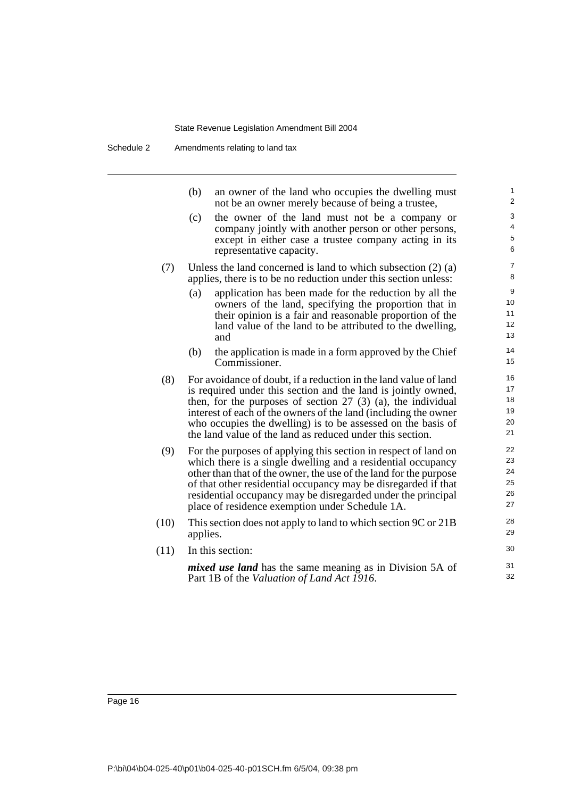|      | (b)      | an owner of the land who occupies the dwelling must<br>not be an owner merely because of being a trustee,                                                                                                                                                                                                                                                                                           | 1<br>$\boldsymbol{2}$            |
|------|----------|-----------------------------------------------------------------------------------------------------------------------------------------------------------------------------------------------------------------------------------------------------------------------------------------------------------------------------------------------------------------------------------------------------|----------------------------------|
|      | (c)      | the owner of the land must not be a company or<br>company jointly with another person or other persons,<br>except in either case a trustee company acting in its<br>representative capacity.                                                                                                                                                                                                        | 3<br>$\overline{4}$<br>5<br>6    |
| (7)  |          | Unless the land concerned is land to which subsection $(2)$ $(a)$<br>applies, there is to be no reduction under this section unless:                                                                                                                                                                                                                                                                | $\overline{7}$<br>8              |
|      | (a)      | application has been made for the reduction by all the<br>owners of the land, specifying the proportion that in<br>their opinion is a fair and reasonable proportion of the<br>land value of the land to be attributed to the dwelling,<br>and                                                                                                                                                      | 9<br>10<br>11<br>12<br>13        |
|      | (b)      | the application is made in a form approved by the Chief<br>Commissioner.                                                                                                                                                                                                                                                                                                                            | 14<br>15                         |
| (8)  |          | For avoidance of doubt, if a reduction in the land value of land<br>is required under this section and the land is jointly owned,<br>then, for the purposes of section $27$ (3) (a), the individual<br>interest of each of the owners of the land (including the owner<br>who occupies the dwelling) is to be assessed on the basis of<br>the land value of the land as reduced under this section. | 16<br>17<br>18<br>19<br>20<br>21 |
| (9)  |          | For the purposes of applying this section in respect of land on<br>which there is a single dwelling and a residential occupancy<br>other than that of the owner, the use of the land for the purpose<br>of that other residential occupancy may be disregarded if that<br>residential occupancy may be disregarded under the principal<br>place of residence exemption under Schedule 1A.           | 22<br>23<br>24<br>25<br>26<br>27 |
| (10) | applies. | This section does not apply to land to which section 9C or 21B                                                                                                                                                                                                                                                                                                                                      | 28<br>29                         |
| (11) |          | In this section:                                                                                                                                                                                                                                                                                                                                                                                    | 30                               |
|      |          | <i>mixed use land</i> has the same meaning as in Division 5A of<br>Part 1B of the Valuation of Land Act 1916.                                                                                                                                                                                                                                                                                       | 31<br>32                         |
|      |          |                                                                                                                                                                                                                                                                                                                                                                                                     |                                  |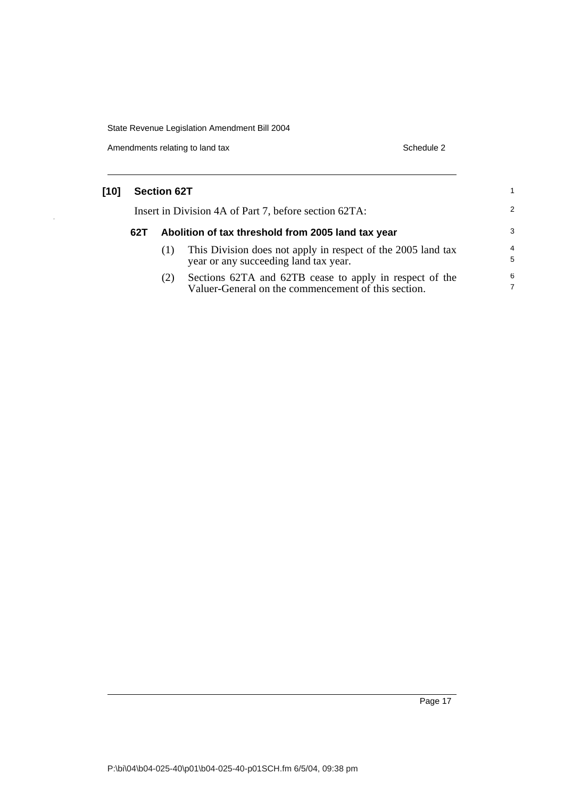Amendments relating to land tax Schedule 2

| [10] | <b>Section 62T</b> |     |                                                                                                                |               |  |  |
|------|--------------------|-----|----------------------------------------------------------------------------------------------------------------|---------------|--|--|
|      |                    |     | Insert in Division 4A of Part 7, before section 62TA:                                                          | $\mathcal{P}$ |  |  |
|      | 62T                |     | Abolition of tax threshold from 2005 land tax year                                                             | 3             |  |  |
|      |                    | (1) | This Division does not apply in respect of the 2005 land tax<br>year or any succeeding land tax year.          | 4<br>5        |  |  |
|      |                    | (2) | Sections 62TA and 62TB cease to apply in respect of the<br>Valuer-General on the commencement of this section. | 6<br>7        |  |  |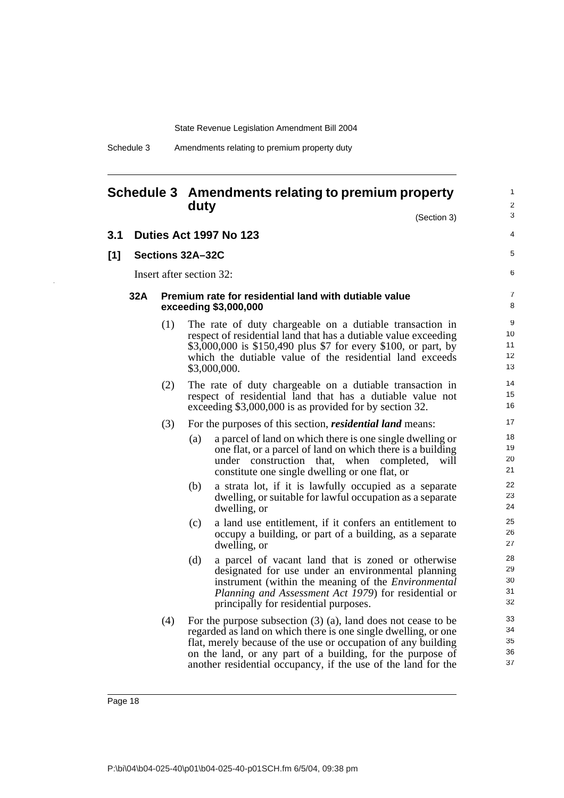# <span id="page-27-0"></span>**Schedule 3 Amendments relating to premium property duty**

1 2 3

4 5

6

|       |                  |     | uuly<br>(Section 3)                                                                                                                                                                                                                                                                                                                  |  |  |  |
|-------|------------------|-----|--------------------------------------------------------------------------------------------------------------------------------------------------------------------------------------------------------------------------------------------------------------------------------------------------------------------------------------|--|--|--|
| 3.1   |                  |     | Duties Act 1997 No 123                                                                                                                                                                                                                                                                                                               |  |  |  |
| $[1]$ | Sections 32A-32C |     |                                                                                                                                                                                                                                                                                                                                      |  |  |  |
|       |                  |     | Insert after section 32:                                                                                                                                                                                                                                                                                                             |  |  |  |
|       | 32A              |     | Premium rate for residential land with dutiable value<br>exceeding \$3,000,000                                                                                                                                                                                                                                                       |  |  |  |
|       |                  | (1) | The rate of duty chargeable on a dutiable transaction in<br>respect of residential land that has a dutiable value exceeding<br>\$3,000,000 is \$150,490 plus \$7 for every \$100, or part, by<br>which the dutiable value of the residential land exceeds<br>\$3,000,000.                                                            |  |  |  |
|       |                  | (2) | The rate of duty chargeable on a dutiable transaction in<br>respect of residential land that has a dutiable value not<br>exceeding \$3,000,000 is as provided for by section 32.                                                                                                                                                     |  |  |  |
|       |                  | (3) | For the purposes of this section, <i>residential land</i> means:                                                                                                                                                                                                                                                                     |  |  |  |
|       |                  |     | (a)<br>a parcel of land on which there is one single dwelling or<br>one flat, or a parcel of land on which there is a building<br>under construction that, when completed,<br>will<br>constitute one single dwelling or one flat, or                                                                                                 |  |  |  |
|       |                  |     | a strata lot, if it is lawfully occupied as a separate<br>(b)<br>dwelling, or suitable for lawful occupation as a separate<br>dwelling, or                                                                                                                                                                                           |  |  |  |
|       |                  |     | a land use entitlement, if it confers an entitlement to<br>(c)<br>occupy a building, or part of a building, as a separate<br>dwelling, or                                                                                                                                                                                            |  |  |  |
|       |                  |     | (d)<br>a parcel of vacant land that is zoned or otherwise<br>designated for use under an environmental planning<br>instrument (within the meaning of the <i>Environmental</i><br>Planning and Assessment Act 1979) for residential or<br>principally for residential purposes.                                                       |  |  |  |
|       |                  | (4) | For the purpose subsection $(3)$ $(a)$ , land does not cease to be<br>regarded as land on which there is one single dwelling, or one<br>flat, merely because of the use or occupation of any building<br>on the land, or any part of a building, for the purpose of<br>another residential occupancy, if the use of the land for the |  |  |  |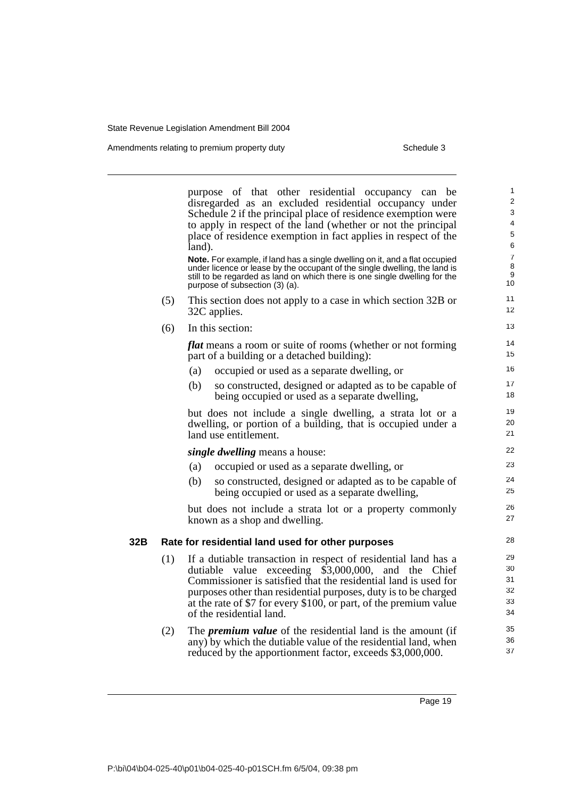Amendments relating to premium property duty example 3 Schedule 3

|     |     | purpose of that other residential occupancy can be<br>disregarded as an excluded residential occupancy under<br>Schedule 2 if the principal place of residence exemption were<br>to apply in respect of the land (whether or not the principal<br>place of residence exemption in fact applies in respect of the<br>land).<br>Note. For example, if land has a single dwelling on it, and a flat occupied<br>under licence or lease by the occupant of the single dwelling, the land is<br>still to be regarded as land on which there is one single dwelling for the<br>purpose of subsection (3) (a). | 1<br>$\overline{2}$<br>3<br>4<br>5<br>6<br>$\boldsymbol{7}$<br>8<br>9<br>10 |
|-----|-----|---------------------------------------------------------------------------------------------------------------------------------------------------------------------------------------------------------------------------------------------------------------------------------------------------------------------------------------------------------------------------------------------------------------------------------------------------------------------------------------------------------------------------------------------------------------------------------------------------------|-----------------------------------------------------------------------------|
|     | (5) | This section does not apply to a case in which section 32B or<br>32C applies.                                                                                                                                                                                                                                                                                                                                                                                                                                                                                                                           | 11<br>12                                                                    |
|     | (6) | In this section:                                                                                                                                                                                                                                                                                                                                                                                                                                                                                                                                                                                        | 13                                                                          |
|     |     | <i>flat</i> means a room or suite of rooms (whether or not forming<br>part of a building or a detached building):                                                                                                                                                                                                                                                                                                                                                                                                                                                                                       | 14<br>15                                                                    |
|     |     | (a)<br>occupied or used as a separate dwelling, or                                                                                                                                                                                                                                                                                                                                                                                                                                                                                                                                                      | 16                                                                          |
|     |     | so constructed, designed or adapted as to be capable of<br>(b)<br>being occupied or used as a separate dwelling,                                                                                                                                                                                                                                                                                                                                                                                                                                                                                        | 17<br>18                                                                    |
|     |     | but does not include a single dwelling, a strata lot or a<br>dwelling, or portion of a building, that is occupied under a<br>land use entitlement.                                                                                                                                                                                                                                                                                                                                                                                                                                                      | 19<br>20<br>21                                                              |
|     |     | <i>single dwelling</i> means a house:                                                                                                                                                                                                                                                                                                                                                                                                                                                                                                                                                                   | 22                                                                          |
|     |     | occupied or used as a separate dwelling, or<br>(a)                                                                                                                                                                                                                                                                                                                                                                                                                                                                                                                                                      | 23                                                                          |
|     |     | so constructed, designed or adapted as to be capable of<br>(b)<br>being occupied or used as a separate dwelling,                                                                                                                                                                                                                                                                                                                                                                                                                                                                                        | 24<br>25                                                                    |
|     |     | but does not include a strata lot or a property commonly<br>known as a shop and dwelling.                                                                                                                                                                                                                                                                                                                                                                                                                                                                                                               | 26<br>27                                                                    |
| 32B |     | Rate for residential land used for other purposes                                                                                                                                                                                                                                                                                                                                                                                                                                                                                                                                                       | 28                                                                          |
|     | (1) | If a dutiable transaction in respect of residential land has a<br>dutiable value exceeding \$3,000,000, and the Chief<br>Commissioner is satisfied that the residential land is used for<br>purposes other than residential purposes, duty is to be charged<br>at the rate of \$7 for every \$100, or part, of the premium value<br>of the residential land.                                                                                                                                                                                                                                            | 29<br>30<br>31<br>32<br>33<br>34                                            |
|     | (2) | The <i>premium value</i> of the residential land is the amount (if<br>any) by which the dutiable value of the residential land, when<br>reduced by the apportionment factor, exceeds \$3,000,000.                                                                                                                                                                                                                                                                                                                                                                                                       | 35<br>36<br>37                                                              |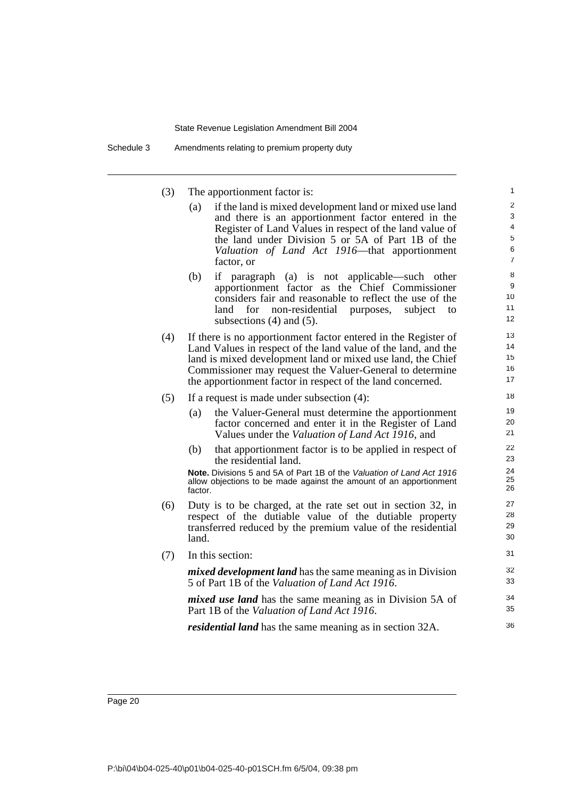Schedule 3 Amendments relating to premium property duty

| (3) | The apportionment factor is:                                                                                                                                                                                                                                                                                             | 1                                       |  |  |
|-----|--------------------------------------------------------------------------------------------------------------------------------------------------------------------------------------------------------------------------------------------------------------------------------------------------------------------------|-----------------------------------------|--|--|
|     | if the land is mixed development land or mixed use land<br>(a)<br>and there is an apportionment factor entered in the<br>Register of Land Values in respect of the land value of<br>the land under Division 5 or 5A of Part 1B of the<br>Valuation of Land Act 1916-that apportionment<br>factor, or                     | 2<br>3<br>4<br>5<br>6<br>$\overline{7}$ |  |  |
|     | (b)<br>paragraph (a) is not applicable—such other<br>if<br>apportionment factor as the Chief Commissioner<br>considers fair and reasonable to reflect the use of the<br>land for non-residential<br>subject<br>purposes,<br>to<br>subsections $(4)$ and $(5)$ .                                                          | 8<br>9<br>10<br>11<br>12                |  |  |
| (4) | If there is no apportionment factor entered in the Register of<br>Land Values in respect of the land value of the land, and the<br>land is mixed development land or mixed use land, the Chief<br>Commissioner may request the Valuer-General to determine<br>the apportionment factor in respect of the land concerned. | 13<br>14<br>15<br>16<br>17              |  |  |
| (5) | If a request is made under subsection $(4)$ :                                                                                                                                                                                                                                                                            | 18                                      |  |  |
|     | the Valuer-General must determine the apportionment<br>(a)<br>factor concerned and enter it in the Register of Land<br>Values under the Valuation of Land Act 1916, and                                                                                                                                                  | 19<br>20<br>21                          |  |  |
|     | that apportionment factor is to be applied in respect of<br>(b)<br>the residential land.                                                                                                                                                                                                                                 | 22<br>23                                |  |  |
|     | Note. Divisions 5 and 5A of Part 1B of the Valuation of Land Act 1916<br>allow objections to be made against the amount of an apportionment<br>factor.                                                                                                                                                                   | 24<br>25<br>26                          |  |  |
| (6) | Duty is to be charged, at the rate set out in section 32, in<br>respect of the dutiable value of the dutiable property<br>transferred reduced by the premium value of the residential<br>land.                                                                                                                           | 27<br>28<br>29<br>30                    |  |  |
| (7) | In this section:                                                                                                                                                                                                                                                                                                         | 31                                      |  |  |
|     | <i>mixed development land</i> has the same meaning as in Division<br>5 of Part 1B of the Valuation of Land Act 1916.                                                                                                                                                                                                     |                                         |  |  |
|     | <i>mixed use land</i> has the same meaning as in Division 5A of<br>Part 1B of the Valuation of Land Act 1916.                                                                                                                                                                                                            | 34<br>35                                |  |  |
|     | <i>residential land</i> has the same meaning as in section 32A.                                                                                                                                                                                                                                                          | 36                                      |  |  |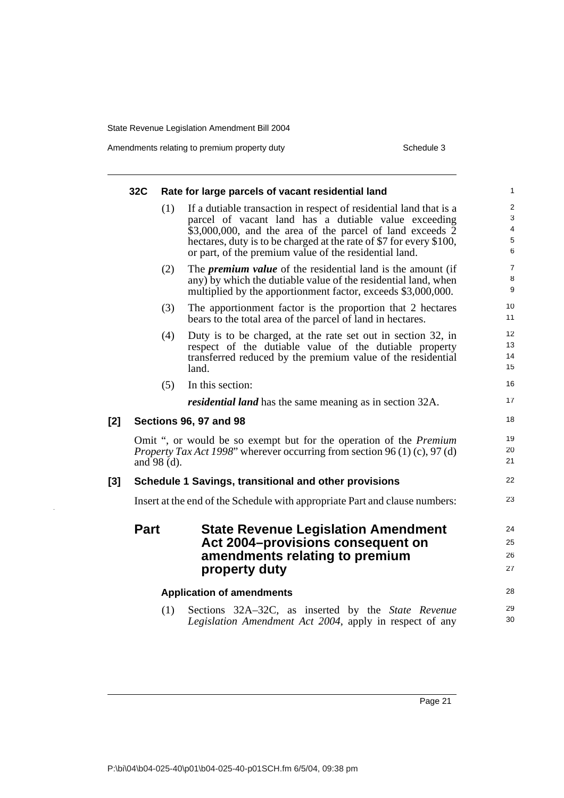Amendments relating to premium property duty example 3 Schedule 3

|     | 32C         |               | Rate for large parcels of vacant residential land                                                                                                                                                                                                                                                                                       | 1                                           |
|-----|-------------|---------------|-----------------------------------------------------------------------------------------------------------------------------------------------------------------------------------------------------------------------------------------------------------------------------------------------------------------------------------------|---------------------------------------------|
|     |             | (1)           | If a dutiable transaction in respect of residential land that is a<br>parcel of vacant land has a dutiable value exceeding<br>$$3,000,000$ , and the area of the parcel of land exceeds $\overline{2}$<br>hectares, duty is to be charged at the rate of \$7 for every \$100,<br>or part, of the premium value of the residential land. | $\overline{\mathbf{c}}$<br>3<br>4<br>5<br>6 |
|     |             | (2)           | The <i>premium value</i> of the residential land is the amount (if<br>any) by which the dutiable value of the residential land, when<br>multiplied by the apportionment factor, exceeds \$3,000,000.                                                                                                                                    | 7<br>8<br>9                                 |
|     |             | (3)           | The apportionment factor is the proportion that 2 hectares<br>bears to the total area of the parcel of land in hectares.                                                                                                                                                                                                                | 10<br>11                                    |
|     |             | (4)           | Duty is to be charged, at the rate set out in section 32, in<br>respect of the dutiable value of the dutiable property<br>transferred reduced by the premium value of the residential<br>land.                                                                                                                                          | 12<br>13<br>14<br>15                        |
|     |             | (5)           | In this section:                                                                                                                                                                                                                                                                                                                        | 16                                          |
|     |             |               | <i>residential land</i> has the same meaning as in section 32A.                                                                                                                                                                                                                                                                         | 17                                          |
| [2] |             |               | <b>Sections 96, 97 and 98</b>                                                                                                                                                                                                                                                                                                           | 18                                          |
|     |             | and $98$ (d). | Omit ", or would be so exempt but for the operation of the <i>Premium</i><br><i>Property Tax Act 1998</i> " wherever occurring from section 96 (1) (c), 97 (d)                                                                                                                                                                          | 19<br>20<br>21                              |
| [3] |             |               | Schedule 1 Savings, transitional and other provisions                                                                                                                                                                                                                                                                                   | 22                                          |
|     |             |               | Insert at the end of the Schedule with appropriate Part and clause numbers:                                                                                                                                                                                                                                                             | 23                                          |
|     | <b>Part</b> |               | <b>State Revenue Legislation Amendment</b><br>Act 2004–provisions consequent on<br>amendments relating to premium<br>property duty                                                                                                                                                                                                      | 24<br>25<br>26<br>27                        |
|     |             |               | <b>Application of amendments</b>                                                                                                                                                                                                                                                                                                        | 28                                          |
|     |             | (1)           | Sections 32A-32C, as inserted by the State Revenue<br><i>Legislation Amendment Act 2004</i> , apply in respect of any                                                                                                                                                                                                                   | 29<br>30                                    |
|     |             |               |                                                                                                                                                                                                                                                                                                                                         |                                             |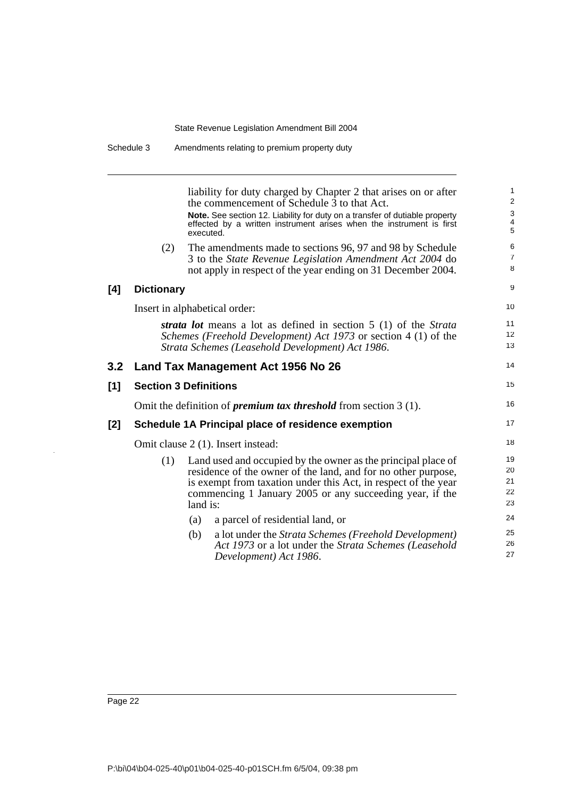liability for duty charged by Chapter 2 that arises on or after the commencement of Schedule 3 to that Act. **Note.** See section 12. Liability for duty on a transfer of dutiable property effected by a written instrument arises when the instrument is first executed.

14

15

16

17

(2) The amendments made to sections 96, 97 and 98 by Schedule 3 to the *State Revenue Legislation Amendment Act 2004* do not apply in respect of the year ending on 31 December 2004.

### **[4] Dictionary**

Insert in alphabetical order:

*strata lot* means a lot as defined in section 5 (1) of the *Strata Schemes (Freehold Development) Act 1973* or section 4 (1) of the *Strata Schemes (Leasehold Development) Act 1986*.

### **3.2 Land Tax Management Act 1956 No 26**

#### **[1] Section 3 Definitions**

Omit the definition of *premium tax threshold* from section 3 (1).

### **[2] Schedule 1A Principal place of residence exemption**

Omit clause 2 (1). Insert instead:

- (1) Land used and occupied by the owner as the principal place of residence of the owner of the land, and for no other purpose, is exempt from taxation under this Act, in respect of the year commencing 1 January 2005 or any succeeding year, if the land is:
	- (a) a parcel of residential land, or
	- (b) a lot under the *Strata Schemes (Freehold Development) Act 1973* or a lot under the *Strata Schemes (Leasehold Development) Act 1986*. 25 26 27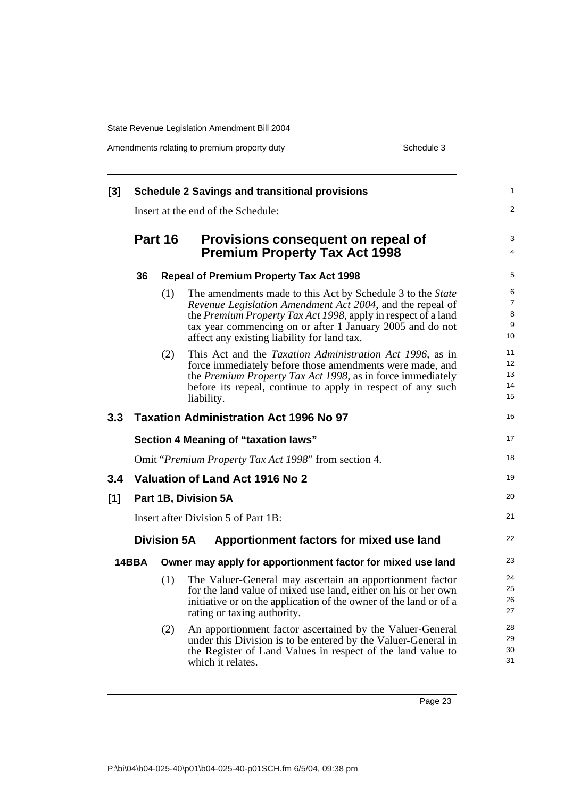l,

Amendments relating to premium property duty example 3 Schedule 3

| $[3]$            | <b>Schedule 2 Savings and transitional provisions</b>                                 |                    |                                                                                                                                                                                                                                                                                                              |                            |  |  |
|------------------|---------------------------------------------------------------------------------------|--------------------|--------------------------------------------------------------------------------------------------------------------------------------------------------------------------------------------------------------------------------------------------------------------------------------------------------------|----------------------------|--|--|
|                  |                                                                                       |                    | Insert at the end of the Schedule:                                                                                                                                                                                                                                                                           | 2                          |  |  |
|                  | Part 16<br>Provisions consequent on repeal of<br><b>Premium Property Tax Act 1998</b> |                    |                                                                                                                                                                                                                                                                                                              |                            |  |  |
|                  | 36<br><b>Repeal of Premium Property Tax Act 1998</b>                                  |                    |                                                                                                                                                                                                                                                                                                              | 5                          |  |  |
|                  |                                                                                       | (1)                | The amendments made to this Act by Schedule 3 to the State<br>Revenue Legislation Amendment Act 2004, and the repeal of<br>the <i>Premium Property Tax Act 1998</i> , apply in respect of a land<br>tax year commencing on or after 1 January 2005 and do not<br>affect any existing liability for land tax. | 6<br>7<br>8<br>9<br>10     |  |  |
|                  |                                                                                       | (2)                | This Act and the <i>Taxation Administration Act 1996</i> , as in<br>force immediately before those amendments were made, and<br>the <i>Premium Property Tax Act 1998</i> , as in force immediately<br>before its repeal, continue to apply in respect of any such<br>liability.                              | 11<br>12<br>13<br>14<br>15 |  |  |
| 3.3              |                                                                                       |                    | <b>Taxation Administration Act 1996 No 97</b>                                                                                                                                                                                                                                                                | 16                         |  |  |
|                  | Section 4 Meaning of "taxation laws"                                                  |                    |                                                                                                                                                                                                                                                                                                              |                            |  |  |
|                  |                                                                                       |                    | Omit " <i>Premium Property Tax Act 1998</i> " from section 4.                                                                                                                                                                                                                                                | 18                         |  |  |
| 3.4 <sup>°</sup> |                                                                                       |                    | Valuation of Land Act 1916 No 2                                                                                                                                                                                                                                                                              | 19                         |  |  |
| [1]              |                                                                                       |                    | Part 1B, Division 5A                                                                                                                                                                                                                                                                                         | 20                         |  |  |
|                  |                                                                                       |                    | Insert after Division 5 of Part 1B:                                                                                                                                                                                                                                                                          | 21                         |  |  |
|                  |                                                                                       | <b>Division 5A</b> | Apportionment factors for mixed use land                                                                                                                                                                                                                                                                     | 22                         |  |  |
|                  | 14BBA                                                                                 |                    | Owner may apply for apportionment factor for mixed use land                                                                                                                                                                                                                                                  | 23                         |  |  |
|                  |                                                                                       | (1)                | The Valuer-General may ascertain an apportionment factor<br>for the land value of mixed use land, either on his or her own<br>initiative or on the application of the owner of the land or of a<br>rating or taxing authority.                                                                               | 24<br>25<br>26<br>27       |  |  |
|                  |                                                                                       | (2)                | An apportionment factor ascertained by the Valuer-General<br>under this Division is to be entered by the Valuer-General in<br>the Register of Land Values in respect of the land value to<br>which it relates.                                                                                               | 28<br>29<br>30<br>31       |  |  |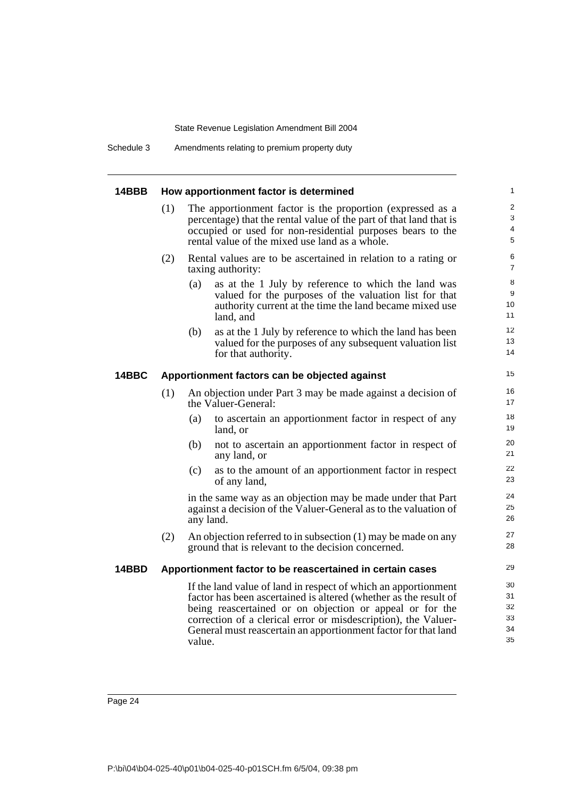Schedule 3 Amendments relating to premium property duty

| 14BBB |     | How apportionment factor is determined                                                                                                                                                                                                                                                                                                       | $\mathbf{1}$                                          |
|-------|-----|----------------------------------------------------------------------------------------------------------------------------------------------------------------------------------------------------------------------------------------------------------------------------------------------------------------------------------------------|-------------------------------------------------------|
|       | (1) | The apportionment factor is the proportion (expressed as a<br>percentage) that the rental value of the part of that land that is<br>occupied or used for non-residential purposes bears to the<br>rental value of the mixed use land as a whole.                                                                                             | $\overline{2}$<br>$\ensuremath{\mathsf{3}}$<br>4<br>5 |
|       | (2) | Rental values are to be ascertained in relation to a rating or<br>taxing authority:                                                                                                                                                                                                                                                          | $\,6$<br>$\overline{7}$                               |
|       |     | as at the 1 July by reference to which the land was<br>(a)<br>valued for the purposes of the valuation list for that<br>authority current at the time the land became mixed use<br>land, and                                                                                                                                                 | 8<br>9<br>10<br>11                                    |
|       |     | (b)<br>as at the 1 July by reference to which the land has been<br>valued for the purposes of any subsequent valuation list<br>for that authority.                                                                                                                                                                                           | 12<br>13<br>14                                        |
| 14BBC |     | Apportionment factors can be objected against                                                                                                                                                                                                                                                                                                | 15                                                    |
|       | (1) | An objection under Part 3 may be made against a decision of<br>the Valuer-General:                                                                                                                                                                                                                                                           | 16<br>17                                              |
|       |     | to ascertain an apportionment factor in respect of any<br>(a)<br>land, or                                                                                                                                                                                                                                                                    | 18<br>19                                              |
|       |     | not to ascertain an apportionment factor in respect of<br>(b)<br>any land, or                                                                                                                                                                                                                                                                | 20<br>21                                              |
|       |     | as to the amount of an apportionment factor in respect<br>(c)<br>of any land,                                                                                                                                                                                                                                                                | 22<br>23                                              |
|       |     | in the same way as an objection may be made under that Part<br>against a decision of the Valuer-General as to the valuation of<br>any land.                                                                                                                                                                                                  | 24<br>25<br>26                                        |
|       | (2) | An objection referred to in subsection (1) may be made on any<br>ground that is relevant to the decision concerned.                                                                                                                                                                                                                          | 27<br>28                                              |
| 14BBD |     | Apportionment factor to be reascertained in certain cases                                                                                                                                                                                                                                                                                    | 29                                                    |
|       |     | If the land value of land in respect of which an apportionment<br>factor has been ascertained is altered (whether as the result of<br>being reascertained or on objection or appeal or for the<br>correction of a clerical error or misdescription), the Valuer-<br>General must reascertain an apportionment factor for that land<br>value. | $30\,$<br>31<br>32<br>33<br>34<br>35                  |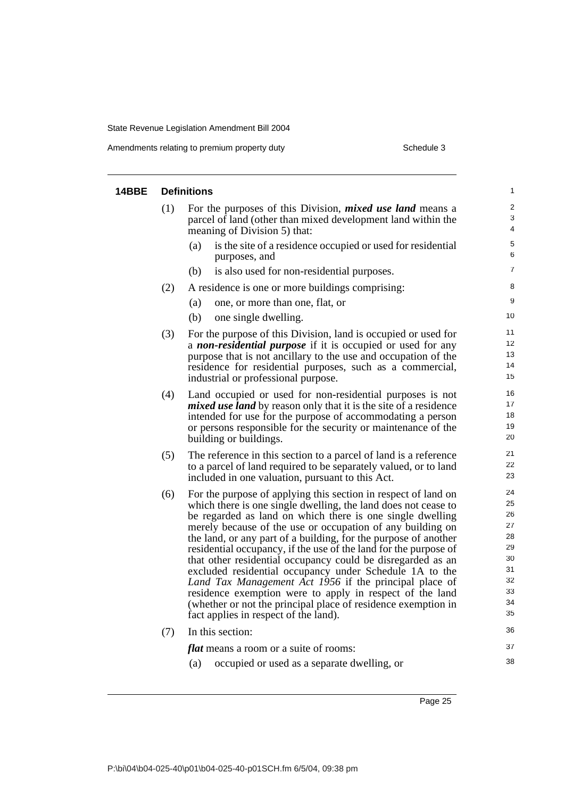| 2<br>(1)<br>For the purposes of this Division, <i>mixed</i> use land means a<br>3<br>parcel of land (other than mixed development land within the<br>4<br>meaning of Division 5) that:<br>5<br>is the site of a residence occupied or used for residential<br>(a)<br>6<br>purposes, and<br>7<br>is also used for non-residential purposes.<br>(b)<br>8<br>A residence is one or more buildings comprising:<br>(2)<br>9<br>one, or more than one, flat, or<br>(a)<br>10<br>(b)<br>one single dwelling.<br>11<br>For the purpose of this Division, land is occupied or used for<br>(3)<br>12<br>a <b>non-residential purpose</b> if it is occupied or used for any<br>13<br>purpose that is not ancillary to the use and occupation of the<br>14<br>residence for residential purposes, such as a commercial,<br>15<br>industrial or professional purpose.<br>16<br>(4)<br>Land occupied or used for non-residential purposes is not<br>17<br><i>mixed use land</i> by reason only that it is the site of a residence<br>18<br>intended for use for the purpose of accommodating a person<br>19<br>or persons responsible for the security or maintenance of the<br>20<br>building or buildings.<br>21<br>(5)<br>The reference in this section to a parcel of land is a reference<br>22<br>to a parcel of land required to be separately valued, or to land<br>23<br>included in one valuation, pursuant to this Act.<br>24<br>For the purpose of applying this section in respect of land on<br>(6)<br>25<br>which there is one single dwelling, the land does not cease to<br>26<br>be regarded as land on which there is one single dwelling<br>27<br>merely because of the use or occupation of any building on<br>28<br>the land, or any part of a building, for the purpose of another<br>29<br>residential occupancy, if the use of the land for the purpose of<br>30<br>that other residential occupancy could be disregarded as an<br>31<br>excluded residential occupancy under Schedule 1A to the<br>32<br>Land Tax Management Act 1956 if the principal place of<br>33<br>residence exemption were to apply in respect of the land<br>34<br>(whether or not the principal place of residence exemption in<br>35<br>fact applies in respect of the land).<br>36<br>In this section:<br>(7)<br>37<br><i>flat</i> means a room or a suite of rooms:<br>38<br>occupied or used as a separate dwelling, or<br>(a) | 14BBE | <b>Definitions</b> |  |  |  |  |
|------------------------------------------------------------------------------------------------------------------------------------------------------------------------------------------------------------------------------------------------------------------------------------------------------------------------------------------------------------------------------------------------------------------------------------------------------------------------------------------------------------------------------------------------------------------------------------------------------------------------------------------------------------------------------------------------------------------------------------------------------------------------------------------------------------------------------------------------------------------------------------------------------------------------------------------------------------------------------------------------------------------------------------------------------------------------------------------------------------------------------------------------------------------------------------------------------------------------------------------------------------------------------------------------------------------------------------------------------------------------------------------------------------------------------------------------------------------------------------------------------------------------------------------------------------------------------------------------------------------------------------------------------------------------------------------------------------------------------------------------------------------------------------------------------------------------------------------------------------------------------------------------------------------------------------------------------------------------------------------------------------------------------------------------------------------------------------------------------------------------------------------------------------------------------------------------------------------------------------------------------------------------------------------------------------------------------------------------------------------------------------------------------------------------|-------|--------------------|--|--|--|--|
|                                                                                                                                                                                                                                                                                                                                                                                                                                                                                                                                                                                                                                                                                                                                                                                                                                                                                                                                                                                                                                                                                                                                                                                                                                                                                                                                                                                                                                                                                                                                                                                                                                                                                                                                                                                                                                                                                                                                                                                                                                                                                                                                                                                                                                                                                                                                                                                                                        |       |                    |  |  |  |  |
|                                                                                                                                                                                                                                                                                                                                                                                                                                                                                                                                                                                                                                                                                                                                                                                                                                                                                                                                                                                                                                                                                                                                                                                                                                                                                                                                                                                                                                                                                                                                                                                                                                                                                                                                                                                                                                                                                                                                                                                                                                                                                                                                                                                                                                                                                                                                                                                                                        |       |                    |  |  |  |  |
|                                                                                                                                                                                                                                                                                                                                                                                                                                                                                                                                                                                                                                                                                                                                                                                                                                                                                                                                                                                                                                                                                                                                                                                                                                                                                                                                                                                                                                                                                                                                                                                                                                                                                                                                                                                                                                                                                                                                                                                                                                                                                                                                                                                                                                                                                                                                                                                                                        |       |                    |  |  |  |  |
|                                                                                                                                                                                                                                                                                                                                                                                                                                                                                                                                                                                                                                                                                                                                                                                                                                                                                                                                                                                                                                                                                                                                                                                                                                                                                                                                                                                                                                                                                                                                                                                                                                                                                                                                                                                                                                                                                                                                                                                                                                                                                                                                                                                                                                                                                                                                                                                                                        |       |                    |  |  |  |  |
|                                                                                                                                                                                                                                                                                                                                                                                                                                                                                                                                                                                                                                                                                                                                                                                                                                                                                                                                                                                                                                                                                                                                                                                                                                                                                                                                                                                                                                                                                                                                                                                                                                                                                                                                                                                                                                                                                                                                                                                                                                                                                                                                                                                                                                                                                                                                                                                                                        |       |                    |  |  |  |  |
|                                                                                                                                                                                                                                                                                                                                                                                                                                                                                                                                                                                                                                                                                                                                                                                                                                                                                                                                                                                                                                                                                                                                                                                                                                                                                                                                                                                                                                                                                                                                                                                                                                                                                                                                                                                                                                                                                                                                                                                                                                                                                                                                                                                                                                                                                                                                                                                                                        |       |                    |  |  |  |  |
|                                                                                                                                                                                                                                                                                                                                                                                                                                                                                                                                                                                                                                                                                                                                                                                                                                                                                                                                                                                                                                                                                                                                                                                                                                                                                                                                                                                                                                                                                                                                                                                                                                                                                                                                                                                                                                                                                                                                                                                                                                                                                                                                                                                                                                                                                                                                                                                                                        |       |                    |  |  |  |  |
|                                                                                                                                                                                                                                                                                                                                                                                                                                                                                                                                                                                                                                                                                                                                                                                                                                                                                                                                                                                                                                                                                                                                                                                                                                                                                                                                                                                                                                                                                                                                                                                                                                                                                                                                                                                                                                                                                                                                                                                                                                                                                                                                                                                                                                                                                                                                                                                                                        |       |                    |  |  |  |  |
|                                                                                                                                                                                                                                                                                                                                                                                                                                                                                                                                                                                                                                                                                                                                                                                                                                                                                                                                                                                                                                                                                                                                                                                                                                                                                                                                                                                                                                                                                                                                                                                                                                                                                                                                                                                                                                                                                                                                                                                                                                                                                                                                                                                                                                                                                                                                                                                                                        |       |                    |  |  |  |  |
|                                                                                                                                                                                                                                                                                                                                                                                                                                                                                                                                                                                                                                                                                                                                                                                                                                                                                                                                                                                                                                                                                                                                                                                                                                                                                                                                                                                                                                                                                                                                                                                                                                                                                                                                                                                                                                                                                                                                                                                                                                                                                                                                                                                                                                                                                                                                                                                                                        |       |                    |  |  |  |  |
|                                                                                                                                                                                                                                                                                                                                                                                                                                                                                                                                                                                                                                                                                                                                                                                                                                                                                                                                                                                                                                                                                                                                                                                                                                                                                                                                                                                                                                                                                                                                                                                                                                                                                                                                                                                                                                                                                                                                                                                                                                                                                                                                                                                                                                                                                                                                                                                                                        |       |                    |  |  |  |  |
|                                                                                                                                                                                                                                                                                                                                                                                                                                                                                                                                                                                                                                                                                                                                                                                                                                                                                                                                                                                                                                                                                                                                                                                                                                                                                                                                                                                                                                                                                                                                                                                                                                                                                                                                                                                                                                                                                                                                                                                                                                                                                                                                                                                                                                                                                                                                                                                                                        |       |                    |  |  |  |  |
|                                                                                                                                                                                                                                                                                                                                                                                                                                                                                                                                                                                                                                                                                                                                                                                                                                                                                                                                                                                                                                                                                                                                                                                                                                                                                                                                                                                                                                                                                                                                                                                                                                                                                                                                                                                                                                                                                                                                                                                                                                                                                                                                                                                                                                                                                                                                                                                                                        |       |                    |  |  |  |  |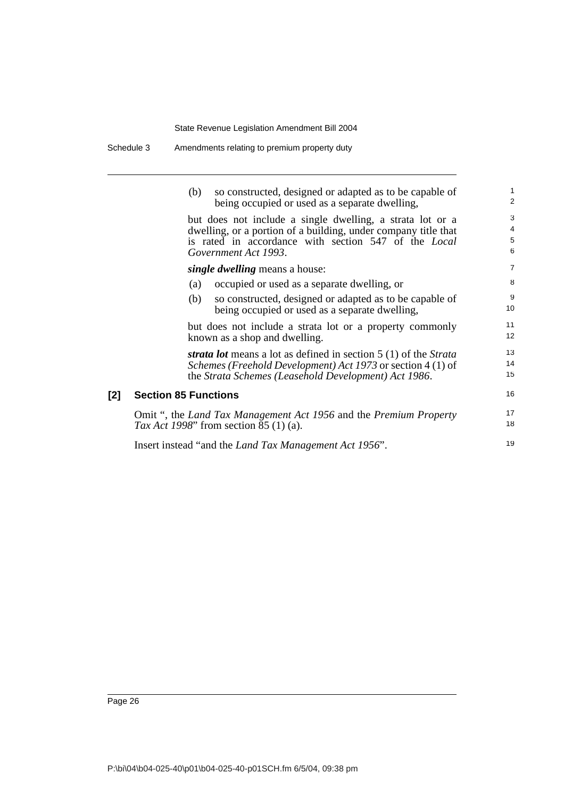| Schedule 3 | Amendments relating to premium property duty |  |  |  |  |
|------------|----------------------------------------------|--|--|--|--|
|------------|----------------------------------------------|--|--|--|--|

|     | so constructed, designed or adapted as to be capable of<br>(b)<br>being occupied or used as a separate dwelling,                                                                                                   | $\mathbf{1}$<br>2      |
|-----|--------------------------------------------------------------------------------------------------------------------------------------------------------------------------------------------------------------------|------------------------|
|     | but does not include a single dwelling, a strata lot or a<br>dwelling, or a portion of a building, under company title that<br>is rated in accordance with section 547 of the <i>Local</i><br>Government Act 1993. | 3<br>4<br>5<br>$\,6\,$ |
|     | <i>single dwelling</i> means a house:                                                                                                                                                                              | $\overline{7}$         |
|     | occupied or used as a separate dwelling, or<br>(a)                                                                                                                                                                 | 8                      |
|     | so constructed, designed or adapted as to be capable of<br>(b)<br>being occupied or used as a separate dwelling,                                                                                                   | 9<br>10                |
|     | but does not include a strata lot or a property commonly<br>known as a shop and dwelling.                                                                                                                          | 11<br>12               |
|     | strata lot means a lot as defined in section 5 (1) of the Strata<br>Schemes (Freehold Development) Act 1973 or section 4 (1) of<br>the Strata Schemes (Leasehold Development) Act 1986.                            | 13<br>14<br>15         |
| [2] | <b>Section 85 Functions</b>                                                                                                                                                                                        | 16                     |
|     | Omit ", the <i>Land Tax Management Act 1956</i> and the <i>Premium Property</i><br>Tax Act 1998" from section 85 (1) (a).                                                                                          | 17<br>18               |
|     | Insert instead "and the <i>Land Tax Management Act 1956"</i> .                                                                                                                                                     | 19                     |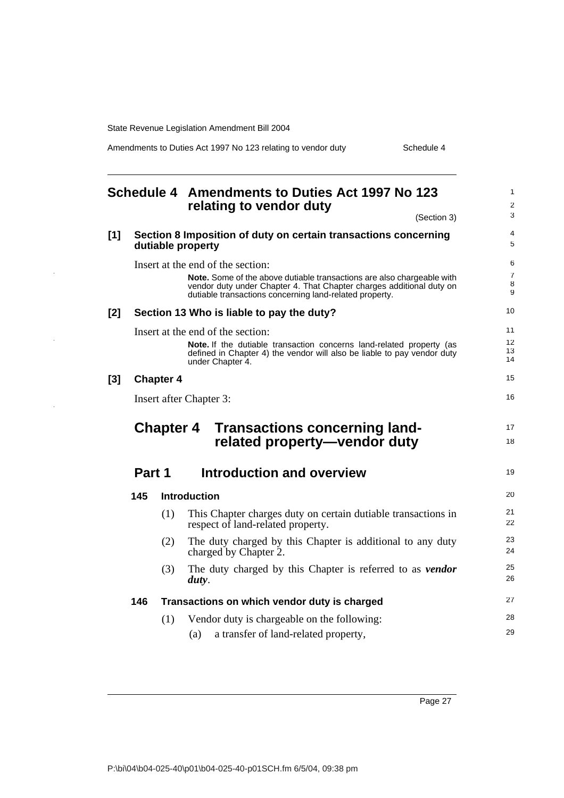$\ddot{\phantom{1}}$ 

 $\hat{\mathcal{A}}$ 

 $\bar{z}$ 

Amendments to Duties Act 1997 No 123 relating to vendor duty Schedule 4

|       |        |                  | Schedule 4 Amendments to Duties Act 1997 No 123<br>relating to vendor duty                                                                                                                                |                |  |
|-------|--------|------------------|-----------------------------------------------------------------------------------------------------------------------------------------------------------------------------------------------------------|----------------|--|
|       |        |                  | (Section 3)                                                                                                                                                                                               | 3              |  |
| [1]   |        |                  | Section 8 Imposition of duty on certain transactions concerning<br>dutiable property                                                                                                                      | 4<br>5         |  |
|       |        |                  | Insert at the end of the section:                                                                                                                                                                         | 6              |  |
|       |        |                  | Note. Some of the above dutiable transactions are also chargeable with<br>vendor duty under Chapter 4. That Chapter charges additional duty on<br>dutiable transactions concerning land-related property. | 7<br>8<br>9    |  |
| [2]   |        |                  | Section 13 Who is liable to pay the duty?                                                                                                                                                                 | 10             |  |
|       |        |                  | Insert at the end of the section:                                                                                                                                                                         | 11             |  |
|       |        |                  | Note. If the dutiable transaction concerns land-related property (as<br>defined in Chapter 4) the vendor will also be liable to pay vendor duty<br>under Chapter 4.                                       | 12<br>13<br>14 |  |
| $[3]$ |        | <b>Chapter 4</b> |                                                                                                                                                                                                           | 15             |  |
|       |        |                  | Insert after Chapter 3:                                                                                                                                                                                   | 16             |  |
|       |        |                  |                                                                                                                                                                                                           |                |  |
|       |        |                  |                                                                                                                                                                                                           | 17             |  |
|       |        |                  | <b>Transactions concerning land-</b><br><b>Chapter 4</b><br>related property-vendor duty                                                                                                                  | 18             |  |
|       | Part 1 |                  | Introduction and overview                                                                                                                                                                                 | 19             |  |
|       | 145    |                  | <b>Introduction</b>                                                                                                                                                                                       | 20             |  |
|       |        | (1)              | This Chapter charges duty on certain dutiable transactions in<br>respect of land-related property.                                                                                                        | 21<br>22       |  |
|       |        | (2)              | The duty charged by this Chapter is additional to any duty<br>charged by Chapter 2.                                                                                                                       | 23<br>24       |  |
|       |        | (3)              | The duty charged by this Chapter is referred to as <i>vendor</i><br><i>duty.</i>                                                                                                                          | 25<br>26       |  |
|       | 146    |                  | Transactions on which vendor duty is charged                                                                                                                                                              | 27             |  |
|       |        | (1)              | Vendor duty is chargeable on the following:                                                                                                                                                               | 28             |  |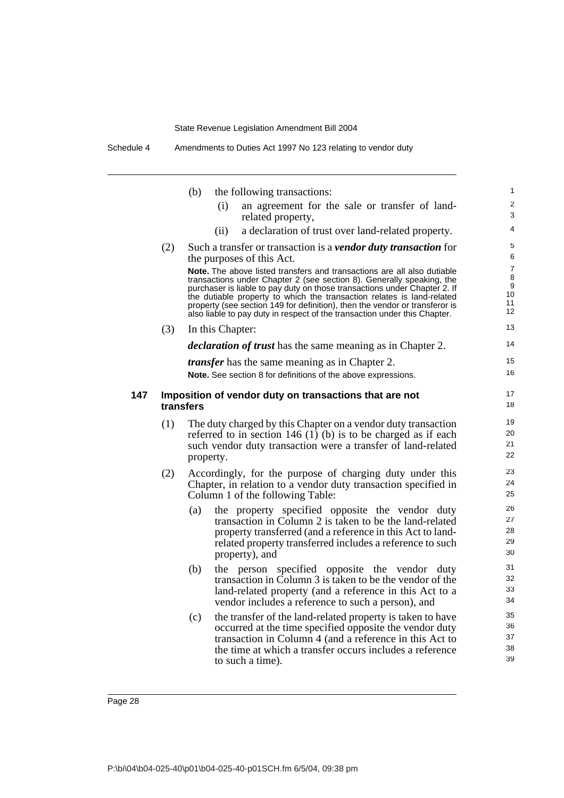|     |     | (b)       |                  | the following transactions:                                                                                                                                                                                                                                                                                                                                                                                                                                         | $\mathbf{1}$                                            |
|-----|-----|-----------|------------------|---------------------------------------------------------------------------------------------------------------------------------------------------------------------------------------------------------------------------------------------------------------------------------------------------------------------------------------------------------------------------------------------------------------------------------------------------------------------|---------------------------------------------------------|
|     |     |           | (i)              | an agreement for the sale or transfer of land-<br>related property,                                                                                                                                                                                                                                                                                                                                                                                                 | 2<br>3                                                  |
|     |     |           | (ii)             | a declaration of trust over land-related property.                                                                                                                                                                                                                                                                                                                                                                                                                  | 4                                                       |
|     | (2) |           |                  | Such a transfer or transaction is a vendor duty transaction for<br>the purposes of this Act.                                                                                                                                                                                                                                                                                                                                                                        | 5<br>6                                                  |
|     |     |           |                  | Note. The above listed transfers and transactions are all also dutiable<br>transactions under Chapter 2 (see section 8). Generally speaking, the<br>purchaser is liable to pay duty on those transactions under Chapter 2. If<br>the dutiable property to which the transaction relates is land-related<br>property (see section 149 for definition), then the vendor or transferor is<br>also liable to pay duty in respect of the transaction under this Chapter. | $\overline{7}$<br>8<br>9<br>10<br>11<br>12 <sup>2</sup> |
|     | (3) |           | In this Chapter: |                                                                                                                                                                                                                                                                                                                                                                                                                                                                     | 13                                                      |
|     |     |           |                  | <i>declaration of trust</i> has the same meaning as in Chapter 2.                                                                                                                                                                                                                                                                                                                                                                                                   | 14                                                      |
|     |     |           |                  | <i>transfer</i> has the same meaning as in Chapter 2.                                                                                                                                                                                                                                                                                                                                                                                                               | 15                                                      |
|     |     |           |                  | Note. See section 8 for definitions of the above expressions.                                                                                                                                                                                                                                                                                                                                                                                                       | 16                                                      |
| 147 |     | transfers |                  | Imposition of vendor duty on transactions that are not                                                                                                                                                                                                                                                                                                                                                                                                              | 17<br>18                                                |
|     | (1) | property. |                  | The duty charged by this Chapter on a vendor duty transaction<br>referred to in section 146 (1) (b) is to be charged as if each<br>such vendor duty transaction were a transfer of land-related                                                                                                                                                                                                                                                                     | 19<br>20<br>21<br>22                                    |
|     | (2) |           |                  | Accordingly, for the purpose of charging duty under this<br>Chapter, in relation to a vendor duty transaction specified in<br>Column 1 of the following Table:                                                                                                                                                                                                                                                                                                      | 23<br>24<br>25                                          |
|     |     | (a)       |                  | the property specified opposite the vendor duty<br>transaction in Column 2 is taken to be the land-related<br>property transferred (and a reference in this Act to land-<br>related property transferred includes a reference to such<br>property), and                                                                                                                                                                                                             | 26<br>27<br>28<br>29<br>30                              |
|     |     | (b)       |                  | the person specified opposite the vendor duty<br>transaction in Column 3 is taken to be the vendor of the<br>land-related property (and a reference in this Act to a<br>vendor includes a reference to such a person), and                                                                                                                                                                                                                                          | 31<br>32<br>33<br>34                                    |
|     |     | (c)       |                  | the transfer of the land-related property is taken to have<br>occurred at the time specified opposite the vendor duty<br>transaction in Column 4 (and a reference in this Act to<br>the time at which a transfer occurs includes a reference<br>to such a time).                                                                                                                                                                                                    | 35<br>36<br>37<br>38<br>39                              |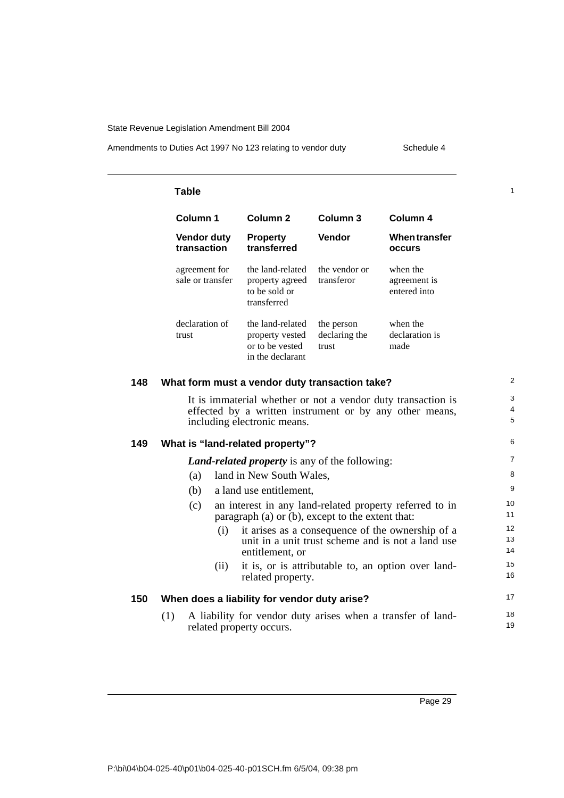Amendments to Duties Act 1997 No 123 relating to vendor duty Schedule 4

1

6

# **Table**

| Column 1                          | Column <sub>2</sub>                                                        | Column 3                             | Column 4                                 |
|-----------------------------------|----------------------------------------------------------------------------|--------------------------------------|------------------------------------------|
| Vendor duty<br>transaction        | <b>Property</b><br>transferred                                             | Vendor                               | <b>When transfer</b><br><b>OCCULS</b>    |
| agreement for<br>sale or transfer | the land-related<br>property agreed<br>to be sold or<br>transferred        | the vendor or<br>transferor          | when the<br>agreement is<br>entered into |
| declaration of<br>trust           | the land-related<br>property vested<br>or to be vested<br>in the declarant | the person<br>declaring the<br>trust | when the<br>declaration is<br>made       |

### **148 What form must a vendor duty transaction take?**

It is immaterial whether or not a vendor duty transaction is effected by a written instrument or by any other means, including electronic means.

### **149 What is "land-related property"?**

|     |     |      | <b>Land-related property</b> is any of the following:                                                                    | 7              |
|-----|-----|------|--------------------------------------------------------------------------------------------------------------------------|----------------|
|     | (a) |      | land in New South Wales,                                                                                                 | 8              |
|     | (b) |      | a land use entitlement,                                                                                                  | 9              |
|     | (c) |      | an interest in any land-related property referred to in<br>paragraph (a) or (b), except to the extent that:              | 10<br>11       |
|     |     | (1)  | it arises as a consequence of the ownership of a<br>unit in a unit trust scheme and is not a land use<br>entitlement, or | 12<br>13<br>14 |
|     |     | (11) | it is, or is attributable to, an option over land-<br>related property.                                                  | 15<br>16       |
| 150 |     |      | When does a liability for vendor duty arise?                                                                             | 17             |
|     | (1) |      | A liability for vendor duty arises when a transfer of land-<br>related property occurs.                                  | 18<br>19       |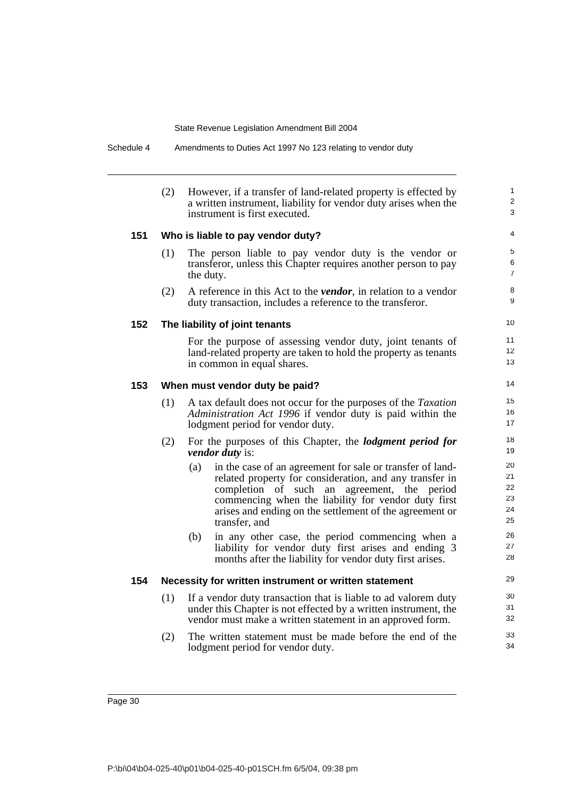Schedule 4 Amendments to Duties Act 1997 No 123 relating to vendor duty

|     | (2) | However, if a transfer of land-related property is effected by<br>a written instrument, liability for vendor duty arises when the<br>instrument is first executed.                                                                                                                                                  | 1<br>$\overline{c}$<br>3         |
|-----|-----|---------------------------------------------------------------------------------------------------------------------------------------------------------------------------------------------------------------------------------------------------------------------------------------------------------------------|----------------------------------|
| 151 |     | Who is liable to pay vendor duty?                                                                                                                                                                                                                                                                                   | 4                                |
|     | (1) | The person liable to pay vendor duty is the vendor or<br>transferor, unless this Chapter requires another person to pay<br>the duty.                                                                                                                                                                                | 5<br>6<br>$\overline{7}$         |
|     | (2) | A reference in this Act to the <i>vendor</i> , in relation to a vendor<br>duty transaction, includes a reference to the transferor.                                                                                                                                                                                 | 8<br>9                           |
| 152 |     | The liability of joint tenants                                                                                                                                                                                                                                                                                      | 10                               |
|     |     | For the purpose of assessing vendor duty, joint tenants of<br>land-related property are taken to hold the property as tenants<br>in common in equal shares.                                                                                                                                                         | 11<br>12<br>13                   |
| 153 |     | When must vendor duty be paid?                                                                                                                                                                                                                                                                                      | 14                               |
|     | (1) | A tax default does not occur for the purposes of the <i>Taxation</i><br>Administration Act 1996 if vendor duty is paid within the<br>lodgment period for vendor duty.                                                                                                                                               | 15<br>16<br>17                   |
|     | (2) | For the purposes of this Chapter, the <i>lodgment period for</i><br><i>vendor duty is:</i>                                                                                                                                                                                                                          | 18<br>19                         |
|     |     | in the case of an agreement for sale or transfer of land-<br>(a)<br>related property for consideration, and any transfer in<br>completion of such<br>an<br>agreement, the period<br>commencing when the liability for vendor duty first<br>arises and ending on the settlement of the agreement or<br>transfer, and | 20<br>21<br>22<br>23<br>24<br>25 |
|     |     | (b)<br>in any other case, the period commencing when a<br>liability for vendor duty first arises and ending 3<br>months after the liability for vendor duty first arises.                                                                                                                                           | 26<br>27<br>28                   |
| 154 |     | Necessity for written instrument or written statement                                                                                                                                                                                                                                                               | 29                               |
|     | (1) | If a vendor duty transaction that is liable to ad valorem duty<br>under this Chapter is not effected by a written instrument, the<br>vendor must make a written statement in an approved form.                                                                                                                      | 30<br>31<br>32                   |
|     | (2) | The written statement must be made before the end of the<br>lodgment period for vendor duty.                                                                                                                                                                                                                        | 33<br>34                         |
|     |     |                                                                                                                                                                                                                                                                                                                     |                                  |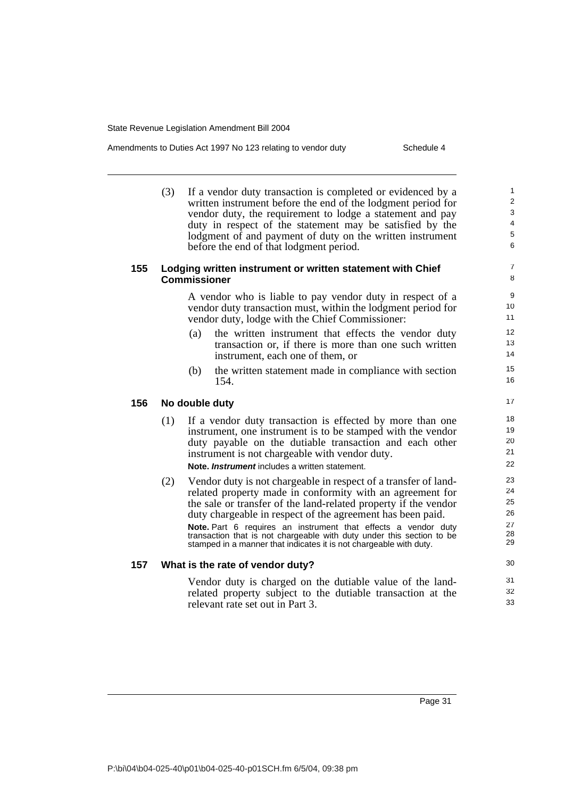Amendments to Duties Act 1997 No 123 relating to vendor duty Schedule 4

(3) If a vendor duty transaction is completed or evidenced by a written instrument before the end of the lodgment period for vendor duty, the requirement to lodge a statement and pay duty in respect of the statement may be satisfied by the lodgment of and payment of duty on the written instrument before the end of that lodgment period.

#### **155 Lodging written instrument or written statement with Chief Commissioner**

A vendor who is liable to pay vendor duty in respect of a vendor duty transaction must, within the lodgment period for vendor duty, lodge with the Chief Commissioner:

- (a) the written instrument that effects the vendor duty transaction or, if there is more than one such written instrument, each one of them, or
- (b) the written statement made in compliance with section 154.

#### **156 No double duty**

- (1) If a vendor duty transaction is effected by more than one instrument, one instrument is to be stamped with the vendor duty payable on the dutiable transaction and each other instrument is not chargeable with vendor duty. **Note.** *Instrument* includes a written statement.
- (2) Vendor duty is not chargeable in respect of a transfer of landrelated property made in conformity with an agreement for the sale or transfer of the land-related property if the vendor duty chargeable in respect of the agreement has been paid.

**Note.** Part 6 requires an instrument that effects a vendor duty transaction that is not chargeable with duty under this section to be stamped in a manner that indicates it is not chargeable with duty.

#### **157 What is the rate of vendor duty?**

Vendor duty is charged on the dutiable value of the landrelated property subject to the dutiable transaction at the relevant rate set out in Part 3.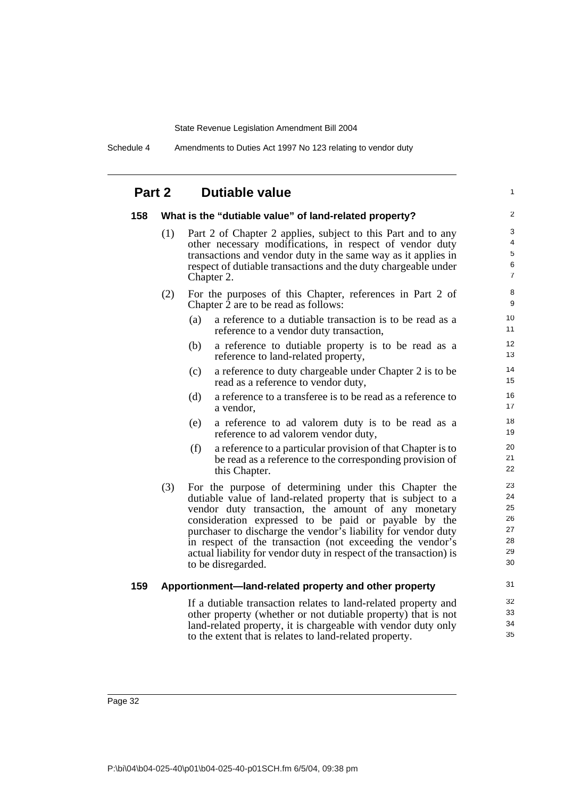Schedule 4 Amendments to Duties Act 1997 No 123 relating to vendor duty

# **Part 2 Dutiable value**

#### **158 What is the "dutiable value" of land-related property?**

- (1) Part 2 of Chapter 2 applies, subject to this Part and to any other necessary modifications, in respect of vendor duty transactions and vendor duty in the same way as it applies in respect of dutiable transactions and the duty chargeable under Chapter 2.
- (2) For the purposes of this Chapter, references in Part 2 of Chapter 2 are to be read as follows:
	- (a) a reference to a dutiable transaction is to be read as a reference to a vendor duty transaction,

1

- (b) a reference to dutiable property is to be read as a reference to land-related property,
- (c) a reference to duty chargeable under Chapter 2 is to be read as a reference to vendor duty,
- (d) a reference to a transferee is to be read as a reference to a vendor,
- (e) a reference to ad valorem duty is to be read as a reference to ad valorem vendor duty,
- (f) a reference to a particular provision of that Chapter is to be read as a reference to the corresponding provision of this Chapter.
- (3) For the purpose of determining under this Chapter the dutiable value of land-related property that is subject to a vendor duty transaction, the amount of any monetary consideration expressed to be paid or payable by the purchaser to discharge the vendor's liability for vendor duty in respect of the transaction (not exceeding the vendor's actual liability for vendor duty in respect of the transaction) is to be disregarded.

#### **159 Apportionment—land-related property and other property**

If a dutiable transaction relates to land-related property and other property (whether or not dutiable property) that is not land-related property, it is chargeable with vendor duty only to the extent that is relates to land-related property.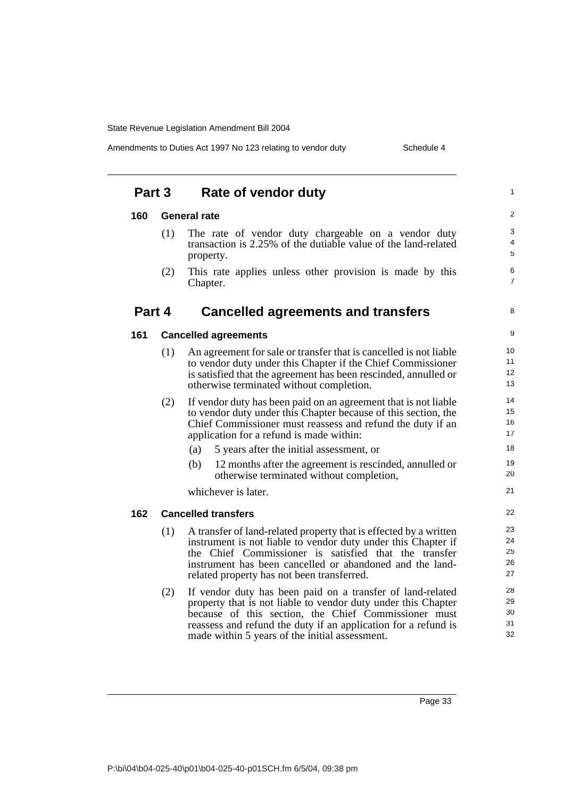Amendments to Duties Act 1997 No 123 relating to vendor duty Schedule 4

| Part 3 |     | Rate of vendor duty                                                                                                                                                                                                                                                                                     |                            |
|--------|-----|---------------------------------------------------------------------------------------------------------------------------------------------------------------------------------------------------------------------------------------------------------------------------------------------------------|----------------------------|
| 160    |     | <b>General rate</b>                                                                                                                                                                                                                                                                                     |                            |
|        | (1) | The rate of vendor duty chargeable on a vendor duty<br>transaction is 2.25% of the dutiable value of the land-related<br>property.                                                                                                                                                                      |                            |
|        | (2) | This rate applies unless other provision is made by this<br>Chapter.                                                                                                                                                                                                                                    |                            |
| Part 4 |     | <b>Cancelled agreements and transfers</b>                                                                                                                                                                                                                                                               |                            |
| 161    |     | <b>Cancelled agreements</b>                                                                                                                                                                                                                                                                             |                            |
|        | (1) | An agreement for sale or transfer that is cancelled is not liable<br>to vendor duty under this Chapter if the Chief Commissioner<br>is satisfied that the agreement has been rescinded, annulled or<br>otherwise terminated without completion.                                                         | 10<br>11<br>12<br>13       |
|        | (2) | If vendor duty has been paid on an agreement that is not liable<br>to vendor duty under this Chapter because of this section, the<br>Chief Commissioner must reassess and refund the duty if an<br>application for a refund is made within:                                                             | 14<br>15<br>16<br>17       |
|        |     | (a)<br>5 years after the initial assessment, or                                                                                                                                                                                                                                                         | 18                         |
|        |     | (b)<br>12 months after the agreement is rescinded, annulled or<br>otherwise terminated without completion,                                                                                                                                                                                              | 19<br>20                   |
|        |     | whichever is later.                                                                                                                                                                                                                                                                                     | 21                         |
| 162    |     | <b>Cancelled transfers</b>                                                                                                                                                                                                                                                                              | 22                         |
|        | (1) | A transfer of land-related property that is effected by a written<br>instrument is not liable to vendor duty under this Chapter if<br>the Chief Commissioner is satisfied that the transfer<br>instrument has been cancelled or abandoned and the land-<br>related property has not been transferred.   | 23<br>24<br>25<br>26<br>27 |
|        | (2) | If vendor duty has been paid on a transfer of land-related<br>property that is not liable to vendor duty under this Chapter<br>because of this section, the Chief Commissioner must<br>reassess and refund the duty if an application for a refund is<br>made within 5 years of the initial assessment. | 28<br>29<br>30<br>31<br>32 |
|        |     |                                                                                                                                                                                                                                                                                                         |                            |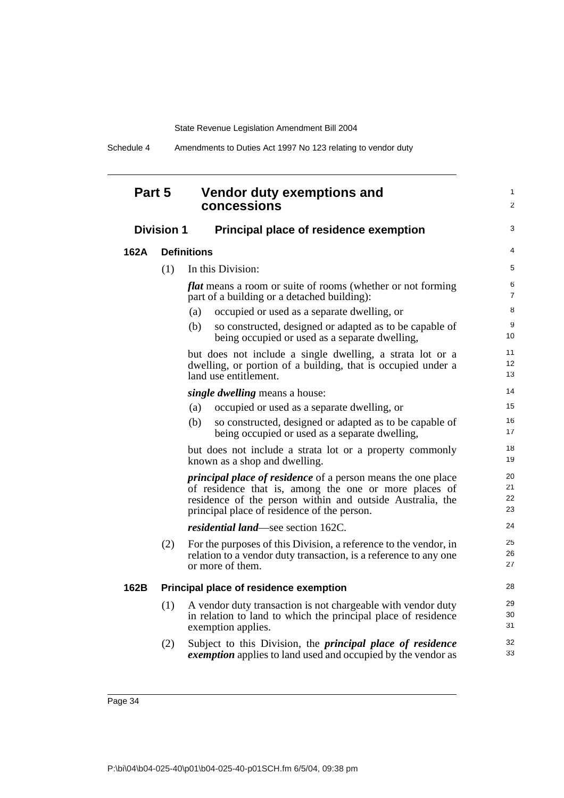Schedule 4 Amendments to Duties Act 1997 No 123 relating to vendor duty

| Part 5            |     | Vendor duty exemptions and<br>concessions                                                                                                                                                                                                | 1<br>2               |
|-------------------|-----|------------------------------------------------------------------------------------------------------------------------------------------------------------------------------------------------------------------------------------------|----------------------|
| <b>Division 1</b> |     | Principal place of residence exemption                                                                                                                                                                                                   | 3                    |
| 162A              |     | <b>Definitions</b>                                                                                                                                                                                                                       | 4                    |
|                   | (1) | In this Division:                                                                                                                                                                                                                        | 5                    |
|                   |     | <i>flat</i> means a room or suite of rooms (whether or not forming<br>part of a building or a detached building):                                                                                                                        | 6<br>7               |
|                   |     | (a)<br>occupied or used as a separate dwelling, or                                                                                                                                                                                       | 8                    |
|                   |     | (b)<br>so constructed, designed or adapted as to be capable of<br>being occupied or used as a separate dwelling,                                                                                                                         | 9<br>10              |
|                   |     | but does not include a single dwelling, a strata lot or a<br>dwelling, or portion of a building, that is occupied under a<br>land use entitlement.                                                                                       | 11<br>12<br>13       |
|                   |     | <i>single dwelling</i> means a house:                                                                                                                                                                                                    | 14                   |
|                   |     | occupied or used as a separate dwelling, or<br>(a)                                                                                                                                                                                       | 15                   |
|                   |     | (b)<br>so constructed, designed or adapted as to be capable of<br>being occupied or used as a separate dwelling,                                                                                                                         | 16<br>17             |
|                   |     | but does not include a strata lot or a property commonly<br>known as a shop and dwelling.                                                                                                                                                | 18<br>19             |
|                   |     | <i>principal place of residence</i> of a person means the one place<br>of residence that is, among the one or more places of<br>residence of the person within and outside Australia, the<br>principal place of residence of the person. | 20<br>21<br>22<br>23 |
|                   |     | residential land—see section 162C.                                                                                                                                                                                                       | 24                   |
|                   | (2) | For the purposes of this Division, a reference to the vendor, in<br>relation to a vendor duty transaction, is a reference to any one<br>or more of them.                                                                                 | 25<br>26<br>27       |
| 162B              |     | Principal place of residence exemption                                                                                                                                                                                                   | 28                   |
|                   | (1) | A vendor duty transaction is not chargeable with vendor duty<br>in relation to land to which the principal place of residence<br>exemption applies.                                                                                      | 29<br>30<br>31       |
|                   | (2) | Subject to this Division, the <i>principal place of residence</i><br><i>exemption</i> applies to land used and occupied by the vendor as                                                                                                 | 32<br>33             |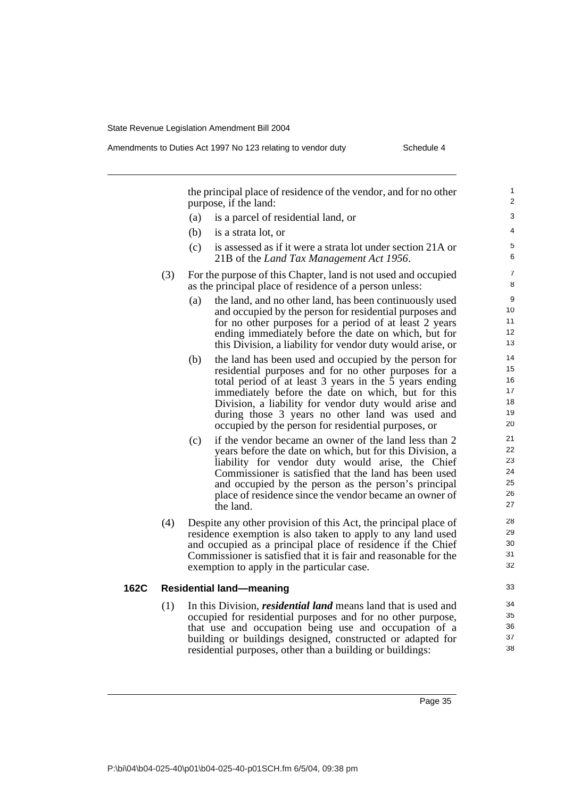the principal place of residence of the vendor, and for no other purpose, if the land: (a) is a parcel of residential land, or (b) is a strata lot, or (c) is assessed as if it were a strata lot under section 21A or 21B of the *Land Tax Management Act 1956*. (3) For the purpose of this Chapter, land is not used and occupied as the principal place of residence of a person unless: (a) the land, and no other land, has been continuously used and occupied by the person for residential purposes and for no other purposes for a period of at least 2 years ending immediately before the date on which, but for this Division, a liability for vendor duty would arise, or (b) the land has been used and occupied by the person for residential purposes and for no other purposes for a total period of at least 3 years in the 5 years ending immediately before the date on which, but for this Division, a liability for vendor duty would arise and during those 3 years no other land was used and occupied by the person for residential purposes, or (c) if the vendor became an owner of the land less than 2 years before the date on which, but for this Division, a liability for vendor duty would arise, the Chief Commissioner is satisfied that the land has been used and occupied by the person as the person's principal place of residence since the vendor became an owner of the land. (4) Despite any other provision of this Act, the principal place of residence exemption is also taken to apply to any land used and occupied as a principal place of residence if the Chief Commissioner is satisfied that it is fair and reasonable for the exemption to apply in the particular case. **162C Residential land—meaning** (1) In this Division, *residential land* means land that is used and occupied for residential purposes and for no other purpose, that use and occupation being use and occupation of a building or buildings designed, constructed or adapted for residential purposes, other than a building or buildings: 1  $\overline{2}$ 3 4 5 6 7 8  $\mathsf{o}$ 10 11 12 13 14 15 16 17 18 19 20 21 22 23 24 25 26 27 28 29 30 31 32 33 34 35 36 37 38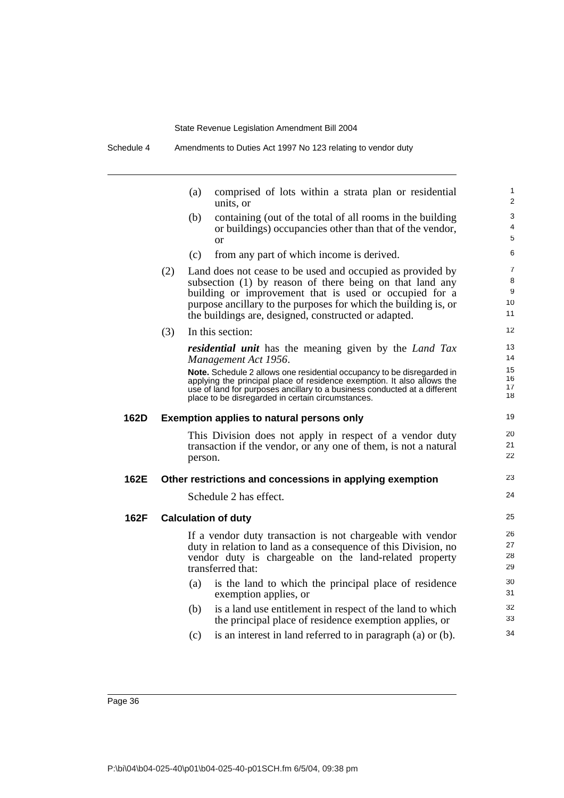|      |     | (a)     | comprised of lots within a strata plan or residential<br>units, or                                                                                                                                                                                                                                          | 1<br>$\overline{c}$     |
|------|-----|---------|-------------------------------------------------------------------------------------------------------------------------------------------------------------------------------------------------------------------------------------------------------------------------------------------------------------|-------------------------|
|      |     | (b)     | containing (out of the total of all rooms in the building<br>or buildings) occupancies other than that of the vendor,<br>$\alpha$                                                                                                                                                                           | 3<br>4<br>5             |
|      |     | (c)     | from any part of which income is derived.                                                                                                                                                                                                                                                                   | 6                       |
|      | (2) |         | Land does not cease to be used and occupied as provided by<br>subsection (1) by reason of there being on that land any<br>building or improvement that is used or occupied for a<br>purpose ancillary to the purposes for which the building is, or<br>the buildings are, designed, constructed or adapted. | 7<br>8<br>9<br>10<br>11 |
|      | (3) |         | In this section:                                                                                                                                                                                                                                                                                            | 12                      |
|      |     |         | <i>residential unit</i> has the meaning given by the <i>Land Tax</i><br>Management Act 1956.                                                                                                                                                                                                                | 13<br>14                |
|      |     |         | Note. Schedule 2 allows one residential occupancy to be disregarded in<br>applying the principal place of residence exemption. It also allows the<br>use of land for purposes ancillary to a business conducted at a different<br>place to be disregarded in certain circumstances.                         | 15<br>16<br>17<br>18    |
| 162D |     |         | Exemption applies to natural persons only                                                                                                                                                                                                                                                                   | 19                      |
|      |     | person. | This Division does not apply in respect of a vendor duty<br>transaction if the vendor, or any one of them, is not a natural                                                                                                                                                                                 | 20<br>21<br>22          |
| 162E |     |         | Other restrictions and concessions in applying exemption                                                                                                                                                                                                                                                    | 23                      |
|      |     |         | Schedule 2 has effect.                                                                                                                                                                                                                                                                                      | 24                      |
| 162F |     |         | <b>Calculation of duty</b>                                                                                                                                                                                                                                                                                  | 25                      |
|      |     |         | If a vendor duty transaction is not chargeable with vendor<br>duty in relation to land as a consequence of this Division, no<br>vendor duty is chargeable on the land-related property<br>transferred that:                                                                                                 | 26<br>27<br>28<br>29    |
|      |     | (a)     | is the land to which the principal place of residence<br>exemption applies, or                                                                                                                                                                                                                              | 30<br>31                |
|      |     | (b)     | is a land use entitlement in respect of the land to which<br>the principal place of residence exemption applies, or                                                                                                                                                                                         | 32<br>33                |
|      |     | (c)     | is an interest in land referred to in paragraph (a) or (b).                                                                                                                                                                                                                                                 | 34                      |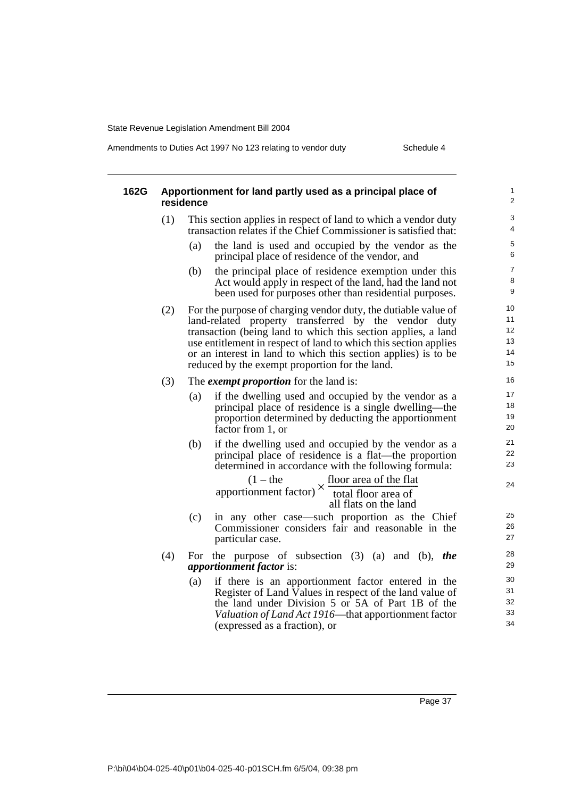Amendments to Duties Act 1997 No 123 relating to vendor duty Schedule 4

#### **162G Apportionment for land partly used as a principal place of residence** (1) This section applies in respect of land to which a vendor duty transaction relates if the Chief Commissioner is satisfied that: (a) the land is used and occupied by the vendor as the principal place of residence of the vendor, and (b) the principal place of residence exemption under this Act would apply in respect of the land, had the land not been used for purposes other than residential purposes. (2) For the purpose of charging vendor duty, the dutiable value of land-related property transferred by the vendor duty transaction (being land to which this section applies, a land use entitlement in respect of land to which this section applies or an interest in land to which this section applies) is to be reduced by the exempt proportion for the land. (3) The *exempt proportion* for the land is: (a) if the dwelling used and occupied by the vendor as a principal place of residence is a single dwelling—the proportion determined by deducting the apportionment factor from 1, or (b) if the dwelling used and occupied by the vendor as a principal place of residence is a flat—the proportion determined in accordance with the following formula: (c) in any other case—such proportion as the Chief Commissioner considers fair and reasonable in the particular case. (4) For the purpose of subsection (3) (a) and (b), *the apportionment factor* is: (a) if there is an apportionment factor entered in the Register of Land Values in respect of the land value of the land under Division 5 or 5A of Part 1B of the *Valuation of Land Act 1916*—that apportionment factor (expressed as a fraction), or 1  $\overline{2}$ 3 4 5 6 7 8 9 10 11 12 13 14 15 16 17 18 19 20 21 22 23  $(1 - the$ apportionment factor)  $\times \frac{\text{floor area of the flat}}{4 \times 1 \times 1 \times 1}$  24 total floor area of all flats on the land 25 26 27 28 29 30 31 32 33 34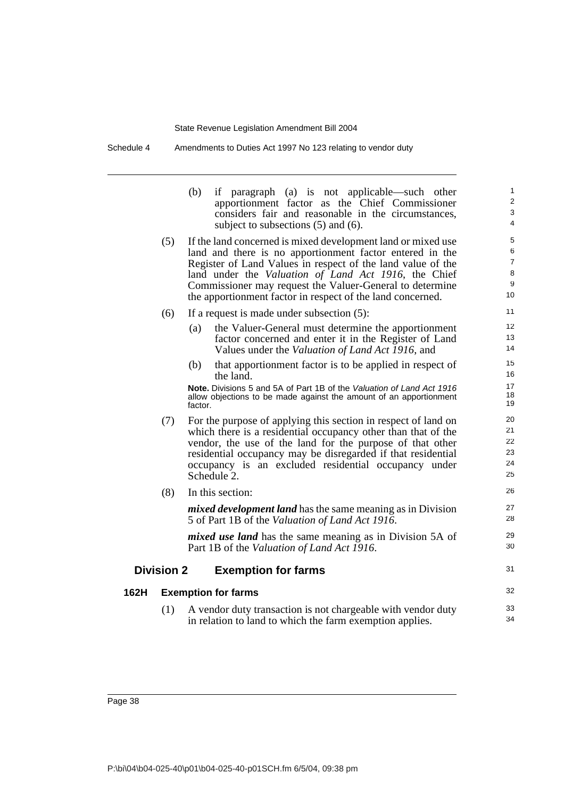Schedule 4 Amendments to Duties Act 1997 No 123 relating to vendor duty

|      |                   | (b)<br>if paragraph (a) is not applicable—such other<br>apportionment factor as the Chief Commissioner<br>considers fair and reasonable in the circumstances,<br>subject to subsections $(5)$ and $(6)$ .                                                                                                                                                                 | 1<br>$\mathbf 2$<br>3<br>$\overline{4}$                 |
|------|-------------------|---------------------------------------------------------------------------------------------------------------------------------------------------------------------------------------------------------------------------------------------------------------------------------------------------------------------------------------------------------------------------|---------------------------------------------------------|
|      | (5)               | If the land concerned is mixed development land or mixed use<br>land and there is no apportionment factor entered in the<br>Register of Land Values in respect of the land value of the<br>land under the Valuation of Land Act 1916, the Chief<br>Commissioner may request the Valuer-General to determine<br>the apportionment factor in respect of the land concerned. | 5<br>6<br>$\overline{7}$<br>8<br>$\boldsymbol{9}$<br>10 |
|      | (6)               | If a request is made under subsection $(5)$ :                                                                                                                                                                                                                                                                                                                             | 11                                                      |
|      |                   | the Valuer-General must determine the apportionment<br>(a)<br>factor concerned and enter it in the Register of Land<br>Values under the Valuation of Land Act 1916, and                                                                                                                                                                                                   | 12<br>13<br>14                                          |
|      |                   | that apportionment factor is to be applied in respect of<br>(b)<br>the land.                                                                                                                                                                                                                                                                                              | 15<br>16                                                |
|      |                   | Note. Divisions 5 and 5A of Part 1B of the Valuation of Land Act 1916<br>allow objections to be made against the amount of an apportionment<br>factor.                                                                                                                                                                                                                    | 17<br>18<br>19                                          |
|      | (7)               | For the purpose of applying this section in respect of land on<br>which there is a residential occupancy other than that of the<br>vendor, the use of the land for the purpose of that other<br>residential occupancy may be disregarded if that residential<br>occupancy is an excluded residential occupancy under<br>Schedule 2.                                       | 20<br>21<br>22<br>23<br>24<br>25                        |
|      | (8)               | In this section:                                                                                                                                                                                                                                                                                                                                                          | 26                                                      |
|      |                   | <i>mixed development land</i> has the same meaning as in Division<br>5 of Part 1B of the Valuation of Land Act 1916.                                                                                                                                                                                                                                                      | 27<br>28                                                |
|      |                   | <i>mixed use land</i> has the same meaning as in Division 5A of<br>Part 1B of the Valuation of Land Act 1916.                                                                                                                                                                                                                                                             | 29<br>30                                                |
|      | <b>Division 2</b> | <b>Exemption for farms</b>                                                                                                                                                                                                                                                                                                                                                | 31                                                      |
| 162H |                   | <b>Exemption for farms</b>                                                                                                                                                                                                                                                                                                                                                | 32                                                      |
|      | (1)               | A vendor duty transaction is not chargeable with vendor duty<br>in relation to land to which the farm exemption applies.                                                                                                                                                                                                                                                  | 33<br>34                                                |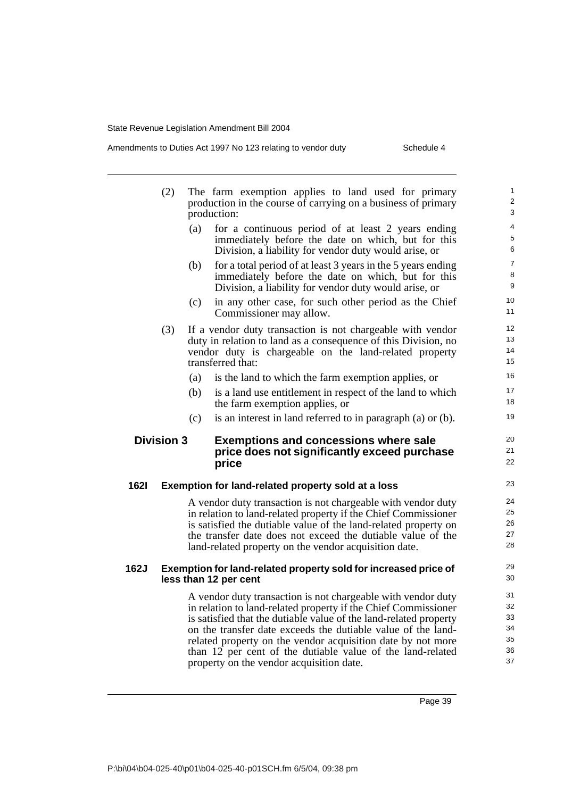Amendments to Duties Act 1997 No 123 relating to vendor duty

| Schedule 4 |  |  |
|------------|--|--|

|             | (2)               |     | The farm exemption applies to land used for primary<br>production in the course of carrying on a business of primary<br>production:                                                                                                                                                                                                                                                                                                          | 1<br>$\overline{2}$<br>3               |
|-------------|-------------------|-----|----------------------------------------------------------------------------------------------------------------------------------------------------------------------------------------------------------------------------------------------------------------------------------------------------------------------------------------------------------------------------------------------------------------------------------------------|----------------------------------------|
|             |                   | (a) | for a continuous period of at least 2 years ending<br>immediately before the date on which, but for this<br>Division, a liability for vendor duty would arise, or                                                                                                                                                                                                                                                                            | $\overline{\mathbf{4}}$<br>5<br>6      |
|             |                   | (b) | for a total period of at least 3 years in the 5 years ending<br>immediately before the date on which, but for this<br>Division, a liability for vendor duty would arise, or                                                                                                                                                                                                                                                                  | $\overline{7}$<br>8<br>9               |
|             |                   | (c) | in any other case, for such other period as the Chief<br>Commissioner may allow.                                                                                                                                                                                                                                                                                                                                                             | 10<br>11                               |
|             | (3)               |     | If a vendor duty transaction is not chargeable with vendor<br>duty in relation to land as a consequence of this Division, no<br>vendor duty is chargeable on the land-related property<br>transferred that:                                                                                                                                                                                                                                  | 12<br>13<br>14<br>15                   |
|             |                   | (a) | is the land to which the farm exemption applies, or                                                                                                                                                                                                                                                                                                                                                                                          | 16                                     |
|             |                   | (b) | is a land use entitlement in respect of the land to which<br>the farm exemption applies, or                                                                                                                                                                                                                                                                                                                                                  | 17<br>18                               |
|             |                   | (c) | is an interest in land referred to in paragraph (a) or (b).                                                                                                                                                                                                                                                                                                                                                                                  | 19                                     |
|             | <b>Division 3</b> |     | <b>Exemptions and concessions where sale</b><br>price does not significantly exceed purchase<br>price                                                                                                                                                                                                                                                                                                                                        | 20<br>21<br>22                         |
| <b>1621</b> |                   |     | Exemption for land-related property sold at a loss                                                                                                                                                                                                                                                                                                                                                                                           | 23                                     |
|             |                   |     | A vendor duty transaction is not chargeable with vendor duty<br>in relation to land-related property if the Chief Commissioner<br>is satisfied the dutiable value of the land-related property on<br>the transfer date does not exceed the dutiable value of the<br>land-related property on the vendor acquisition date.                                                                                                                    | 24<br>25<br>26<br>27<br>28             |
| 162J        |                   |     | Exemption for land-related property sold for increased price of<br>less than 12 per cent                                                                                                                                                                                                                                                                                                                                                     | 29<br>30                               |
|             |                   |     | A vendor duty transaction is not chargeable with vendor duty<br>in relation to land-related property if the Chief Commissioner<br>is satisfied that the dutiable value of the land-related property<br>on the transfer date exceeds the dutiable value of the land-<br>related property on the vendor acquisition date by not more<br>than 12 per cent of the dutiable value of the land-related<br>property on the vendor acquisition date. | 31<br>32<br>33<br>34<br>35<br>36<br>37 |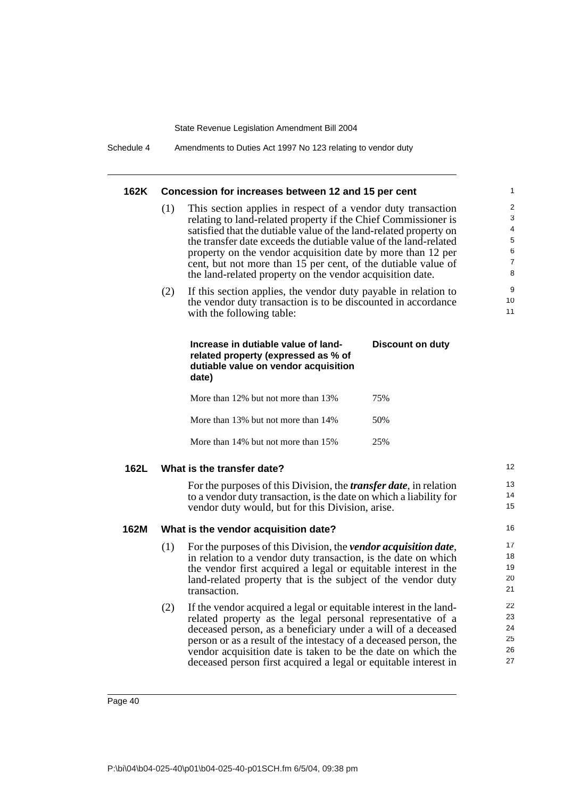Schedule 4 Amendments to Duties Act 1997 No 123 relating to vendor duty

#### **162K Concession for increases between 12 and 15 per cent**

(1) This section applies in respect of a vendor duty transaction relating to land-related property if the Chief Commissioner is satisfied that the dutiable value of the land-related property on the transfer date exceeds the dutiable value of the land-related property on the vendor acquisition date by more than 12 per cent, but not more than 15 per cent, of the dutiable value of the land-related property on the vendor acquisition date.

(2) If this section applies, the vendor duty payable in relation to the vendor duty transaction is to be discounted in accordance with the following table:

|      |     | Increase in dutiable value of land-<br>related property (expressed as % of<br>dutiable value on vendor acquisition<br>date)                                                                                                                                                                                                                                                                            | <b>Discount on duty</b> |                                  |
|------|-----|--------------------------------------------------------------------------------------------------------------------------------------------------------------------------------------------------------------------------------------------------------------------------------------------------------------------------------------------------------------------------------------------------------|-------------------------|----------------------------------|
|      |     | More than 12% but not more than 13%                                                                                                                                                                                                                                                                                                                                                                    | 75%                     |                                  |
|      |     | More than 13% but not more than 14%                                                                                                                                                                                                                                                                                                                                                                    | 50%                     |                                  |
|      |     | More than 14% but not more than 15%                                                                                                                                                                                                                                                                                                                                                                    | 25%                     |                                  |
| 162L |     | What is the transfer date?                                                                                                                                                                                                                                                                                                                                                                             |                         | 12                               |
|      |     | For the purposes of this Division, the <i>transfer date</i> , in relation<br>to a vendor duty transaction, is the date on which a liability for<br>vendor duty would, but for this Division, arise.                                                                                                                                                                                                    |                         | 13<br>14<br>15                   |
| 162M |     | What is the vendor acquisition date?                                                                                                                                                                                                                                                                                                                                                                   |                         | 16                               |
|      | (1) | For the purposes of this Division, the <i>vendor acquisition date</i> ,<br>in relation to a vendor duty transaction, is the date on which<br>the vendor first acquired a legal or equitable interest in the<br>land-related property that is the subject of the vendor duty<br>transaction.                                                                                                            |                         | 17<br>18<br>19<br>20<br>21       |
|      | (2) | If the vendor acquired a legal or equitable interest in the land-<br>related property as the legal personal representative of a<br>deceased person, as a beneficiary under a will of a deceased<br>person or as a result of the intestacy of a deceased person, the<br>vendor acquisition date is taken to be the date on which the<br>deceased person first acquired a legal or equitable interest in |                         | 22<br>23<br>24<br>25<br>26<br>27 |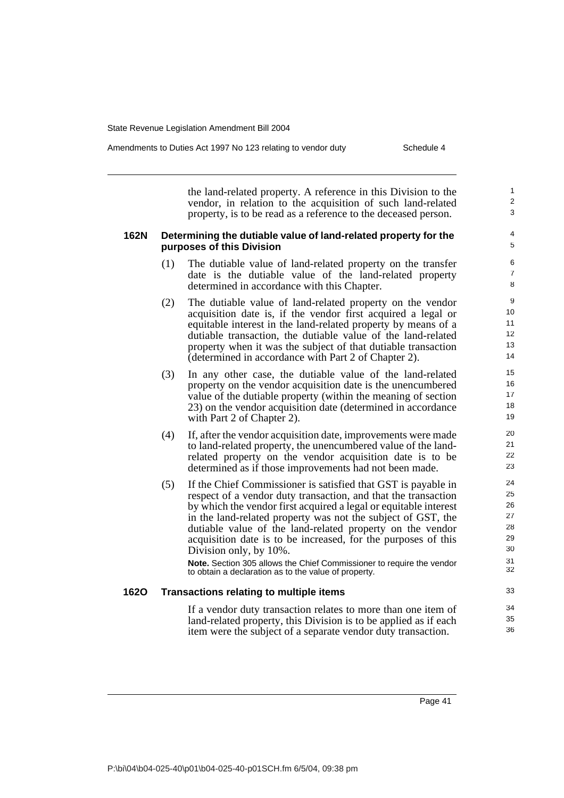the land-related property. A reference in this Division to the vendor, in relation to the acquisition of such land-related property, is to be read as a reference to the deceased person.

#### **162N Determining the dutiable value of land-related property for the purposes of this Division**

- (1) The dutiable value of land-related property on the transfer date is the dutiable value of the land-related property determined in accordance with this Chapter.
- (2) The dutiable value of land-related property on the vendor acquisition date is, if the vendor first acquired a legal or equitable interest in the land-related property by means of a dutiable transaction, the dutiable value of the land-related property when it was the subject of that dutiable transaction (determined in accordance with Part 2 of Chapter 2).
- (3) In any other case, the dutiable value of the land-related property on the vendor acquisition date is the unencumbered value of the dutiable property (within the meaning of section 23) on the vendor acquisition date (determined in accordance with Part 2 of Chapter 2).
- (4) If, after the vendor acquisition date, improvements were made to land-related property, the unencumbered value of the landrelated property on the vendor acquisition date is to be determined as if those improvements had not been made.
- (5) If the Chief Commissioner is satisfied that GST is payable in respect of a vendor duty transaction, and that the transaction by which the vendor first acquired a legal or equitable interest in the land-related property was not the subject of GST, the dutiable value of the land-related property on the vendor acquisition date is to be increased, for the purposes of this Division only, by 10%.

**Note.** Section 305 allows the Chief Commissioner to require the vendor to obtain a declaration as to the value of property.

#### **162O Transactions relating to multiple items**

If a vendor duty transaction relates to more than one item of land-related property, this Division is to be applied as if each item were the subject of a separate vendor duty transaction.

1  $\overline{2}$ 3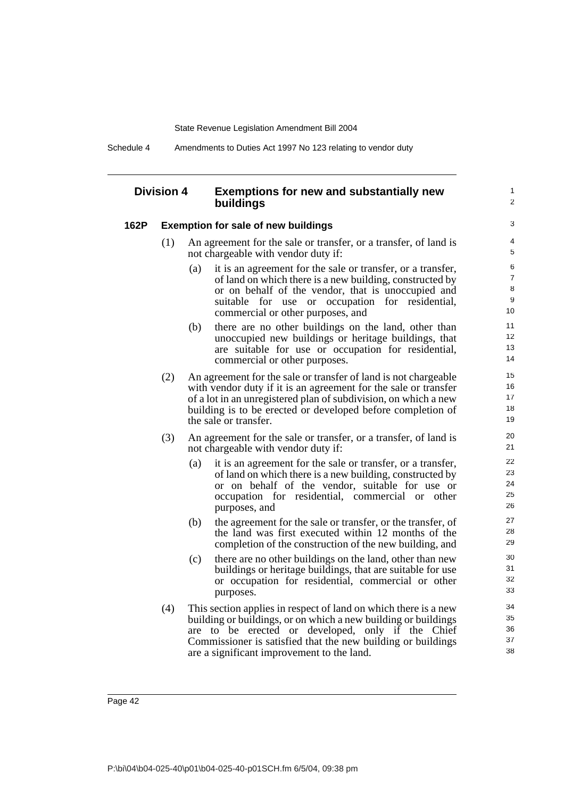Schedule 4 Amendments to Duties Act 1997 No 123 relating to vendor duty

## **Division 4 Exemptions for new and substantially new buildings**

#### **162P Exemption for sale of new buildings**

- (1) An agreement for the sale or transfer, or a transfer, of land is not chargeable with vendor duty if:
	- (a) it is an agreement for the sale or transfer, or a transfer, of land on which there is a new building, constructed by or on behalf of the vendor, that is unoccupied and suitable for use or occupation for residential, commercial or other purposes, and

1 2

- (b) there are no other buildings on the land, other than unoccupied new buildings or heritage buildings, that are suitable for use or occupation for residential, commercial or other purposes.
- (2) An agreement for the sale or transfer of land is not chargeable with vendor duty if it is an agreement for the sale or transfer of a lot in an unregistered plan of subdivision, on which a new building is to be erected or developed before completion of the sale or transfer.
- (3) An agreement for the sale or transfer, or a transfer, of land is not chargeable with vendor duty if:
	- (a) it is an agreement for the sale or transfer, or a transfer, of land on which there is a new building, constructed by or on behalf of the vendor, suitable for use or occupation for residential, commercial or other purposes, and
	- (b) the agreement for the sale or transfer, or the transfer, of the land was first executed within 12 months of the completion of the construction of the new building, and
	- (c) there are no other buildings on the land, other than new buildings or heritage buildings, that are suitable for use or occupation for residential, commercial or other purposes.
- (4) This section applies in respect of land on which there is a new building or buildings, or on which a new building or buildings are to be erected or developed, only if the Chief Commissioner is satisfied that the new building or buildings are a significant improvement to the land.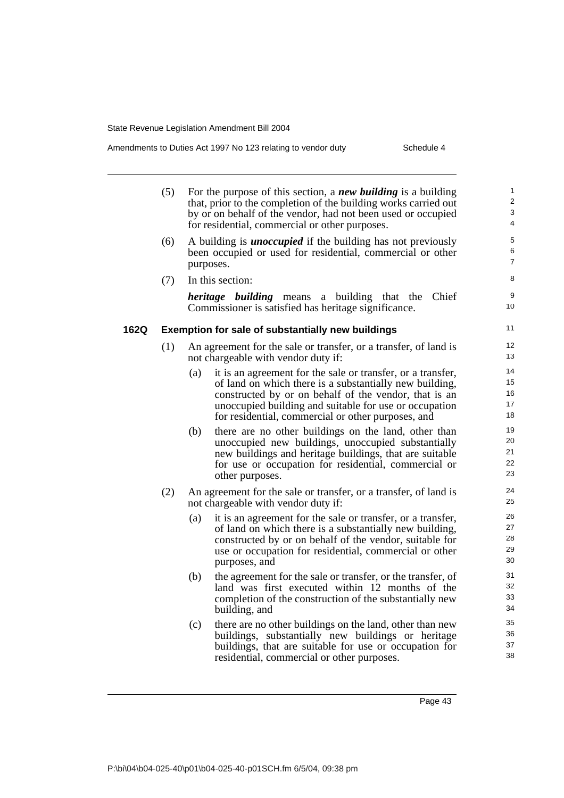Amendments to Duties Act 1997 No 123 relating to vendor duty

| Schedule 4 |  |  |
|------------|--|--|
|            |  |  |
|            |  |  |

|      | (5) | For the purpose of this section, a <b>new building</b> is a building<br>that, prior to the completion of the building works carried out<br>by or on behalf of the vendor, had not been used or occupied<br>for residential, commercial or other purposes.                                              | 1<br>$\overline{2}$<br>3<br>$\overline{4}$ |
|------|-----|--------------------------------------------------------------------------------------------------------------------------------------------------------------------------------------------------------------------------------------------------------------------------------------------------------|--------------------------------------------|
|      | (6) | A building is <i>unoccupied</i> if the building has not previously<br>been occupied or used for residential, commercial or other<br>purposes.                                                                                                                                                          | 5<br>6<br>$\overline{7}$                   |
|      | (7) | In this section:                                                                                                                                                                                                                                                                                       | 8                                          |
|      |     | Chief<br><i>heritage building</i> means a<br>building that<br>the<br>Commissioner is satisfied has heritage significance.                                                                                                                                                                              | 9<br>10                                    |
| 162Q |     | Exemption for sale of substantially new buildings                                                                                                                                                                                                                                                      | 11                                         |
|      | (1) | An agreement for the sale or transfer, or a transfer, of land is<br>not chargeable with vendor duty if:                                                                                                                                                                                                | 12<br>13                                   |
|      |     | it is an agreement for the sale or transfer, or a transfer,<br>(a)<br>of land on which there is a substantially new building,<br>constructed by or on behalf of the vendor, that is an<br>unoccupied building and suitable for use or occupation<br>for residential, commercial or other purposes, and | 14<br>15<br>16<br>17<br>18                 |
|      |     | (b)<br>there are no other buildings on the land, other than<br>unoccupied new buildings, unoccupied substantially<br>new buildings and heritage buildings, that are suitable<br>for use or occupation for residential, commercial or<br>other purposes.                                                | 19<br>20<br>21<br>22<br>23                 |
|      | (2) | An agreement for the sale or transfer, or a transfer, of land is<br>not chargeable with vendor duty if:                                                                                                                                                                                                | 24<br>25                                   |
|      |     | (a)<br>it is an agreement for the sale or transfer, or a transfer,<br>of land on which there is a substantially new building,<br>constructed by or on behalf of the vendor, suitable for<br>use or occupation for residential, commercial or other<br>purposes, and                                    | 26<br>27<br>28<br>29<br>30                 |
|      |     | (b)<br>the agreement for the sale or transfer, or the transfer, of<br>land was first executed within 12 months of the<br>completion of the construction of the substantially new<br>building, and                                                                                                      | 31<br>32<br>33<br>34                       |
|      |     | (c)<br>there are no other buildings on the land, other than new<br>buildings, substantially new buildings or heritage<br>buildings, that are suitable for use or occupation for<br>residential, commercial or other purposes.                                                                          | 35<br>36<br>37<br>38                       |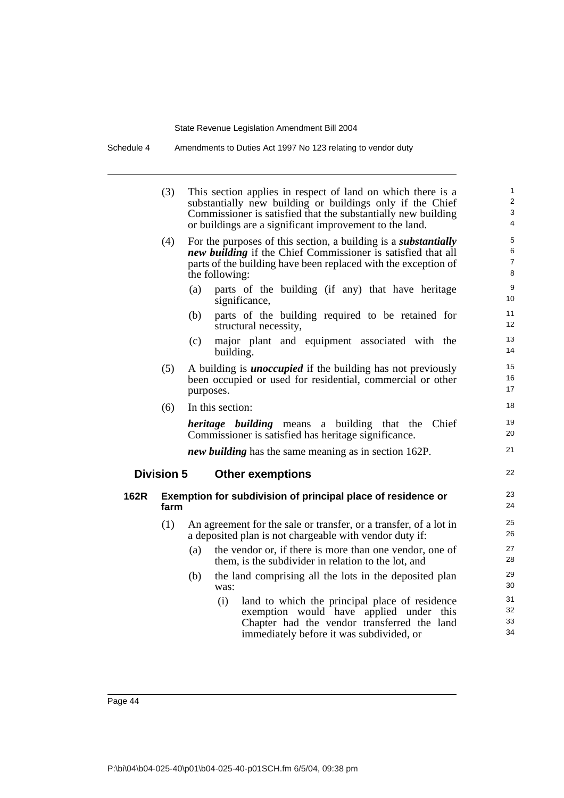Schedule 4 Amendments to Duties Act 1997 No 123 relating to vendor duty

|      | (3)               | This section applies in respect of land on which there is a<br>substantially new building or buildings only if the Chief<br>Commissioner is satisfied that the substantially new building<br>or buildings are a significant improvement to the land. | 1<br>2<br>3<br>$\overline{4}$ |
|------|-------------------|------------------------------------------------------------------------------------------------------------------------------------------------------------------------------------------------------------------------------------------------------|-------------------------------|
|      | (4)               | For the purposes of this section, a building is a <i>substantially</i><br>new building if the Chief Commissioner is satisfied that all<br>parts of the building have been replaced with the exception of<br>the following:                           | 5<br>6<br>$\overline{7}$<br>8 |
|      |                   | parts of the building (if any) that have heritage<br>(a)<br>significance,                                                                                                                                                                            | 9<br>10                       |
|      |                   | (b)<br>parts of the building required to be retained for<br>structural necessity,                                                                                                                                                                    | 11<br>12                      |
|      |                   | major plant and equipment associated with the<br>(c)<br>building.                                                                                                                                                                                    | 13<br>14                      |
|      | (5)               | A building is <i>unoccupied</i> if the building has not previously<br>been occupied or used for residential, commercial or other<br>purposes.                                                                                                        | 15<br>16<br>17                |
|      | (6)               | In this section:                                                                                                                                                                                                                                     | 18                            |
|      |                   | <i>heritage building</i> means<br>a building that the<br>Chief<br>Commissioner is satisfied has heritage significance.                                                                                                                               | 19<br>20                      |
|      |                   | <i>new building</i> has the same meaning as in section 162P.                                                                                                                                                                                         | 21                            |
|      | <b>Division 5</b> | <b>Other exemptions</b>                                                                                                                                                                                                                              | 22                            |
| 162R | farm              | Exemption for subdivision of principal place of residence or                                                                                                                                                                                         | 23<br>24                      |
|      | (1)               | An agreement for the sale or transfer, or a transfer, of a lot in<br>a deposited plan is not chargeable with vendor duty if:                                                                                                                         | 25<br>26                      |
|      |                   | the vendor or, if there is more than one vendor, one of<br>(a)<br>them, is the subdivider in relation to the lot, and                                                                                                                                | 27<br>28                      |
|      |                   | the land comprising all the lots in the deposited plan<br>(b)<br>was:                                                                                                                                                                                | 29<br>30                      |
|      |                   | land to which the principal place of residence<br>(i)<br>exemption would have applied under this<br>Chapter had the vendor transferred the land<br>immediately before it was subdivided, or                                                          | 31<br>32<br>33<br>34          |
|      |                   |                                                                                                                                                                                                                                                      |                               |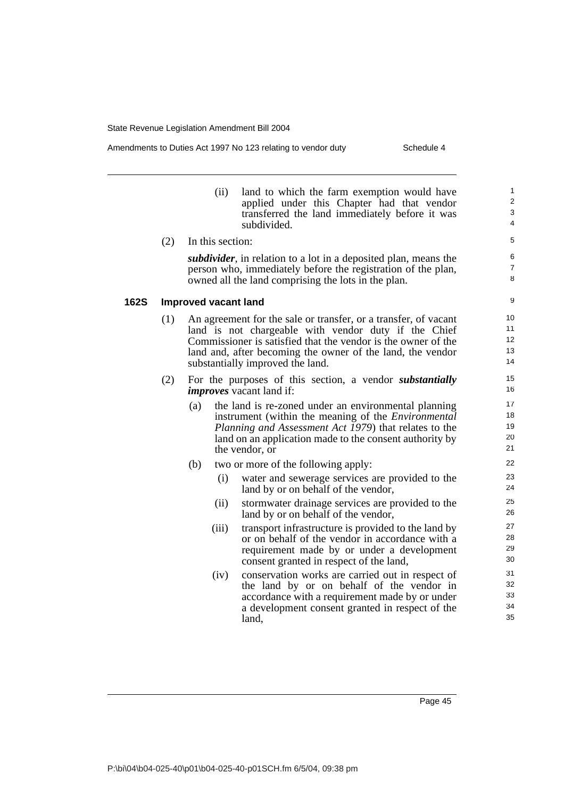Amendments to Duties Act 1997 No 123 relating to vendor duty Schedule 4

- (ii) land to which the farm exemption would have applied under this Chapter had that vendor transferred the land immediately before it was subdivided. (2) In this section: *subdivider*, in relation to a lot in a deposited plan, means the person who, immediately before the registration of the plan, owned all the land comprising the lots in the plan. **162S Improved vacant land** (1) An agreement for the sale or transfer, or a transfer, of vacant land is not chargeable with vendor duty if the Chief Commissioner is satisfied that the vendor is the owner of the land and, after becoming the owner of the land, the vendor substantially improved the land. (2) For the purposes of this section, a vendor *substantially improves* vacant land if: (a) the land is re-zoned under an environmental planning instrument (within the meaning of the *Environmental Planning and Assessment Act 1979*) that relates to the land on an application made to the consent authority by the vendor, or (b) two or more of the following apply: (i) water and sewerage services are provided to the land by or on behalf of the vendor, (ii) stormwater drainage services are provided to the land by or on behalf of the vendor, (iii) transport infrastructure is provided to the land by
	- or on behalf of the vendor in accordance with a requirement made by or under a development consent granted in respect of the land,
	- (iv) conservation works are carried out in respect of the land by or on behalf of the vendor in accordance with a requirement made by or under a development consent granted in respect of the land,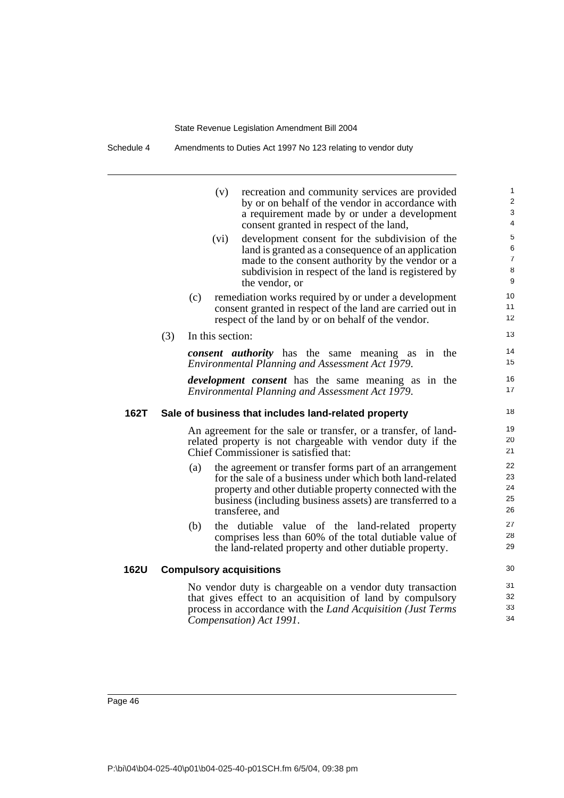Schedule 4 Amendments to Duties Act 1997 No 123 relating to vendor duty

|      |     | (c) | (v)<br>(vi)<br>the vendor, or         | recreation and community services are provided<br>by or on behalf of the vendor in accordance with<br>a requirement made by or under a development<br>consent granted in respect of the land,<br>development consent for the subdivision of the<br>land is granted as a consequence of an application<br>made to the consent authority by the vendor or a<br>subdivision in respect of the land is registered by<br>remediation works required by or under a development | 1<br>$\overline{2}$<br>3<br>4<br>5<br>6<br>$\overline{7}$<br>8<br>9<br>10 |
|------|-----|-----|---------------------------------------|--------------------------------------------------------------------------------------------------------------------------------------------------------------------------------------------------------------------------------------------------------------------------------------------------------------------------------------------------------------------------------------------------------------------------------------------------------------------------|---------------------------------------------------------------------------|
|      |     |     |                                       | consent granted in respect of the land are carried out in<br>respect of the land by or on behalf of the vendor.                                                                                                                                                                                                                                                                                                                                                          | 11<br>12                                                                  |
|      | (3) |     | In this section:                      |                                                                                                                                                                                                                                                                                                                                                                                                                                                                          | 13                                                                        |
|      |     |     |                                       | <b><i>consent authority</i></b> has the same meaning as in<br>the<br>Environmental Planning and Assessment Act 1979.                                                                                                                                                                                                                                                                                                                                                     | 14<br>15                                                                  |
|      |     |     |                                       | <i>development consent</i> has the same meaning as in the<br>Environmental Planning and Assessment Act 1979.                                                                                                                                                                                                                                                                                                                                                             | 16<br>17                                                                  |
| 162T |     |     |                                       | Sale of business that includes land-related property                                                                                                                                                                                                                                                                                                                                                                                                                     | 18                                                                        |
|      |     |     | Chief Commissioner is satisfied that: | An agreement for the sale or transfer, or a transfer, of land-<br>related property is not chargeable with vendor duty if the                                                                                                                                                                                                                                                                                                                                             | 19<br>20<br>21                                                            |
|      |     | (a) | transferee, and                       | the agreement or transfer forms part of an arrangement<br>for the sale of a business under which both land-related<br>property and other dutiable property connected with the<br>business (including business assets) are transferred to a                                                                                                                                                                                                                               | 22<br>23<br>24<br>25<br>26                                                |
|      |     | (b) |                                       | the dutiable value of the land-related property<br>comprises less than 60% of the total dutiable value of<br>the land-related property and other dutiable property.                                                                                                                                                                                                                                                                                                      | 27<br>28<br>29                                                            |
| 162U |     |     | <b>Compulsory acquisitions</b>        |                                                                                                                                                                                                                                                                                                                                                                                                                                                                          | 30                                                                        |
|      |     |     | Compensation) Act 1991.               | No vendor duty is chargeable on a vendor duty transaction<br>that gives effect to an acquisition of land by compulsory<br>process in accordance with the <i>Land Acquisition</i> ( <i>Just Terms</i>                                                                                                                                                                                                                                                                     | 31<br>32<br>33<br>34                                                      |

**162U Compulsory acquisitions**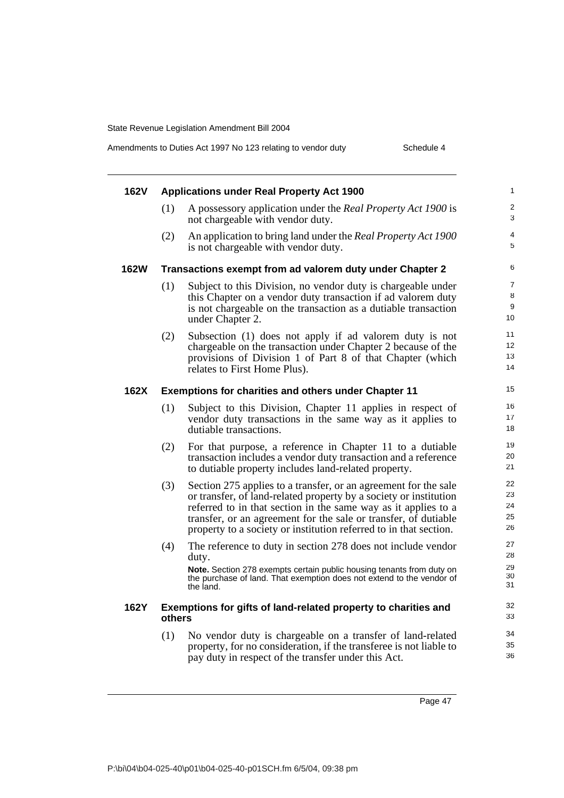| <b>162V</b> |        | <b>Applications under Real Property Act 1900</b>                                                                                                                                                                                                                                                                                               | 1                          |
|-------------|--------|------------------------------------------------------------------------------------------------------------------------------------------------------------------------------------------------------------------------------------------------------------------------------------------------------------------------------------------------|----------------------------|
|             | (1)    | A possessory application under the Real Property Act 1900 is<br>not chargeable with vendor duty.                                                                                                                                                                                                                                               | 2<br>3                     |
|             | (2)    | An application to bring land under the <i>Real Property Act 1900</i><br>is not chargeable with vendor duty.                                                                                                                                                                                                                                    | 4<br>5                     |
| 162W        |        | Transactions exempt from ad valorem duty under Chapter 2                                                                                                                                                                                                                                                                                       | 6                          |
|             | (1)    | Subject to this Division, no vendor duty is chargeable under<br>this Chapter on a vendor duty transaction if ad valorem duty<br>is not chargeable on the transaction as a dutiable transaction<br>under Chapter 2.                                                                                                                             | 7<br>8<br>9<br>10          |
|             | (2)    | Subsection (1) does not apply if ad valorem duty is not<br>chargeable on the transaction under Chapter 2 because of the<br>provisions of Division 1 of Part 8 of that Chapter (which<br>relates to First Home Plus).                                                                                                                           | 11<br>12<br>13<br>14       |
| 162X        |        | <b>Exemptions for charities and others under Chapter 11</b>                                                                                                                                                                                                                                                                                    | 15                         |
|             | (1)    | Subject to this Division, Chapter 11 applies in respect of<br>vendor duty transactions in the same way as it applies to<br>dutiable transactions.                                                                                                                                                                                              | 16<br>17<br>18             |
|             | (2)    | For that purpose, a reference in Chapter 11 to a dutiable<br>transaction includes a vendor duty transaction and a reference<br>to dutiable property includes land-related property.                                                                                                                                                            | 19<br>20<br>21             |
|             | (3)    | Section 275 applies to a transfer, or an agreement for the sale<br>or transfer, of land-related property by a society or institution<br>referred to in that section in the same way as it applies to a<br>transfer, or an agreement for the sale or transfer, of dutiable<br>property to a society or institution referred to in that section. | 22<br>23<br>24<br>25<br>26 |
|             | (4)    | The reference to duty in section 278 does not include vendor<br>duty.<br>Note. Section 278 exempts certain public housing tenants from duty on<br>the purchase of land. That exemption does not extend to the vendor of<br>the land.                                                                                                           | 27<br>28<br>29<br>30<br>31 |
| 162Y        | others | Exemptions for gifts of land-related property to charities and                                                                                                                                                                                                                                                                                 | 32<br>33                   |
|             | (1)    | No vendor duty is chargeable on a transfer of land-related<br>property, for no consideration, if the transferee is not liable to<br>pay duty in respect of the transfer under this Act.                                                                                                                                                        | 34<br>35<br>36             |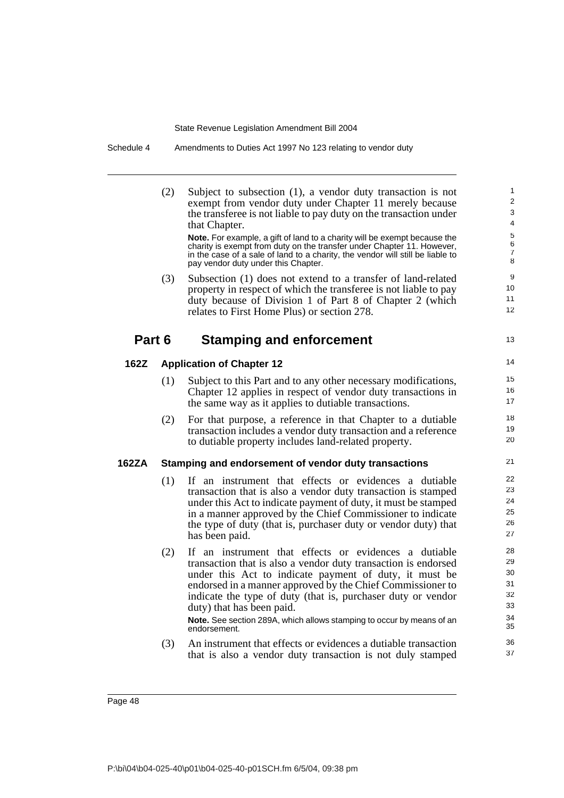|        | (2) | Subject to subsection $(1)$ , a vendor duty transaction is not<br>exempt from vendor duty under Chapter 11 merely because<br>the transferee is not liable to pay duty on the transaction under<br>that Chapter.<br><b>Note.</b> For example, a gift of land to a charity will be exempt because the<br>charity is exempt from duty on the transfer under Chapter 11. However,<br>in the case of a sale of land to a charity, the vendor will still be liable to | 1<br>$\overline{2}$<br>3<br>$\overline{4}$<br>5<br>6<br>$\overline{7}$ |
|--------|-----|-----------------------------------------------------------------------------------------------------------------------------------------------------------------------------------------------------------------------------------------------------------------------------------------------------------------------------------------------------------------------------------------------------------------------------------------------------------------|------------------------------------------------------------------------|
|        | (3) | pay vendor duty under this Chapter.<br>Subsection (1) does not extend to a transfer of land-related<br>property in respect of which the transferee is not liable to pay<br>duty because of Division 1 of Part 8 of Chapter 2 (which<br>relates to First Home Plus) or section 278.                                                                                                                                                                              | 8<br>9<br>10<br>11<br>12                                               |
| Part 6 |     | <b>Stamping and enforcement</b>                                                                                                                                                                                                                                                                                                                                                                                                                                 | 13                                                                     |
| 162Z   |     | <b>Application of Chapter 12</b>                                                                                                                                                                                                                                                                                                                                                                                                                                | 14                                                                     |
|        | (1) | Subject to this Part and to any other necessary modifications,                                                                                                                                                                                                                                                                                                                                                                                                  | 15                                                                     |
|        |     | Chapter 12 applies in respect of vendor duty transactions in                                                                                                                                                                                                                                                                                                                                                                                                    | 16                                                                     |
|        |     | the same way as it applies to dutiable transactions.                                                                                                                                                                                                                                                                                                                                                                                                            | 17                                                                     |
|        | (2) | For that purpose, a reference in that Chapter to a dutiable                                                                                                                                                                                                                                                                                                                                                                                                     | 18                                                                     |
|        |     | transaction includes a vendor duty transaction and a reference                                                                                                                                                                                                                                                                                                                                                                                                  | 19                                                                     |
|        |     | to dutiable property includes land-related property.                                                                                                                                                                                                                                                                                                                                                                                                            | 20                                                                     |
| 162ZA  |     | Stamping and endorsement of vendor duty transactions                                                                                                                                                                                                                                                                                                                                                                                                            | 21                                                                     |
|        | (1) | If an instrument that effects or evidences a dutiable                                                                                                                                                                                                                                                                                                                                                                                                           | 22                                                                     |
|        |     | transaction that is also a vendor duty transaction is stamped                                                                                                                                                                                                                                                                                                                                                                                                   | 23                                                                     |
|        |     | under this Act to indicate payment of duty, it must be stamped                                                                                                                                                                                                                                                                                                                                                                                                  | 24                                                                     |
|        |     | in a manner approved by the Chief Commissioner to indicate                                                                                                                                                                                                                                                                                                                                                                                                      | 25                                                                     |
|        |     | the type of duty (that is, purchaser duty or vendor duty) that                                                                                                                                                                                                                                                                                                                                                                                                  | 26<br>27                                                               |
|        |     | has been paid.                                                                                                                                                                                                                                                                                                                                                                                                                                                  |                                                                        |
|        | (2) | If an instrument that effects or evidences a dutiable                                                                                                                                                                                                                                                                                                                                                                                                           | 28                                                                     |
|        |     | transaction that is also a vendor duty transaction is endorsed                                                                                                                                                                                                                                                                                                                                                                                                  | 29                                                                     |
|        |     | under this Act to indicate payment of duty, it must be                                                                                                                                                                                                                                                                                                                                                                                                          | 30                                                                     |
|        |     | endorsed in a manner approved by the Chief Commissioner to                                                                                                                                                                                                                                                                                                                                                                                                      | 31<br>32                                                               |
|        |     | indicate the type of duty (that is, purchaser duty or vendor                                                                                                                                                                                                                                                                                                                                                                                                    | 33                                                                     |
|        |     | duty) that has been paid.                                                                                                                                                                                                                                                                                                                                                                                                                                       | 34                                                                     |
|        |     | Note. See section 289A, which allows stamping to occur by means of an<br>endorsement.                                                                                                                                                                                                                                                                                                                                                                           | 35                                                                     |
|        | (3) | An instrument that effects or evidences a dutiable transaction                                                                                                                                                                                                                                                                                                                                                                                                  | 36                                                                     |
|        |     | that is also a vendor duty transaction is not duly stamped                                                                                                                                                                                                                                                                                                                                                                                                      | 37                                                                     |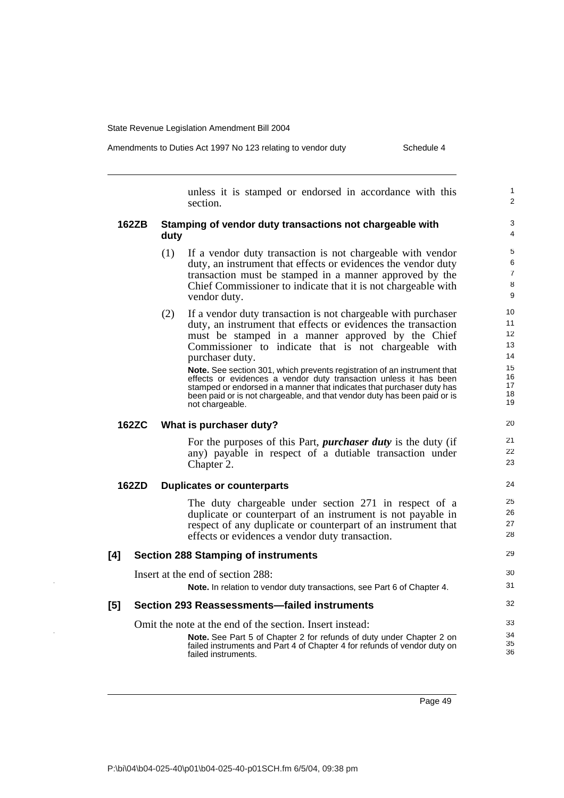| Amendments to Duties Act 1997 No 123 relating to vendor duty | Schedule 4 |
|--------------------------------------------------------------|------------|
|--------------------------------------------------------------|------------|

unless it is stamped or endorsed in accordance with this section.

#### **162ZB Stamping of vendor duty transactions not chargeable with duty**

- (1) If a vendor duty transaction is not chargeable with vendor duty, an instrument that effects or evidences the vendor duty transaction must be stamped in a manner approved by the Chief Commissioner to indicate that it is not chargeable with vendor duty.
- (2) If a vendor duty transaction is not chargeable with purchaser duty, an instrument that effects or evidences the transaction must be stamped in a manner approved by the Chief Commissioner to indicate that is not chargeable with purchaser duty.

**Note.** See section 301, which prevents registration of an instrument that effects or evidences a vendor duty transaction unless it has been stamped or endorsed in a manner that indicates that purchaser duty has been paid or is not chargeable, and that vendor duty has been paid or is not chargeable.

#### **162ZC What is purchaser duty?**

For the purposes of this Part, *purchaser duty* is the duty (if any) payable in respect of a dutiable transaction under Chapter 2.

#### **162ZD Duplicates or counterparts**

The duty chargeable under section 271 in respect of a duplicate or counterpart of an instrument is not payable in respect of any duplicate or counterpart of an instrument that effects or evidences a vendor duty transaction.

#### **[4] Section 288 Stamping of instruments**

Insert at the end of section 288:

**Note.** In relation to vendor duty transactions, see Part 6 of Chapter 4.

#### **[5] Section 293 Reassessments—failed instruments**

Omit the note at the end of the section. Insert instead:

**Note.** See Part 5 of Chapter 2 for refunds of duty under Chapter 2 on failed instruments and Part 4 of Chapter 4 for refunds of vendor duty on failed instruments.

Page 49

1  $\overline{2}$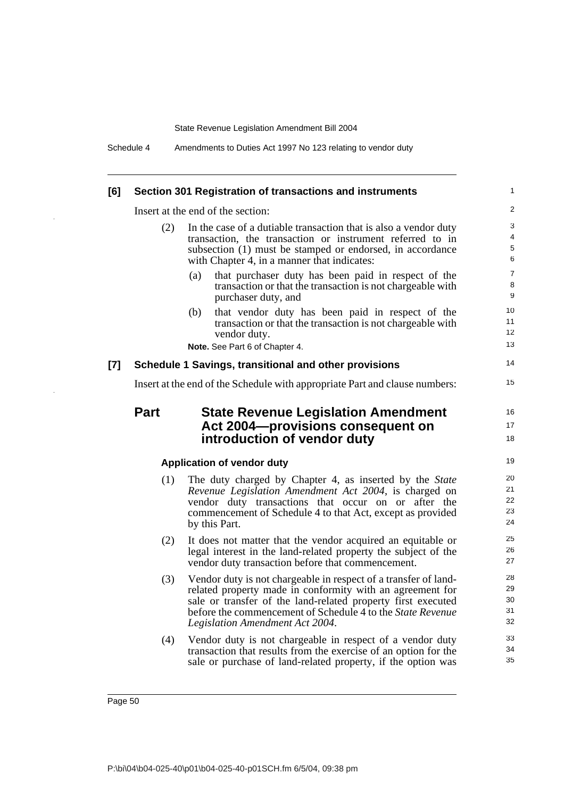Schedule 4 Amendments to Duties Act 1997 No 123 relating to vendor duty

# **[6] Section 301 Registration of transactions and instruments**

Insert at the end of the section:

|     | (2)         | In the case of a dutiable transaction that is also a vendor duty<br>transaction, the transaction or instrument referred to in<br>subsection (1) must be stamped or endorsed, in accordance<br>with Chapter 4, in a manner that indicates:                  | 3<br>4<br>5<br>6           |
|-----|-------------|------------------------------------------------------------------------------------------------------------------------------------------------------------------------------------------------------------------------------------------------------------|----------------------------|
|     |             | that purchaser duty has been paid in respect of the<br>(a)<br>transaction or that the transaction is not chargeable with<br>purchaser duty, and                                                                                                            | $\overline{7}$<br>8<br>9   |
|     |             | (b)<br>that vendor duty has been paid in respect of the<br>transaction or that the transaction is not chargeable with<br>vendor duty.                                                                                                                      | 10<br>11<br>12             |
|     |             | Note. See Part 6 of Chapter 4.                                                                                                                                                                                                                             | 13                         |
| [7] |             | Schedule 1 Savings, transitional and other provisions                                                                                                                                                                                                      | 14                         |
|     |             | Insert at the end of the Schedule with appropriate Part and clause numbers:                                                                                                                                                                                | 15                         |
|     | <b>Part</b> | <b>State Revenue Legislation Amendment</b>                                                                                                                                                                                                                 | 16                         |
|     |             | Act 2004—provisions consequent on                                                                                                                                                                                                                          | 17                         |
|     |             | introduction of vendor duty                                                                                                                                                                                                                                | 18                         |
|     |             | <b>Application of vendor duty</b>                                                                                                                                                                                                                          | 19                         |
|     | (1)         | The duty charged by Chapter 4, as inserted by the State<br>Revenue Legislation Amendment Act 2004, is charged on<br>vendor duty transactions that occur on or after the<br>commencement of Schedule 4 to that Act, except as provided<br>by this Part.     | 20<br>21<br>22<br>23<br>24 |
|     | (2)         | It does not matter that the vendor acquired an equitable or<br>legal interest in the land-related property the subject of the<br>vendor duty transaction before that commencement.                                                                         | 25<br>26<br>27             |
|     | (3)         | Vendor duty is not chargeable in respect of a transfer of land-<br>related property made in conformity with an agreement for<br>sale or transfer of the land-related property first executed<br>before the commencement of Schedule 4 to the State Revenue | 28<br>29<br>30<br>31       |
|     |             | Legislation Amendment Act 2004.                                                                                                                                                                                                                            | 32                         |
|     | (4)         | Vendor duty is not chargeable in respect of a vendor duty<br>transaction that results from the exercise of an option for the<br>sale or purchase of land-related property, if the option was                                                               | 33<br>34<br>35             |

1 2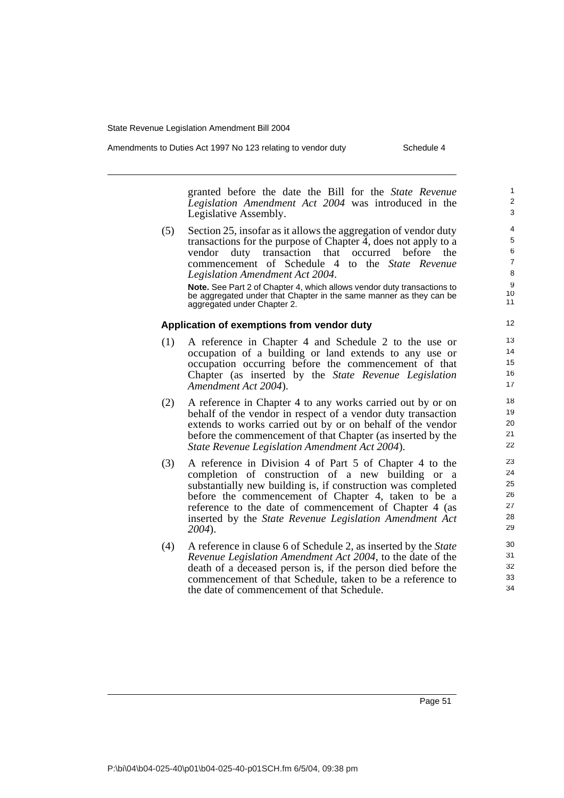granted before the date the Bill for the *State Revenue Legislation Amendment Act 2004* was introduced in the Legislative Assembly.

(5) Section 25, insofar as it allows the aggregation of vendor duty transactions for the purpose of Chapter 4, does not apply to a vendor duty transaction that occurred before the commencement of Schedule 4 to the *State Revenue Legislation Amendment Act 2004*.

**Note.** See Part 2 of Chapter 4, which allows vendor duty transactions to be aggregated under that Chapter in the same manner as they can be aggregated under Chapter 2.

#### **Application of exemptions from vendor duty**

- (1) A reference in Chapter 4 and Schedule 2 to the use or occupation of a building or land extends to any use or occupation occurring before the commencement of that Chapter (as inserted by the *State Revenue Legislation Amendment Act 2004*).
- (2) A reference in Chapter 4 to any works carried out by or on behalf of the vendor in respect of a vendor duty transaction extends to works carried out by or on behalf of the vendor before the commencement of that Chapter (as inserted by the *State Revenue Legislation Amendment Act 2004*).
- (3) A reference in Division 4 of Part 5 of Chapter 4 to the completion of construction of a new building or a substantially new building is, if construction was completed before the commencement of Chapter 4, taken to be a reference to the date of commencement of Chapter 4 (as inserted by the *State Revenue Legislation Amendment Act 2004*).
- (4) A reference in clause 6 of Schedule 2, as inserted by the *State Revenue Legislation Amendment Act 2004*, to the date of the death of a deceased person is, if the person died before the commencement of that Schedule, taken to be a reference to the date of commencement of that Schedule.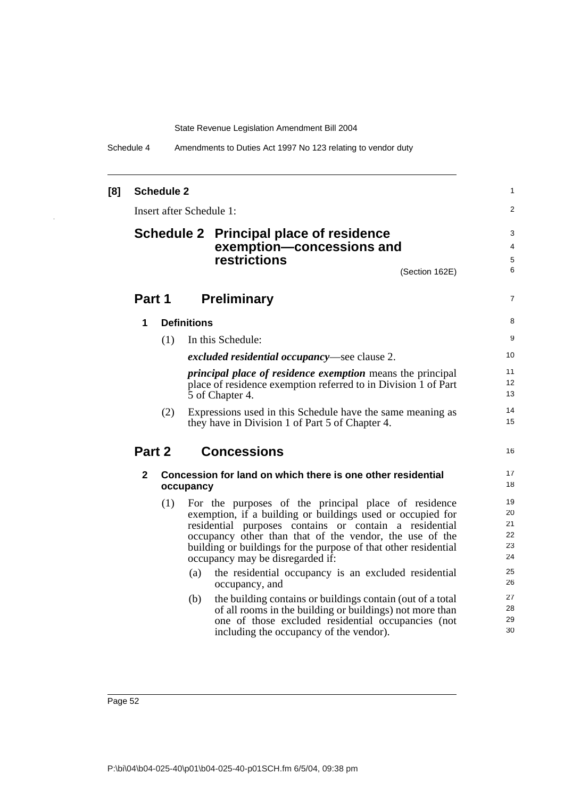Schedule 4 Amendments to Duties Act 1997 No 123 relating to vendor duty

| [8] |              | <b>Schedule 2</b> |                    |                                                                                                                                                                                                                                                                                                                                                                                                                          | 1                                            |
|-----|--------------|-------------------|--------------------|--------------------------------------------------------------------------------------------------------------------------------------------------------------------------------------------------------------------------------------------------------------------------------------------------------------------------------------------------------------------------------------------------------------------------|----------------------------------------------|
|     |              |                   |                    | Insert after Schedule 1:                                                                                                                                                                                                                                                                                                                                                                                                 | 2                                            |
|     |              |                   |                    | Schedule 2 Principal place of residence<br>exemption-concessions and<br>restrictions                                                                                                                                                                                                                                                                                                                                     | 3<br>4<br>5                                  |
|     |              |                   |                    | (Section 162E)                                                                                                                                                                                                                                                                                                                                                                                                           | 6                                            |
|     | Part 1       |                   |                    | <b>Preliminary</b>                                                                                                                                                                                                                                                                                                                                                                                                       | 7                                            |
|     | 1            |                   | <b>Definitions</b> |                                                                                                                                                                                                                                                                                                                                                                                                                          | 8                                            |
|     |              | (1)               |                    | In this Schedule:                                                                                                                                                                                                                                                                                                                                                                                                        | 9                                            |
|     |              |                   |                    | <i>excluded residential occupancy</i> —see clause 2.                                                                                                                                                                                                                                                                                                                                                                     | 10                                           |
|     |              |                   |                    | <i>principal place of residence exemption</i> means the principal<br>place of residence exemption referred to in Division 1 of Part<br>5 of Chapter 4.                                                                                                                                                                                                                                                                   | 11<br>12<br>13                               |
|     |              | (2)               |                    | Expressions used in this Schedule have the same meaning as<br>they have in Division 1 of Part 5 of Chapter 4.                                                                                                                                                                                                                                                                                                            | 14<br>15                                     |
|     | Part 2       |                   |                    | <b>Concessions</b>                                                                                                                                                                                                                                                                                                                                                                                                       | 16                                           |
|     | $\mathbf{2}$ |                   | occupancy          | Concession for land on which there is one other residential                                                                                                                                                                                                                                                                                                                                                              | 17<br>18                                     |
|     |              | (1)               | (a)                | For the purposes of the principal place of residence<br>exemption, if a building or buildings used or occupied for<br>residential purposes contains or contain a residential<br>occupancy other than that of the vendor, the use of the<br>building or buildings for the purpose of that other residential<br>occupancy may be disregarded if:<br>the residential occupancy is an excluded residential<br>occupancy, and | 19<br>20<br>21<br>22<br>23<br>24<br>25<br>26 |
|     |              |                   | (b)                | the building contains or buildings contain (out of a total<br>of all rooms in the building or buildings) not more than<br>one of those excluded residential occupancies (not<br>including the occupancy of the vendor).                                                                                                                                                                                                  | 27<br>28<br>29<br>30                         |

P:\bi\04\b04-025-40\p01\b04-025-40-p01SCH.fm 6/5/04, 09:38 pm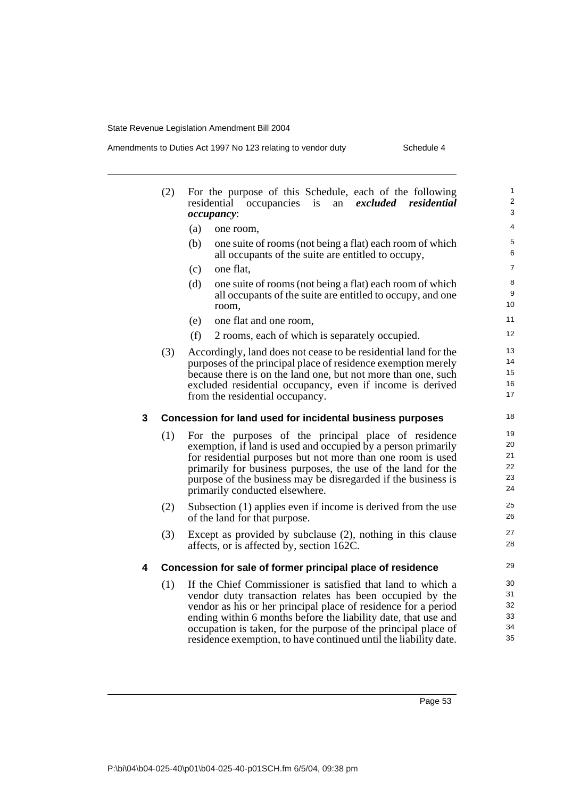| Amendments to Duties Act 1997 No 123 relating to vendor duty | Schedule 4 |
|--------------------------------------------------------------|------------|
|                                                              |            |

|   | (2) | For the purpose of this Schedule, each of the following<br>occupancies<br>is<br>excluded<br>residential<br>residential<br>an<br>occupancy:                                                                                                                                                                                                              | 1<br>$\boldsymbol{2}$<br>3       |
|---|-----|---------------------------------------------------------------------------------------------------------------------------------------------------------------------------------------------------------------------------------------------------------------------------------------------------------------------------------------------------------|----------------------------------|
|   |     | (a)<br>one room,                                                                                                                                                                                                                                                                                                                                        | $\overline{\mathbf{4}}$          |
|   |     | (b)<br>one suite of rooms (not being a flat) each room of which<br>all occupants of the suite are entitled to occupy,                                                                                                                                                                                                                                   | 5<br>6                           |
|   |     | one flat,<br>(c)                                                                                                                                                                                                                                                                                                                                        | $\overline{7}$                   |
|   |     | (d)<br>one suite of rooms (not being a flat) each room of which<br>all occupants of the suite are entitled to occupy, and one<br>room,                                                                                                                                                                                                                  | 8<br>9<br>10                     |
|   |     | one flat and one room,<br>(e)                                                                                                                                                                                                                                                                                                                           | 11                               |
|   |     | (f)<br>2 rooms, each of which is separately occupied.                                                                                                                                                                                                                                                                                                   | 12                               |
|   | (3) | Accordingly, land does not cease to be residential land for the<br>purposes of the principal place of residence exemption merely<br>because there is on the land one, but not more than one, such<br>excluded residential occupancy, even if income is derived                                                                                          | 13<br>14<br>15<br>16<br>17       |
|   |     | from the residential occupancy.                                                                                                                                                                                                                                                                                                                         |                                  |
| 3 |     | Concession for land used for incidental business purposes                                                                                                                                                                                                                                                                                               | 18                               |
|   | (1) | For the purposes of the principal place of residence<br>exemption, if land is used and occupied by a person primarily<br>for residential purposes but not more than one room is used<br>primarily for business purposes, the use of the land for the<br>purpose of the business may be disregarded if the business is<br>primarily conducted elsewhere. | 19<br>20<br>21<br>22<br>23<br>24 |
|   | (2) | Subsection (1) applies even if income is derived from the use<br>of the land for that purpose.                                                                                                                                                                                                                                                          | 25<br>26                         |
|   | (3) | Except as provided by subclause (2), nothing in this clause<br>affects, or is affected by, section 162C.                                                                                                                                                                                                                                                | 27<br>28                         |
| 4 |     | Concession for sale of former principal place of residence                                                                                                                                                                                                                                                                                              | 29                               |
|   | (1) | If the Chief Commissioner is satisfied that land to which a<br>vendor duty transaction relates has been occupied by the                                                                                                                                                                                                                                 | 30<br>31                         |
|   |     | vendor as his or her principal place of residence for a period                                                                                                                                                                                                                                                                                          | 32                               |
|   |     | ending within 6 months before the liability date, that use and                                                                                                                                                                                                                                                                                          | 33                               |
|   |     | occupation is taken, for the purpose of the principal place of<br>residence exemption, to have continued until the liability date.                                                                                                                                                                                                                      | 34<br>35                         |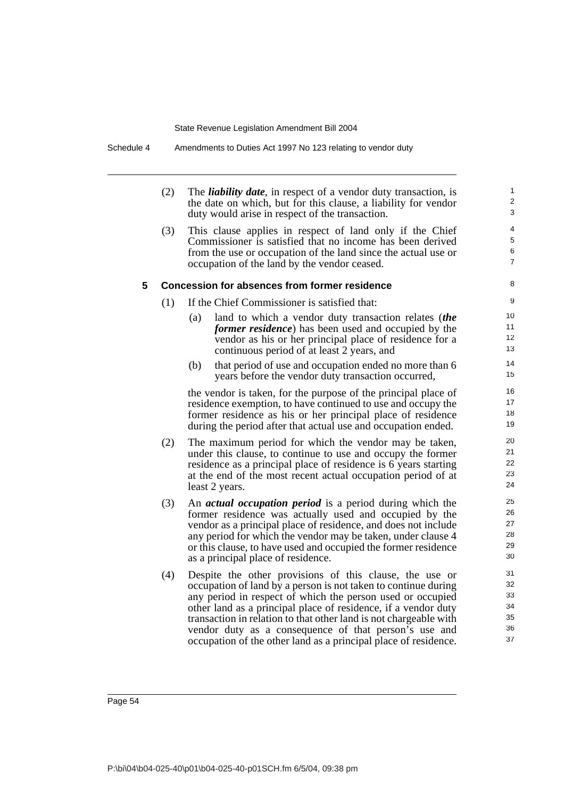Schedule 4 Amendments to Duties Act 1997 No 123 relating to vendor duty

| (2) | The <i>liability date</i> , in respect of a vendor duty transaction, is |
|-----|-------------------------------------------------------------------------|
|     | the date on which, but for this clause, a liability for vendor          |
|     | duty would arise in respect of the transaction.                         |

(3) This clause applies in respect of land only if the Chief Commissioner is satisfied that no income has been derived from the use or occupation of the land since the actual use or occupation of the land by the vendor ceased.

#### **5 Concession for absences from former residence**

- (1) If the Chief Commissioner is satisfied that:
	- (a) land to which a vendor duty transaction relates (*the former residence*) has been used and occupied by the vendor as his or her principal place of residence for a continuous period of at least 2 years, and
	- (b) that period of use and occupation ended no more than 6 years before the vendor duty transaction occurred,

the vendor is taken, for the purpose of the principal place of residence exemption, to have continued to use and occupy the former residence as his or her principal place of residence during the period after that actual use and occupation ended.

- (2) The maximum period for which the vendor may be taken, under this clause, to continue to use and occupy the former residence as a principal place of residence is 6 years starting at the end of the most recent actual occupation period of at least 2 years.
- (3) An *actual occupation period* is a period during which the former residence was actually used and occupied by the vendor as a principal place of residence, and does not include any period for which the vendor may be taken, under clause 4 or this clause, to have used and occupied the former residence as a principal place of residence.
- (4) Despite the other provisions of this clause, the use or occupation of land by a person is not taken to continue during any period in respect of which the person used or occupied other land as a principal place of residence, if a vendor duty transaction in relation to that other land is not chargeable with vendor duty as a consequence of that person's use and occupation of the other land as a principal place of residence.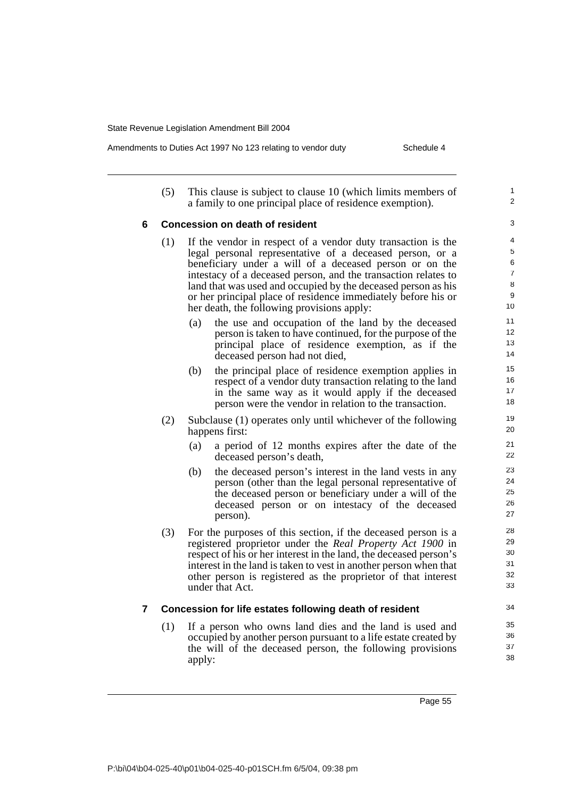1  $\overline{2}$ 

(5) This clause is subject to clause 10 (which limits members of a family to one principal place of residence exemption).

#### **6 Concession on death of resident**

- (1) If the vendor in respect of a vendor duty transaction is the legal personal representative of a deceased person, or a beneficiary under a will of a deceased person or on the intestacy of a deceased person, and the transaction relates to land that was used and occupied by the deceased person as his or her principal place of residence immediately before his or her death, the following provisions apply:
	- (a) the use and occupation of the land by the deceased person is taken to have continued, for the purpose of the principal place of residence exemption, as if the deceased person had not died,
	- (b) the principal place of residence exemption applies in respect of a vendor duty transaction relating to the land in the same way as it would apply if the deceased person were the vendor in relation to the transaction.
- (2) Subclause (1) operates only until whichever of the following happens first:
	- (a) a period of 12 months expires after the date of the deceased person's death,
	- (b) the deceased person's interest in the land vests in any person (other than the legal personal representative of the deceased person or beneficiary under a will of the deceased person or on intestacy of the deceased person).
- (3) For the purposes of this section, if the deceased person is a registered proprietor under the *Real Property Act 1900* in respect of his or her interest in the land, the deceased person's interest in the land is taken to vest in another person when that other person is registered as the proprietor of that interest under that Act.

#### **7 Concession for life estates following death of resident**

(1) If a person who owns land dies and the land is used and occupied by another person pursuant to a life estate created by the will of the deceased person, the following provisions apply: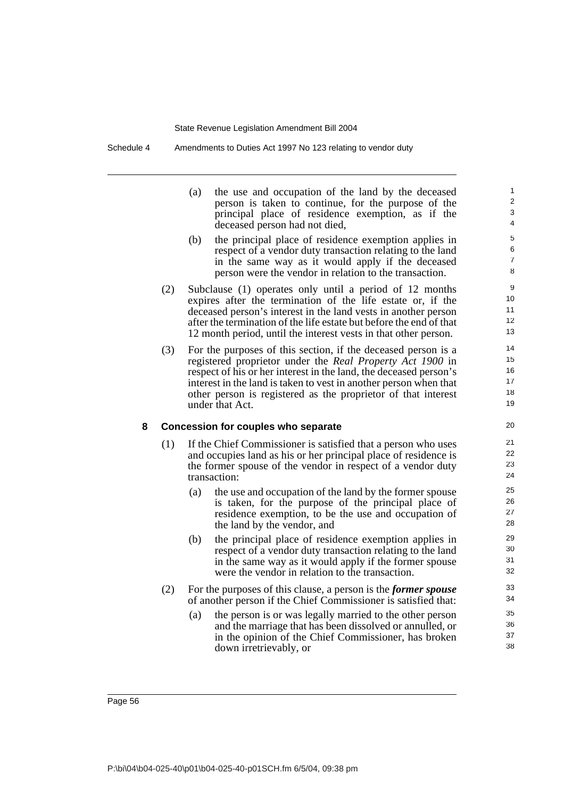Schedule 4 Amendments to Duties Act 1997 No 123 relating to vendor duty

(a) the use and occupation of the land by the deceased person is taken to continue, for the purpose of the principal place of residence exemption, as if the deceased person had not died,

- (b) the principal place of residence exemption applies in respect of a vendor duty transaction relating to the land in the same way as it would apply if the deceased person were the vendor in relation to the transaction.
- (2) Subclause (1) operates only until a period of 12 months expires after the termination of the life estate or, if the deceased person's interest in the land vests in another person after the termination of the life estate but before the end of that 12 month period, until the interest vests in that other person.
- (3) For the purposes of this section, if the deceased person is a registered proprietor under the *Real Property Act 1900* in respect of his or her interest in the land, the deceased person's interest in the land is taken to vest in another person when that other person is registered as the proprietor of that interest under that Act.

#### **8 Concession for couples who separate**

- (1) If the Chief Commissioner is satisfied that a person who uses and occupies land as his or her principal place of residence is the former spouse of the vendor in respect of a vendor duty transaction:
	- (a) the use and occupation of the land by the former spouse is taken, for the purpose of the principal place of residence exemption, to be the use and occupation of the land by the vendor, and
	- (b) the principal place of residence exemption applies in respect of a vendor duty transaction relating to the land in the same way as it would apply if the former spouse were the vendor in relation to the transaction.
- (2) For the purposes of this clause, a person is the *former spouse* of another person if the Chief Commissioner is satisfied that:
	- (a) the person is or was legally married to the other person and the marriage that has been dissolved or annulled, or in the opinion of the Chief Commissioner, has broken down irretrievably, or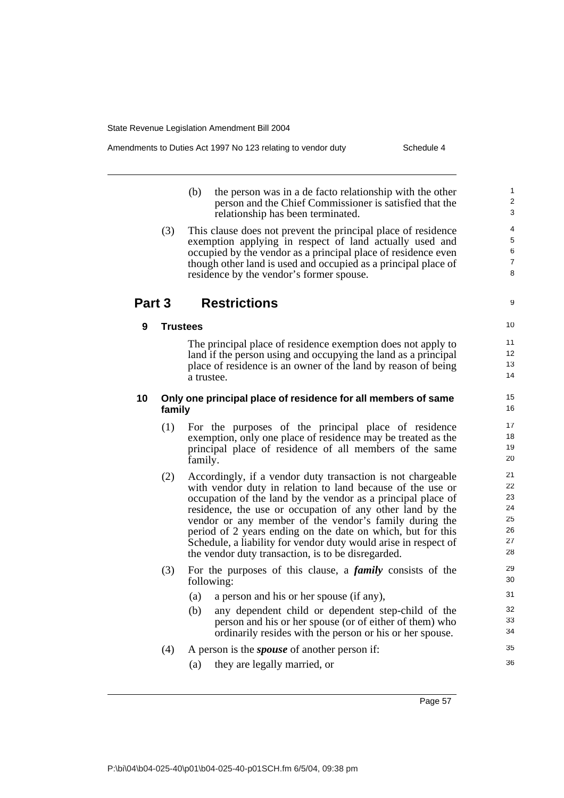Amendments to Duties Act 1997 No 123 relating to vendor duty Schedule 4

9

- (b) the person was in a de facto relationship with the other person and the Chief Commissioner is satisfied that the relationship has been terminated.
- (3) This clause does not prevent the principal place of residence exemption applying in respect of land actually used and occupied by the vendor as a principal place of residence even though other land is used and occupied as a principal place of residence by the vendor's former spouse.

# **Part 3 Restrictions**

**9 Trustees**

The principal place of residence exemption does not apply to land if the person using and occupying the land as a principal place of residence is an owner of the land by reason of being a trustee.

#### **10 Only one principal place of residence for all members of same family**

- (1) For the purposes of the principal place of residence exemption, only one place of residence may be treated as the principal place of residence of all members of the same family.
- (2) Accordingly, if a vendor duty transaction is not chargeable with vendor duty in relation to land because of the use or occupation of the land by the vendor as a principal place of residence, the use or occupation of any other land by the vendor or any member of the vendor's family during the period of 2 years ending on the date on which, but for this Schedule, a liability for vendor duty would arise in respect of the vendor duty transaction, is to be disregarded.
- (3) For the purposes of this clause, a *family* consists of the following:
	- (a) a person and his or her spouse (if any),
	- (b) any dependent child or dependent step-child of the person and his or her spouse (or of either of them) who ordinarily resides with the person or his or her spouse.
- (4) A person is the *spouse* of another person if:
	- (a) they are legally married, or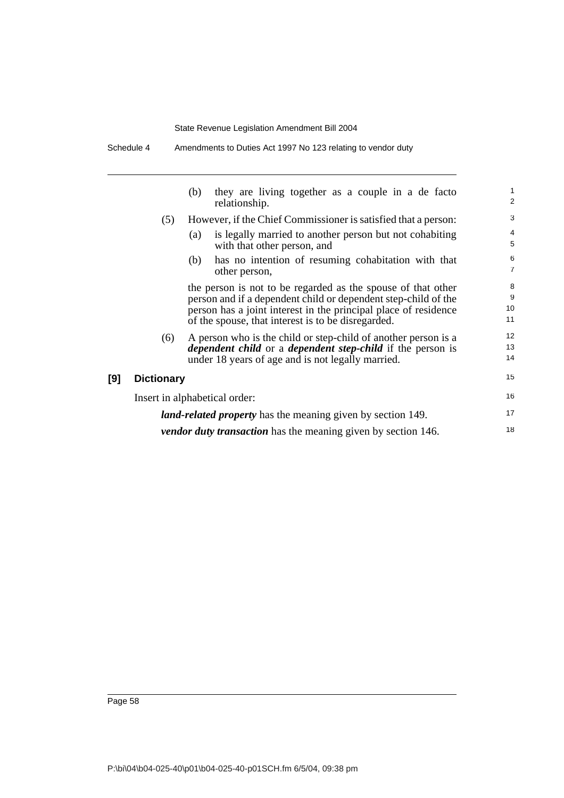|     |                                                                    | they are living together as a couple in a de facto<br>(b)<br>relationship.                                                                                                                                                                              | $\mathbf{1}$<br>$\overline{2}$ |  |
|-----|--------------------------------------------------------------------|---------------------------------------------------------------------------------------------------------------------------------------------------------------------------------------------------------------------------------------------------------|--------------------------------|--|
|     | (5)                                                                | However, if the Chief Commissioner is satisfied that a person:                                                                                                                                                                                          |                                |  |
|     |                                                                    | is legally married to another person but not cohabiting<br>(a)<br>with that other person, and                                                                                                                                                           | $\overline{4}$<br>5            |  |
|     |                                                                    | has no intention of resuming cohabitation with that<br>(b)<br>other person,                                                                                                                                                                             | 6<br>$\overline{7}$            |  |
|     |                                                                    | the person is not to be regarded as the spouse of that other<br>person and if a dependent child or dependent step-child of the<br>person has a joint interest in the principal place of residence<br>of the spouse, that interest is to be disregarded. |                                |  |
|     | (6)                                                                | A person who is the child or step-child of another person is a<br><i>dependent child</i> or a <i>dependent step-child</i> if the person is<br>under 18 years of age and is not legally married.                                                         | 12<br>13<br>14                 |  |
| [9] | <b>Dictionary</b>                                                  |                                                                                                                                                                                                                                                         | 15                             |  |
|     | Insert in alphabetical order:                                      |                                                                                                                                                                                                                                                         |                                |  |
|     | <i>land-related property</i> has the meaning given by section 149. |                                                                                                                                                                                                                                                         |                                |  |
|     | vendor duty transaction has the meaning given by section 146.      |                                                                                                                                                                                                                                                         |                                |  |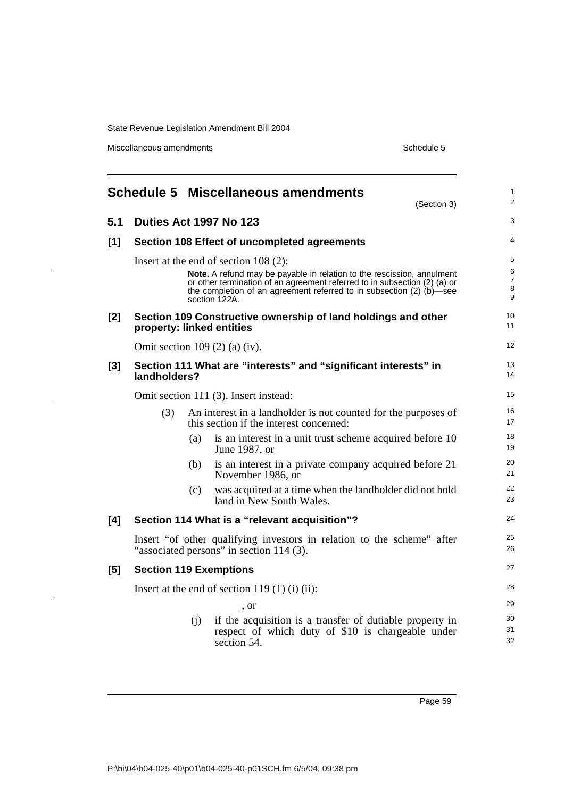Miscellaneous amendments and the state of the Schedule 5 Schedule 5

l,

|     |                                                                                                                  |     | <b>Schedule 5 Miscellaneous amendments</b><br>(Section 3)                                                                                                                                                                                                                                 | 1<br>$\overline{c}$   |  |  |
|-----|------------------------------------------------------------------------------------------------------------------|-----|-------------------------------------------------------------------------------------------------------------------------------------------------------------------------------------------------------------------------------------------------------------------------------------------|-----------------------|--|--|
| 5.1 | Duties Act 1997 No 123                                                                                           |     |                                                                                                                                                                                                                                                                                           |                       |  |  |
| [1] | Section 108 Effect of uncompleted agreements                                                                     |     |                                                                                                                                                                                                                                                                                           |                       |  |  |
|     |                                                                                                                  |     | Insert at the end of section $108(2)$ :<br>Note. A refund may be payable in relation to the rescission, annulment<br>or other termination of an agreement referred to in subsection (2) (a) or<br>the completion of an agreement referred to in subsection $(2)$ (b)—see<br>section 122A. | 5<br>6<br>7<br>8<br>9 |  |  |
| [2] | Section 109 Constructive ownership of land holdings and other<br>property: linked entities                       |     |                                                                                                                                                                                                                                                                                           |                       |  |  |
|     | Omit section $109(2)$ (a) (iv).                                                                                  |     |                                                                                                                                                                                                                                                                                           |                       |  |  |
| [3] | Section 111 What are "interests" and "significant interests" in<br>landholders?                                  |     |                                                                                                                                                                                                                                                                                           |                       |  |  |
|     | Omit section 111 (3). Insert instead:                                                                            |     |                                                                                                                                                                                                                                                                                           |                       |  |  |
|     | (3)<br>An interest in a landholder is not counted for the purposes of<br>this section if the interest concerned: |     |                                                                                                                                                                                                                                                                                           |                       |  |  |
|     |                                                                                                                  | (a) | is an interest in a unit trust scheme acquired before 10<br>June 1987, or                                                                                                                                                                                                                 | 18<br>19              |  |  |
|     |                                                                                                                  | (b) | is an interest in a private company acquired before 21<br>November 1986, or                                                                                                                                                                                                               | 20<br>21              |  |  |
|     |                                                                                                                  | (c) | was acquired at a time when the landholder did not hold<br>land in New South Wales.                                                                                                                                                                                                       | 22<br>23              |  |  |
| [4] |                                                                                                                  |     | Section 114 What is a "relevant acquisition"?                                                                                                                                                                                                                                             | 24                    |  |  |
|     |                                                                                                                  |     | Insert "of other qualifying investors in relation to the scheme" after<br>"associated persons" in section 114 (3).                                                                                                                                                                        | 25<br>26              |  |  |
| [5] | <b>Section 119 Exemptions</b>                                                                                    |     |                                                                                                                                                                                                                                                                                           |                       |  |  |
|     | Insert at the end of section 119 $(1)$ $(i)$ $(ii)$ :                                                            |     |                                                                                                                                                                                                                                                                                           |                       |  |  |
|     |                                                                                                                  |     | , or                                                                                                                                                                                                                                                                                      | 29                    |  |  |
|     |                                                                                                                  | (i) | if the acquisition is a transfer of dutiable property in<br>respect of which duty of \$10 is chargeable under<br>section 54.                                                                                                                                                              | 30<br>31<br>32        |  |  |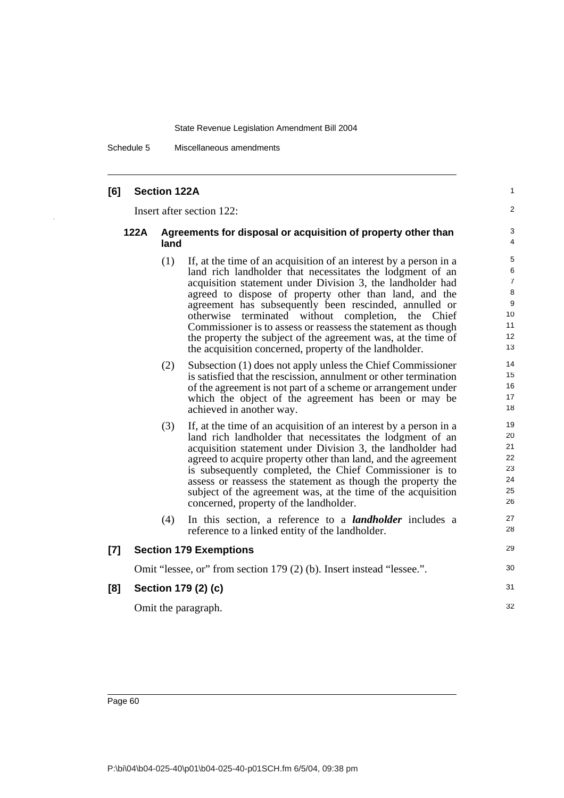Schedule 5 Miscellaneous amendments

#### **[6] Section 122A** Insert after section 122: **122A Agreements for disposal or acquisition of property other than land** (1) If, at the time of an acquisition of an interest by a person in a land rich landholder that necessitates the lodgment of an acquisition statement under Division 3, the landholder had agreed to dispose of property other than land, and the agreement has subsequently been rescinded, annulled or otherwise terminated without completion, the Chief Commissioner is to assess or reassess the statement as though the property the subject of the agreement was, at the time of the acquisition concerned, property of the landholder. (2) Subsection (1) does not apply unless the Chief Commissioner is satisfied that the rescission, annulment or other termination of the agreement is not part of a scheme or arrangement under which the object of the agreement has been or may be achieved in another way. (3) If, at the time of an acquisition of an interest by a person in a land rich landholder that necessitates the lodgment of an acquisition statement under Division 3, the landholder had agreed to acquire property other than land, and the agreement is subsequently completed, the Chief Commissioner is to assess or reassess the statement as though the property the subject of the agreement was, at the time of the acquisition concerned, property of the landholder. (4) In this section, a reference to a *landholder* includes a reference to a linked entity of the landholder. **[7] Section 179 Exemptions** Omit "lessee, or" from section 179 (2) (b). Insert instead "lessee.". **[8] Section 179 (2) (c)** Omit the paragraph. 1  $\overline{2}$ 3 4 5 6 7 8 9 10 11 12 13 14 15 16 17 18 19 20 21 22 23 24 25 26 27 28 29 30 31 32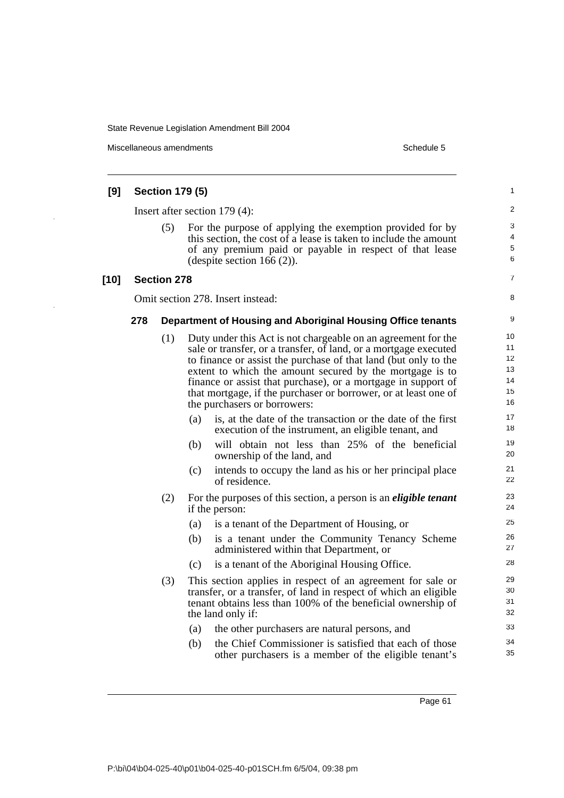Miscellaneous amendments **Schedule 5** and the set of the set of the set of the set of the set of the set of the set of the set of the set of the set of the set of the set of the set of the set of the set of the set of the

#### **[9] Section 179 (5)** Insert after section 179 (4): (5) For the purpose of applying the exemption provided for by this section, the cost of a lease is taken to include the amount of any premium paid or payable in respect of that lease  $(despite section 166 (2)).$ **[10] Section 278** Omit section 278. Insert instead: **278 Department of Housing and Aboriginal Housing Office tenants** (1) Duty under this Act is not chargeable on an agreement for the sale or transfer, or a transfer, of land, or a mortgage executed to finance or assist the purchase of that land (but only to the extent to which the amount secured by the mortgage is to finance or assist that purchase), or a mortgage in support of that mortgage, if the purchaser or borrower, or at least one of the purchasers or borrowers: (a) is, at the date of the transaction or the date of the first execution of the instrument, an eligible tenant, and (b) will obtain not less than 25% of the beneficial ownership of the land, and (c) intends to occupy the land as his or her principal place of residence. (2) For the purposes of this section, a person is an *eligible tenant* if the person: (a) is a tenant of the Department of Housing, or (b) is a tenant under the Community Tenancy Scheme administered within that Department, or (c) is a tenant of the Aboriginal Housing Office. (3) This section applies in respect of an agreement for sale or transfer, or a transfer, of land in respect of which an eligible tenant obtains less than 100% of the beneficial ownership of the land only if: (a) the other purchasers are natural persons, and (b) the Chief Commissioner is satisfied that each of those other purchasers is a member of the eligible tenant's 1  $\mathfrak{p}$ 3 4 5 6 7 8 9 10 11 12 13 14 15 16 17 18 19 20 21 22 23 24 25 26 27 28 29 30 31 32 33 34 35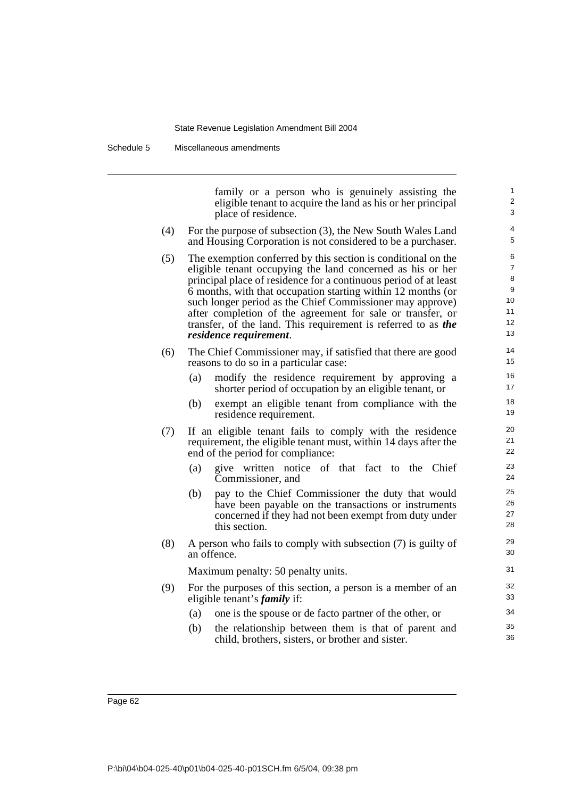Schedule 5 Miscellaneous amendments

family or a person who is genuinely assisting the eligible tenant to acquire the land as his or her principal place of residence.

- (4) For the purpose of subsection (3), the New South Wales Land and Housing Corporation is not considered to be a purchaser.
- (5) The exemption conferred by this section is conditional on the eligible tenant occupying the land concerned as his or her principal place of residence for a continuous period of at least 6 months, with that occupation starting within 12 months (or such longer period as the Chief Commissioner may approve) after completion of the agreement for sale or transfer, or transfer, of the land. This requirement is referred to as *the residence requirement*.
- (6) The Chief Commissioner may, if satisfied that there are good reasons to do so in a particular case:
	- (a) modify the residence requirement by approving a shorter period of occupation by an eligible tenant, or
	- (b) exempt an eligible tenant from compliance with the residence requirement.
- (7) If an eligible tenant fails to comply with the residence requirement, the eligible tenant must, within 14 days after the end of the period for compliance:
	- (a) give written notice of that fact to the Chief Commissioner, and
	- (b) pay to the Chief Commissioner the duty that would have been payable on the transactions or instruments concerned if they had not been exempt from duty under this section.
- (8) A person who fails to comply with subsection (7) is guilty of an offence.

Maximum penalty: 50 penalty units.

- (9) For the purposes of this section, a person is a member of an eligible tenant's *family* if:
	- (a) one is the spouse or de facto partner of the other, or
	- (b) the relationship between them is that of parent and child, brothers, sisters, or brother and sister.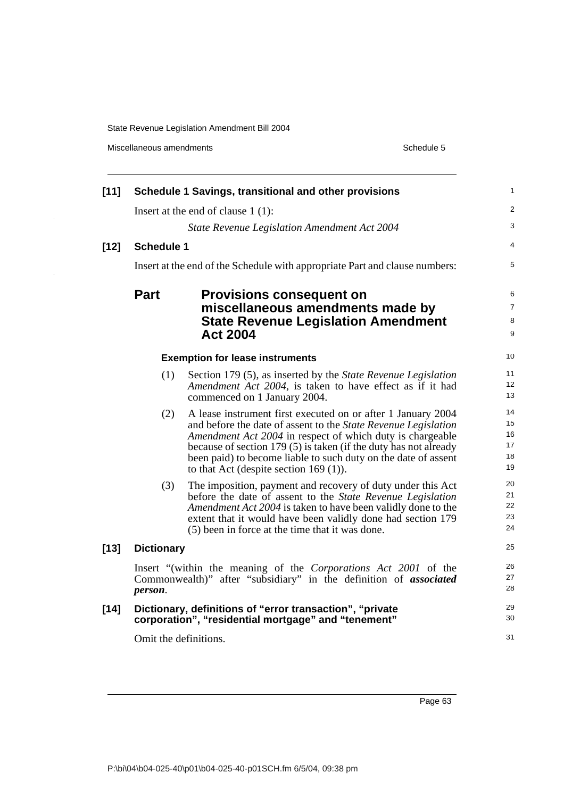State Revenue Legislation Amendment Bill 2004

Miscellaneous amendments and the state of the Schedule 5 Schedule 5

i.

| $[11]$ |                                                                             | Schedule 1 Savings, transitional and other provisions                                                                                                                                                                                                                                                                                                                         | 1                                |
|--------|-----------------------------------------------------------------------------|-------------------------------------------------------------------------------------------------------------------------------------------------------------------------------------------------------------------------------------------------------------------------------------------------------------------------------------------------------------------------------|----------------------------------|
|        |                                                                             | Insert at the end of clause $1(1)$ :                                                                                                                                                                                                                                                                                                                                          | $\overline{\mathbf{c}}$          |
|        |                                                                             | State Revenue Legislation Amendment Act 2004                                                                                                                                                                                                                                                                                                                                  | 3                                |
| $[12]$ | <b>Schedule 1</b>                                                           |                                                                                                                                                                                                                                                                                                                                                                               | 4                                |
|        | Insert at the end of the Schedule with appropriate Part and clause numbers: |                                                                                                                                                                                                                                                                                                                                                                               |                                  |
|        | <b>Part</b>                                                                 | <b>Provisions consequent on</b>                                                                                                                                                                                                                                                                                                                                               | 6                                |
|        |                                                                             | miscellaneous amendments made by                                                                                                                                                                                                                                                                                                                                              | $\overline{7}$                   |
|        |                                                                             | <b>State Revenue Legislation Amendment</b><br><b>Act 2004</b>                                                                                                                                                                                                                                                                                                                 | 8<br>9                           |
|        | <b>Exemption for lease instruments</b>                                      |                                                                                                                                                                                                                                                                                                                                                                               | 10                               |
|        | (1)                                                                         | Section 179 (5), as inserted by the <i>State Revenue Legislation</i><br>Amendment Act 2004, is taken to have effect as if it had<br>commenced on 1 January 2004.                                                                                                                                                                                                              | 11<br>12<br>13                   |
|        | (2)                                                                         | A lease instrument first executed on or after 1 January 2004<br>and before the date of assent to the State Revenue Legislation<br>Amendment Act 2004 in respect of which duty is chargeable<br>because of section 179 (5) is taken (if the duty has not already<br>been paid) to become liable to such duty on the date of assent<br>to that Act (despite section $169(1)$ ). | 14<br>15<br>16<br>17<br>18<br>19 |
|        | (3)                                                                         | The imposition, payment and recovery of duty under this Act<br>before the date of assent to the <i>State Revenue Legislation</i><br>Amendment Act 2004 is taken to have been validly done to the<br>extent that it would have been validly done had section 179<br>(5) been in force at the time that it was done.                                                            | 20<br>21<br>22<br>23<br>24       |
| $[13]$ | <b>Dictionary</b>                                                           |                                                                                                                                                                                                                                                                                                                                                                               | 25                               |
|        | person.                                                                     | Insert "(within the meaning of the Corporations Act 2001 of the<br>Commonwealth)" after "subsidiary" in the definition of <i>associated</i>                                                                                                                                                                                                                                   | 26<br>27<br>28                   |
| $[14]$ |                                                                             | Dictionary, definitions of "error transaction", "private<br>corporation", "residential mortgage" and "tenement"                                                                                                                                                                                                                                                               | 29<br>30                         |
|        | Omit the definitions.                                                       |                                                                                                                                                                                                                                                                                                                                                                               | 31                               |
|        |                                                                             |                                                                                                                                                                                                                                                                                                                                                                               |                                  |

Page 63